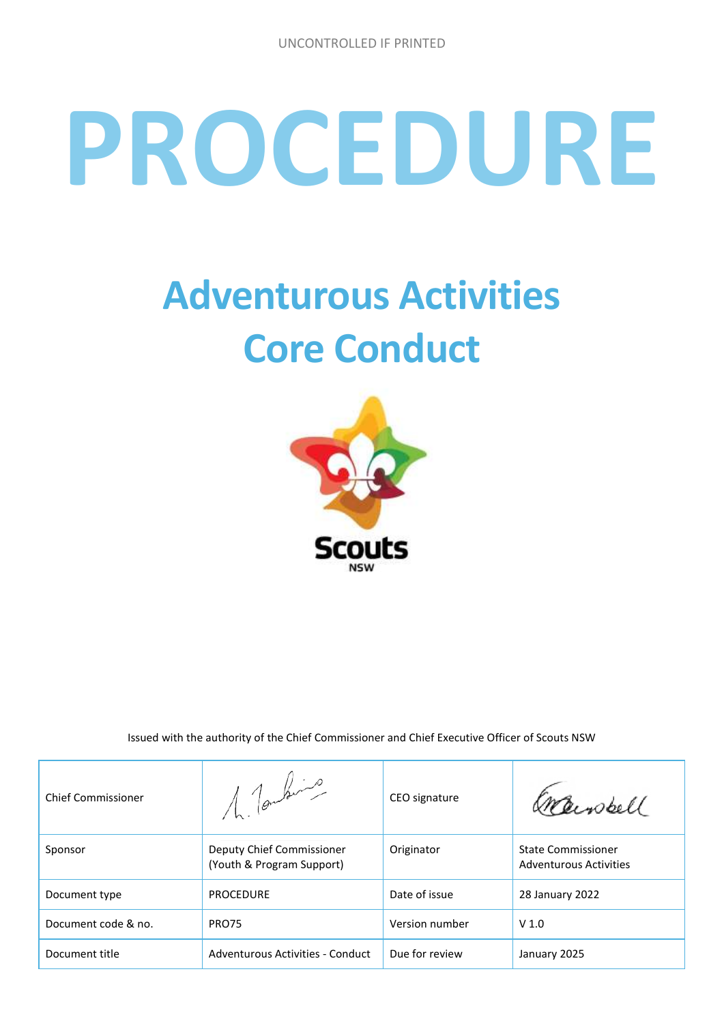# **PROCEDURE**

# **Adventurous Activities Core Conduct**



Issued with the authority of the Chief Commissioner and Chief Executive Officer of Scouts NSW

| <b>Chief Commissioner</b> | 1 Tombre                                               | CEO signature  | Inperpell                                           |
|---------------------------|--------------------------------------------------------|----------------|-----------------------------------------------------|
| Sponsor                   | Deputy Chief Commissioner<br>(Youth & Program Support) | Originator     | <b>State Commissioner</b><br>Adventurous Activities |
| Document type             | <b>PROCEDURE</b>                                       | Date of issue  | 28 January 2022                                     |
| Document code & no.       | PRO75                                                  | Version number | V <sub>1.0</sub>                                    |
| Document title            | Adventurous Activities - Conduct                       | Due for review | January 2025                                        |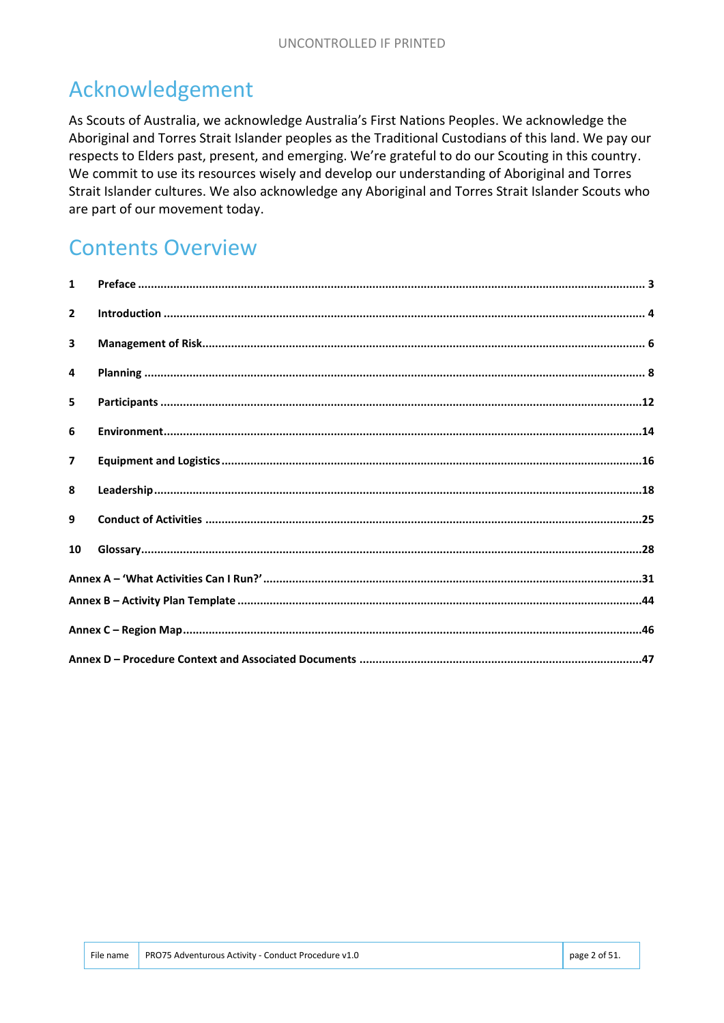# Acknowledgement

As Scouts of Australia, we acknowledge Australia's First Nations Peoples. We acknowledge the Aboriginal and Torres Strait Islander peoples as the Traditional Custodians of this land. We pay our respects to Elders past, present, and emerging. We're grateful to do our Scouting in this country. We commit to use its resources wisely and develop our understanding of Aboriginal and Torres Strait Islander cultures. We also acknowledge any Aboriginal and Torres Strait Islander Scouts who are part of our movement today.

## **Contents Overview**

| $\mathbf{1}$            |  |
|-------------------------|--|
| $\overline{2}$          |  |
| 3                       |  |
| 4                       |  |
| 5                       |  |
| 6                       |  |
| $\overline{\mathbf{z}}$ |  |
| 8                       |  |
| 9                       |  |
| 10                      |  |
|                         |  |
|                         |  |
|                         |  |
|                         |  |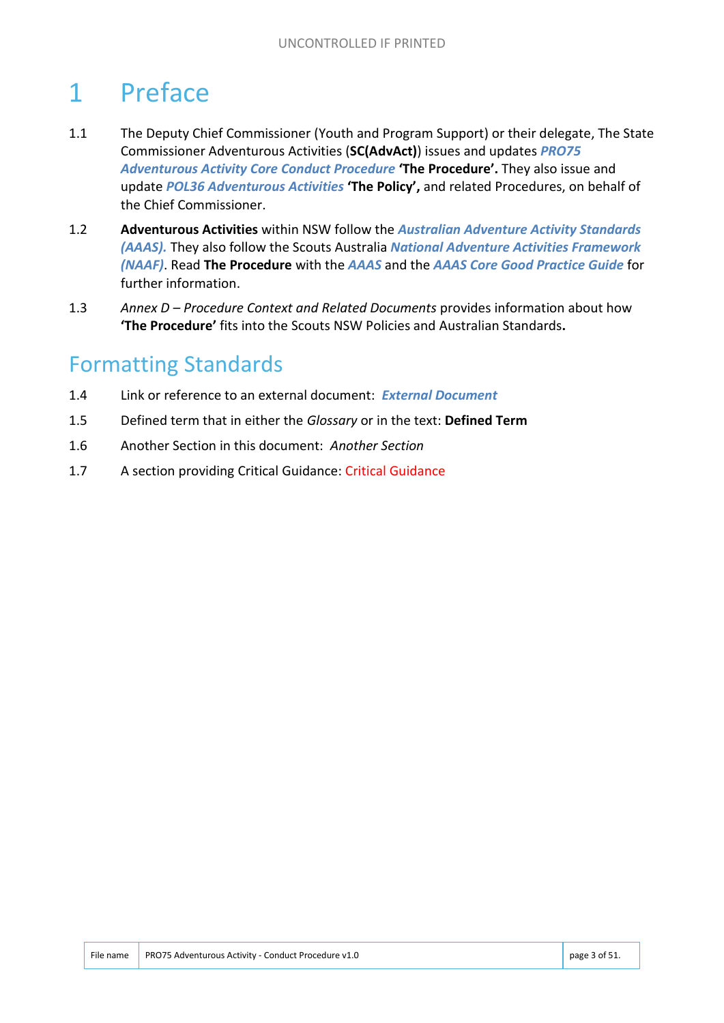# 1 Preface

- 1.1 The Deputy Chief Commissioner (Youth and Program Support) or their delegate, The State Commissioner Adventurous Activities (**SC(AdvAct)**) issues and updates *PRO75 Adventurous Activity Core Conduct Procedure* **'The Procedure'.** They also issue and update *POL36 Adventurous Activities* **'The Policy',** and related Procedures, on behalf of the Chief Commissioner.
- 1.2 **Adventurous Activities** within NSW follow the *Australian Adventure Activity Standards (AAAS).* They also follow the Scouts Australia *National Adventure Activities Framework (NAAF)*. Read **The Procedure** with the *AAAS* and the *AAAS Core Good Practice Guide* for further information.
- 1.3 *Annex D – Procedure Context and Related Documents* provides information about how **'The Procedure'** fits into the Scouts NSW Policies and Australian Standards**.**

# Formatting Standards

- 1.4 Link or reference to an external document: *External Document*
- 1.5 Defined term that in either the *Glossary* or in the text: **Defined Term**
- 1.6 Another Section in this document: *Another Section*
- 1.7 A section providing Critical Guidance: Critical Guidance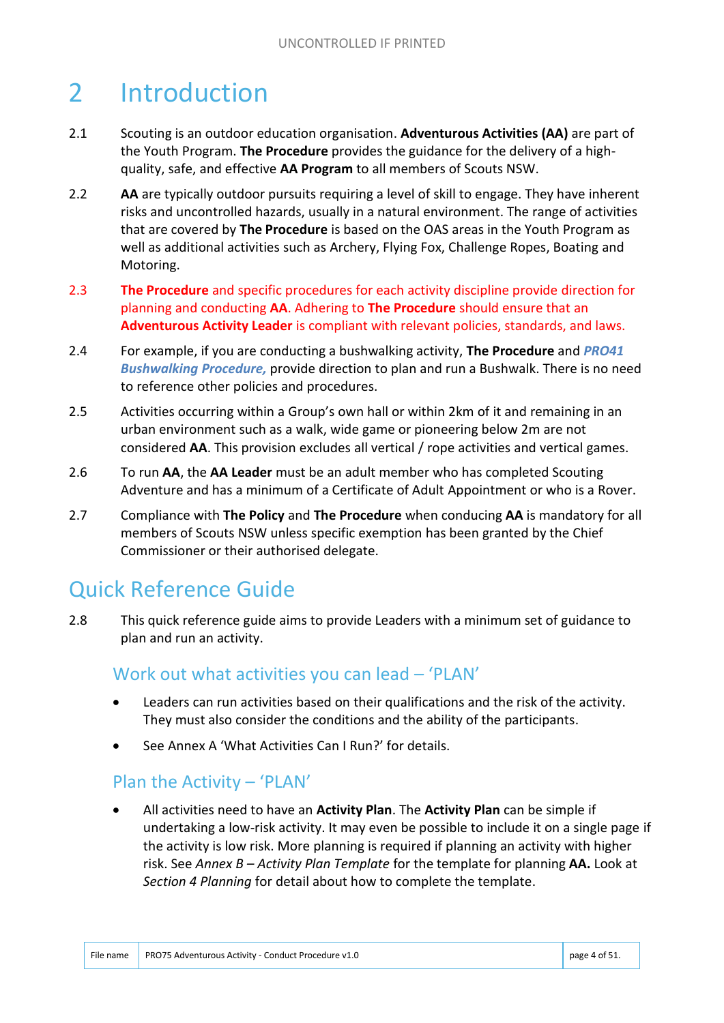# 2 Introduction

- 2.1 Scouting is an outdoor education organisation. **Adventurous Activities (AA)** are part of the Youth Program. **The Procedure** provides the guidance for the delivery of a highquality, safe, and effective **AA Program** to all members of Scouts NSW.
- 2.2 **AA** are typically outdoor pursuits requiring a level of skill to engage. They have inherent risks and uncontrolled hazards, usually in a natural environment. The range of activities that are covered by **The Procedure** is based on the OAS areas in the Youth Program as well as additional activities such as Archery, Flying Fox, Challenge Ropes, Boating and Motoring.
- 2.3 **The Procedure** and specific procedures for each activity discipline provide direction for planning and conducting **AA**. Adhering to **The Procedure** should ensure that an **Adventurous Activity Leader** is compliant with relevant policies, standards, and laws.
- 2.4 For example, if you are conducting a bushwalking activity, **The Procedure** and *PRO41 Bushwalking Procedure,* provide direction to plan and run a Bushwalk. There is no need to reference other policies and procedures.
- 2.5 Activities occurring within a Group's own hall or within 2km of it and remaining in an urban environment such as a walk, wide game or pioneering below 2m are not considered **AA**. This provision excludes all vertical / rope activities and vertical games.
- 2.6 To run **AA**, the **AA Leader** must be an adult member who has completed Scouting Adventure and has a minimum of a Certificate of Adult Appointment or who is a Rover.
- 2.7 Compliance with **The Policy** and **The Procedure** when conducing **AA** is mandatory for all members of Scouts NSW unless specific exemption has been granted by the Chief Commissioner or their authorised delegate.

# Quick Reference Guide

2.8 This quick reference guide aims to provide Leaders with a minimum set of guidance to plan and run an activity.

#### Work out what activities you can lead – 'PLAN'

- Leaders can run activities based on their qualifications and the risk of the activity. They must also consider the conditions and the ability of the participants.
- See Annex A 'What Activities Can I Run?' for details.

#### Plan the Activity – 'PLAN'

 All activities need to have an **Activity Plan**. The **Activity Plan** can be simple if undertaking a low-risk activity. It may even be possible to include it on a single page if the activity is low risk. More planning is required if planning an activity with higher risk. See *Annex B – Activity Plan Template* for the template for planning **AA.** Look at *Section 4 Planning* for detail about how to complete the template.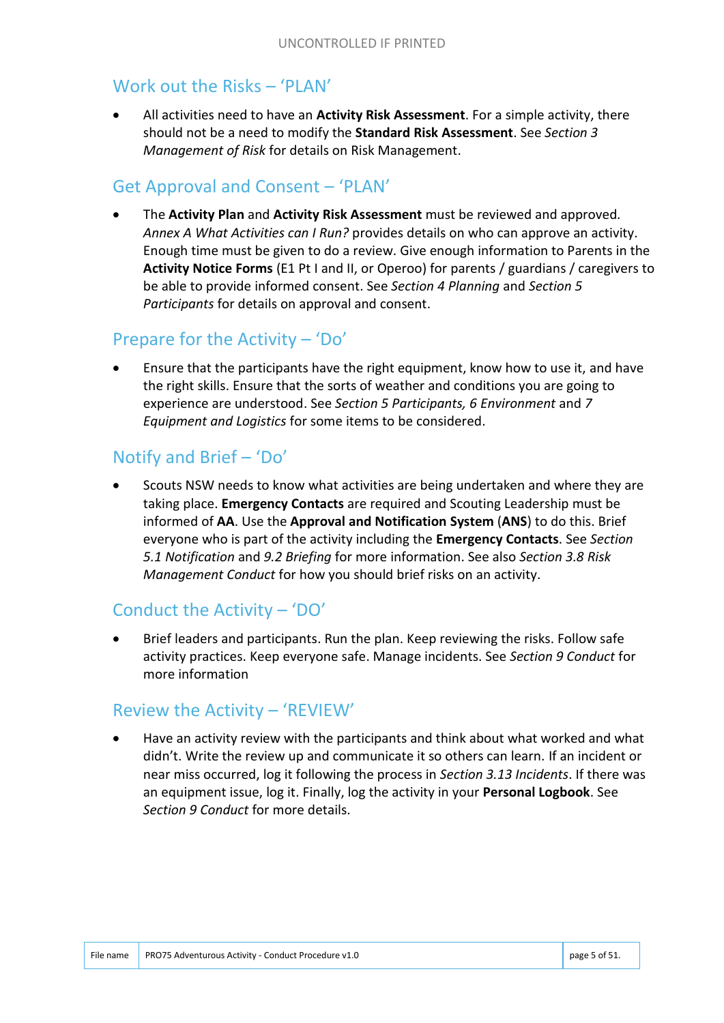#### Work out the Risks – 'PLAN'

 All activities need to have an **Activity Risk Assessment**. For a simple activity, there should not be a need to modify the **Standard Risk Assessment**. See *Section 3 Management of Risk* for details on Risk Management.

#### Get Approval and Consent – 'PLAN'

 The **Activity Plan** and **Activity Risk Assessment** must be reviewed and approved*. Annex A What Activities can I Run?* provides details on who can approve an activity. Enough time must be given to do a review. Give enough information to Parents in the **Activity Notice Forms** (E1 Pt I and II, or Operoo) for parents / guardians / caregivers to be able to provide informed consent. See *Section 4 Planning* and *Section 5 Participants* for details on approval and consent.

#### Prepare for the Activity – 'Do'

 Ensure that the participants have the right equipment, know how to use it, and have the right skills. Ensure that the sorts of weather and conditions you are going to experience are understood. See *Section 5 Participants, 6 Environment* and *7 Equipment and Logistics* for some items to be considered.

#### Notify and Brief – 'Do'

 Scouts NSW needs to know what activities are being undertaken and where they are taking place. **Emergency Contacts** are required and Scouting Leadership must be informed of **AA**. Use the **Approval and Notification System** (**ANS**) to do this. Brief everyone who is part of the activity including the **Emergency Contacts**. See *Section 5.1 Notification* and *9.2 Briefing* for more information. See also *Section 3.8 Risk Management Conduct* for how you should brief risks on an activity.

#### Conduct the Activity – 'DO'

 Brief leaders and participants. Run the plan. Keep reviewing the risks. Follow safe activity practices. Keep everyone safe. Manage incidents. See *Section 9 Conduct* for more information

#### Review the Activity – 'REVIEW'

 Have an activity review with the participants and think about what worked and what didn't. Write the review up and communicate it so others can learn. If an incident or near miss occurred, log it following the process in *Section 3.13 Incidents*. If there was an equipment issue, log it. Finally, log the activity in your **Personal Logbook**. See *Section 9 Conduct* for more details.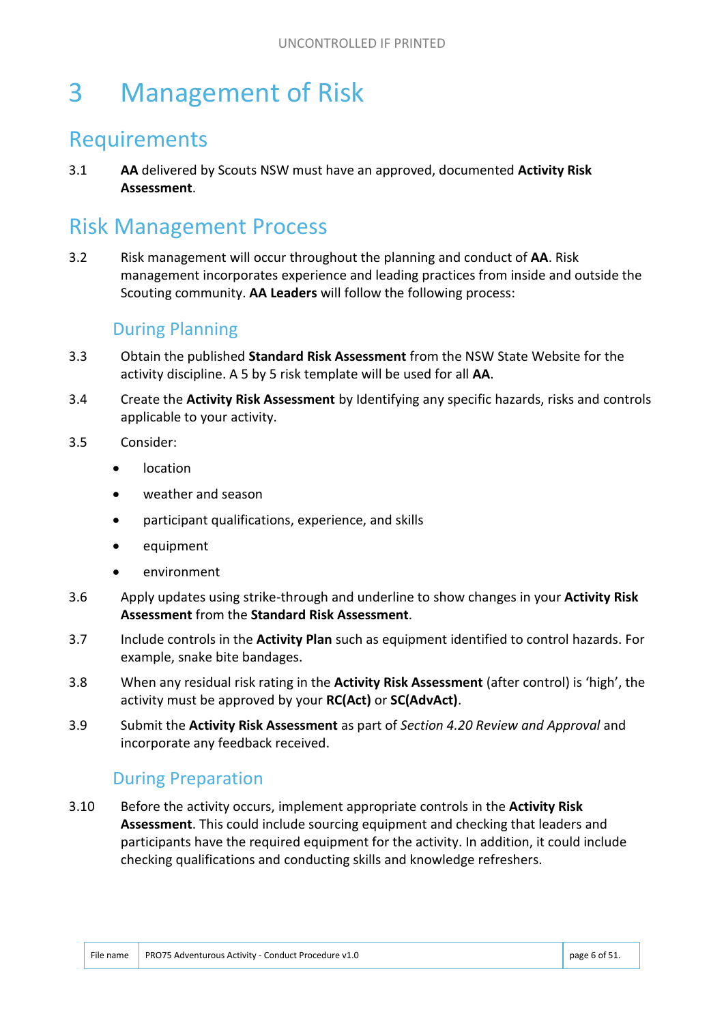# 3 Management of Risk

#### Requirements

3.1 **AA** delivered by Scouts NSW must have an approved, documented **Activity Risk Assessment**.

## Risk Management Process

3.2 Risk management will occur throughout the planning and conduct of **AA**. Risk management incorporates experience and leading practices from inside and outside the Scouting community. **AA Leaders** will follow the following process:

#### During Planning

- 3.3 Obtain the published **Standard Risk Assessment** from the NSW State Website for the activity discipline. A 5 by 5 risk template will be used for all **AA**.
- 3.4 Create the **Activity Risk Assessment** by Identifying any specific hazards, risks and controls applicable to your activity.
- 3.5 Consider:
	- location
	- weather and season
	- participant qualifications, experience, and skills
	- equipment
	- environment
- 3.6 Apply updates using strike-through and underline to show changes in your **Activity Risk Assessment** from the **Standard Risk Assessment**.
- 3.7 Include controls in the **Activity Plan** such as equipment identified to control hazards. For example, snake bite bandages.
- 3.8 When any residual risk rating in the **Activity Risk Assessment** (after control) is 'high', the activity must be approved by your **RC(Act)** or **SC(AdvAct)**.
- 3.9 Submit the **Activity Risk Assessment** as part of *Section 4.20 Review and Approval* and incorporate any feedback received.

#### During Preparation

3.10 Before the activity occurs, implement appropriate controls in the **Activity Risk Assessment**. This could include sourcing equipment and checking that leaders and participants have the required equipment for the activity. In addition, it could include checking qualifications and conducting skills and knowledge refreshers.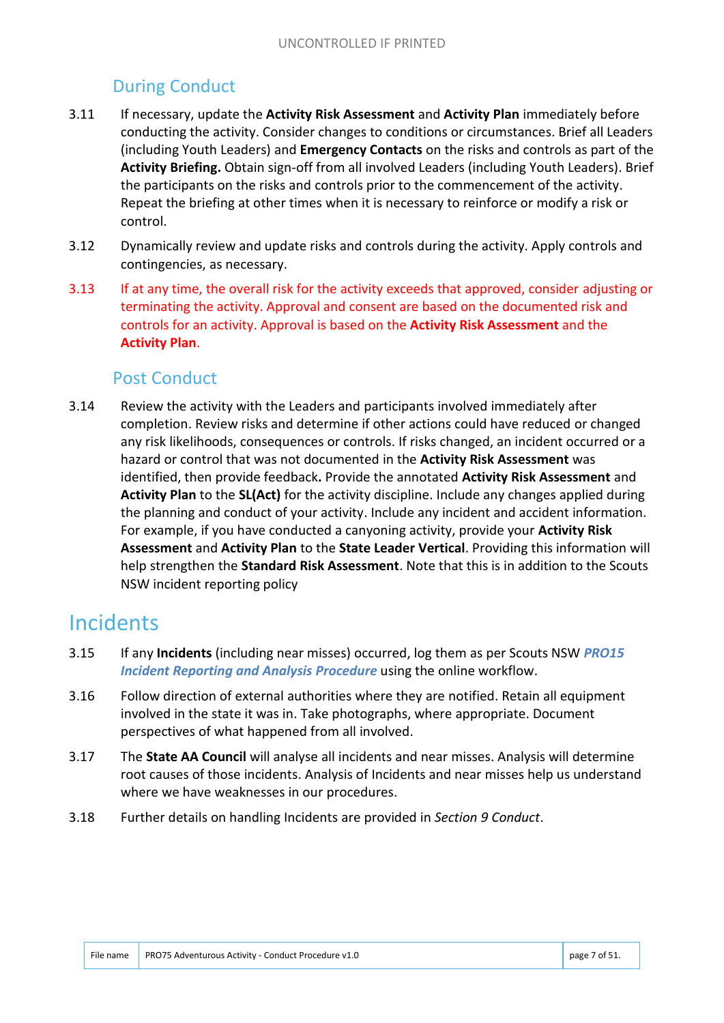#### During Conduct

- 3.11 If necessary, update the **Activity Risk Assessment** and **Activity Plan** immediately before conducting the activity. Consider changes to conditions or circumstances. Brief all Leaders (including Youth Leaders) and **Emergency Contacts** on the risks and controls as part of the **Activity Briefing.** Obtain sign-off from all involved Leaders (including Youth Leaders). Brief the participants on the risks and controls prior to the commencement of the activity. Repeat the briefing at other times when it is necessary to reinforce or modify a risk or control.
- 3.12 Dynamically review and update risks and controls during the activity. Apply controls and contingencies, as necessary.
- 3.13 If at any time, the overall risk for the activity exceeds that approved, consider adjusting or terminating the activity. Approval and consent are based on the documented risk and controls for an activity. Approval is based on the **Activity Risk Assessment** and the **Activity Plan**.

#### Post Conduct

3.14 Review the activity with the Leaders and participants involved immediately after completion. Review risks and determine if other actions could have reduced or changed any risk likelihoods, consequences or controls. If risks changed, an incident occurred or a hazard or control that was not documented in the **Activity Risk Assessment** was identified, then provide feedback**.** Provide the annotated **Activity Risk Assessment** and **Activity Plan** to the **SL(Act)** for the activity discipline. Include any changes applied during the planning and conduct of your activity. Include any incident and accident information. For example, if you have conducted a canyoning activity, provide your **Activity Risk Assessment** and **Activity Plan** to the **State Leader Vertical**. Providing this information will help strengthen the **Standard Risk Assessment**. Note that this is in addition to the Scouts NSW incident reporting policy

#### **Incidents**

- 3.15 If any **Incidents** (including near misses) occurred, log them as per Scouts NSW *PRO15 Incident Reporting and Analysis Procedure* using the online workflow.
- 3.16 Follow direction of external authorities where they are notified. Retain all equipment involved in the state it was in. Take photographs, where appropriate. Document perspectives of what happened from all involved.
- 3.17 The **State AA Council** will analyse all incidents and near misses. Analysis will determine root causes of those incidents. Analysis of Incidents and near misses help us understand where we have weaknesses in our procedures.
- 3.18 Further details on handling Incidents are provided in *Section 9 Conduct*.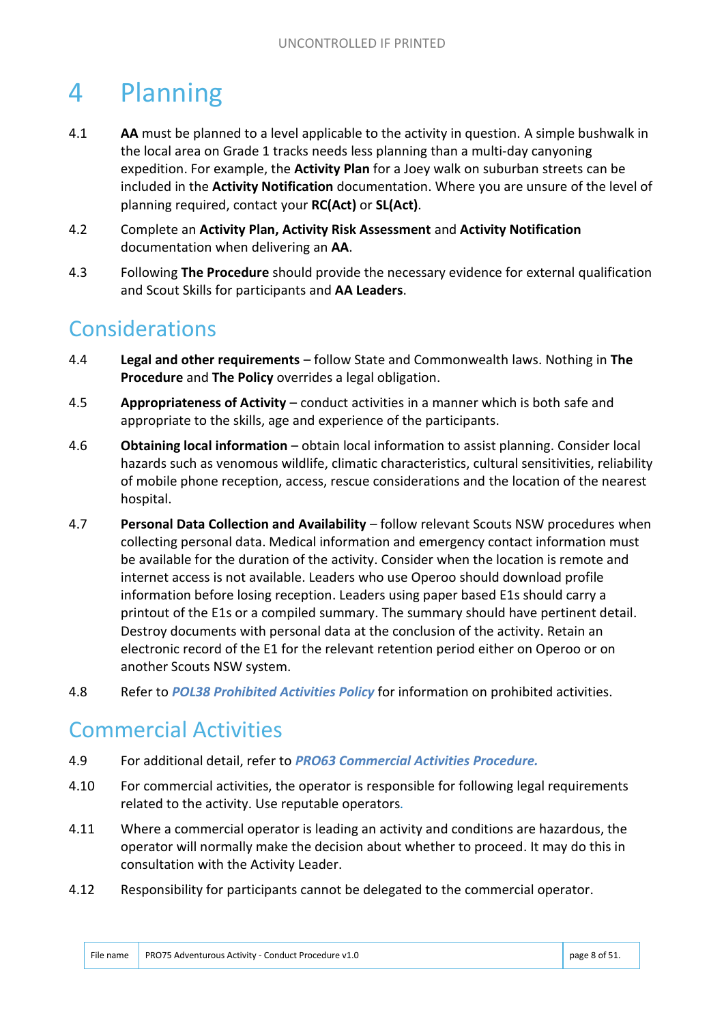# 4 Planning

- 4.1 **AA** must be planned to a level applicable to the activity in question. A simple bushwalk in the local area on Grade 1 tracks needs less planning than a multi-day canyoning expedition. For example, the **Activity Plan** for a Joey walk on suburban streets can be included in the **Activity Notification** documentation. Where you are unsure of the level of planning required, contact your **RC(Act)** or **SL(Act)**.
- 4.2 Complete an **Activity Plan, Activity Risk Assessment** and **Activity Notification** documentation when delivering an **AA**.
- 4.3 Following **The Procedure** should provide the necessary evidence for external qualification and Scout Skills for participants and **AA Leaders**.

## Considerations

- 4.4 **Legal and other requirements** follow State and Commonwealth laws. Nothing in **The Procedure** and **The Policy** overrides a legal obligation.
- 4.5 **Appropriateness of Activity** conduct activities in a manner which is both safe and appropriate to the skills, age and experience of the participants.
- 4.6 **Obtaining local information** obtain local information to assist planning. Consider local hazards such as venomous wildlife, climatic characteristics, cultural sensitivities, reliability of mobile phone reception, access, rescue considerations and the location of the nearest hospital.
- 4.7 **Personal Data Collection and Availability** follow relevant Scouts NSW procedures when collecting personal data. Medical information and emergency contact information must be available for the duration of the activity. Consider when the location is remote and internet access is not available. Leaders who use Operoo should download profile information before losing reception. Leaders using paper based E1s should carry a printout of the E1s or a compiled summary. The summary should have pertinent detail. Destroy documents with personal data at the conclusion of the activity. Retain an electronic record of the E1 for the relevant retention period either on Operoo or on another Scouts NSW system.
- 4.8 Refer to *POL38 Prohibited Activities Policy* for information on prohibited activities.

#### Commercial Activities

- 4.9 For additional detail, refer to *PRO63 Commercial Activities Procedure.*
- 4.10 For commercial activities, the operator is responsible for following legal requirements related to the activity. Use reputable operators*.*
- 4.11 Where a commercial operator is leading an activity and conditions are hazardous, the operator will normally make the decision about whether to proceed. It may do this in consultation with the Activity Leader.
- 4.12 Responsibility for participants cannot be delegated to the commercial operator.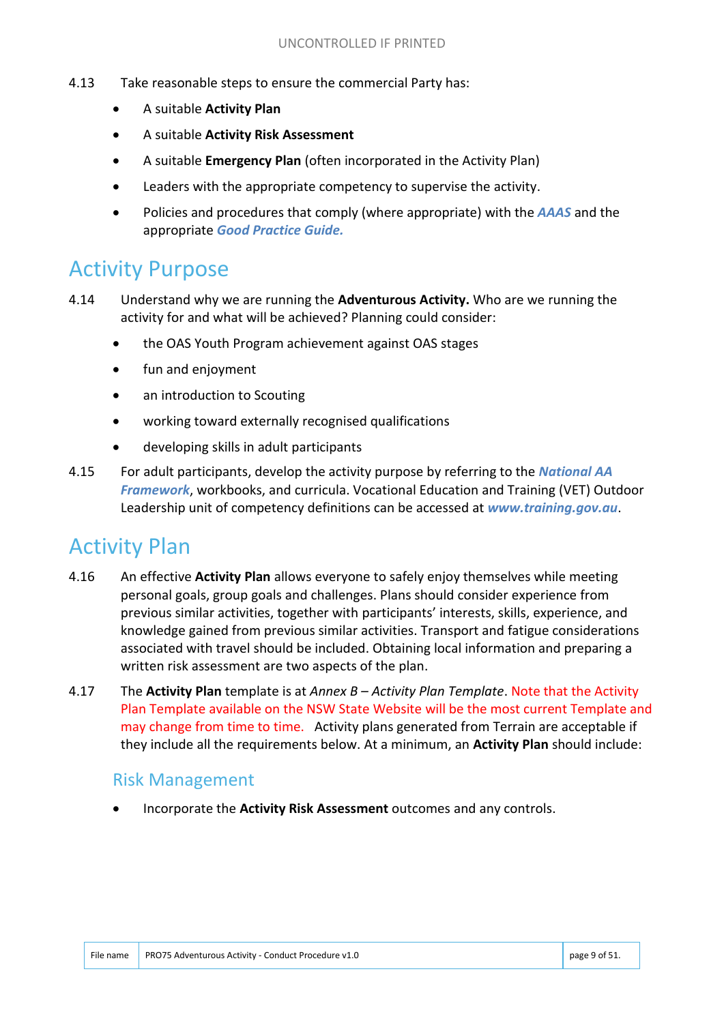- 4.13 Take reasonable steps to ensure the commercial Party has:
	- A suitable **Activity Plan**
	- A suitable **Activity Risk Assessment**
	- A suitable **Emergency Plan** (often incorporated in the Activity Plan)
	- Leaders with the appropriate competency to supervise the activity.
	- Policies and procedures that comply (where appropriate) with the *AAAS* and the appropriate *Good Practice Guide.*

## Activity Purpose

- 4.14 Understand why we are running the **Adventurous Activity.** Who are we running the activity for and what will be achieved? Planning could consider:
	- the OAS Youth Program achievement against OAS stages
	- fun and enjoyment
	- an introduction to Scouting
	- working toward externally recognised qualifications
	- developing skills in adult participants
- 4.15 For adult participants, develop the activity purpose by referring to the *National AA Framework*, workbooks, and curricula. Vocational Education and Training (VET) Outdoor Leadership unit of competency definitions can be accessed at *www.training.gov.au*.

## Activity Plan

- 4.16 An effective **Activity Plan** allows everyone to safely enjoy themselves while meeting personal goals, group goals and challenges. Plans should consider experience from previous similar activities, together with participants' interests, skills, experience, and knowledge gained from previous similar activities. Transport and fatigue considerations associated with travel should be included. Obtaining local information and preparing a written risk assessment are two aspects of the plan.
- 4.17 The **Activity Plan** template is at *Annex B – Activity Plan Template*. Note that the Activity Plan Template available on the NSW State Website will be the most current Template and may change from time to time. Activity plans generated from Terrain are acceptable if they include all the requirements below. At a minimum, an **Activity Plan** should include:

#### Risk Management

Incorporate the **Activity Risk Assessment** outcomes and any controls.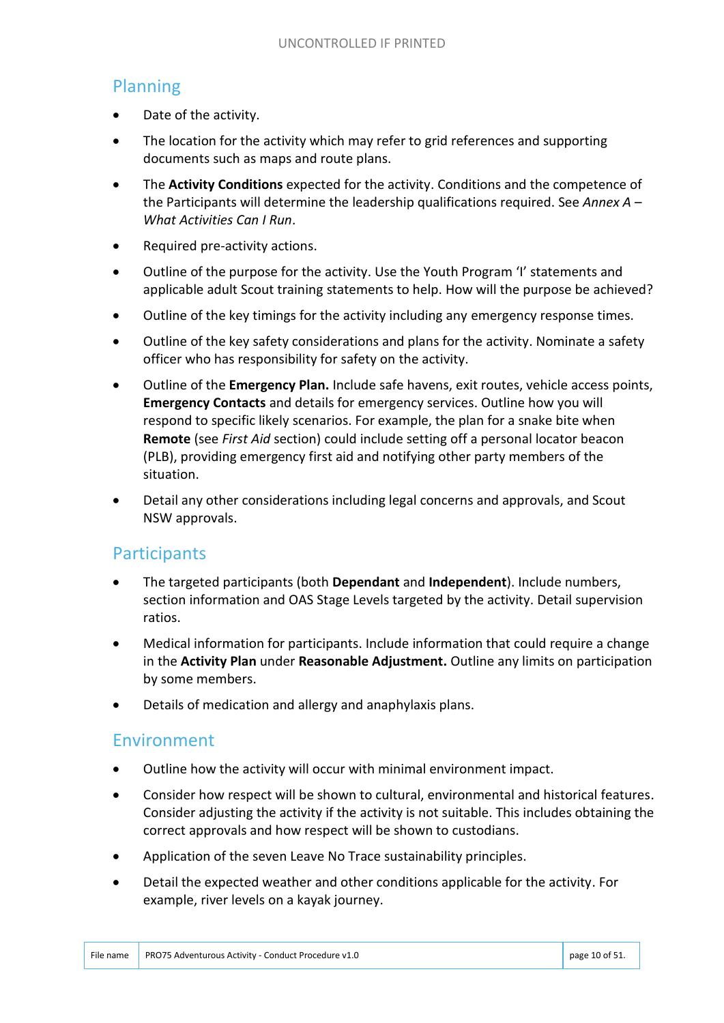#### Planning

- Date of the activity.
- The location for the activity which may refer to grid references and supporting documents such as maps and route plans.
- The **Activity Conditions** expected for the activity. Conditions and the competence of the Participants will determine the leadership qualifications required. See *Annex A – What Activities Can I Run*.
- Required pre-activity actions.
- Outline of the purpose for the activity. Use the Youth Program 'I' statements and applicable adult Scout training statements to help. How will the purpose be achieved?
- Outline of the key timings for the activity including any emergency response times.
- Outline of the key safety considerations and plans for the activity. Nominate a safety officer who has responsibility for safety on the activity.
- Outline of the **Emergency Plan.** Include safe havens, exit routes, vehicle access points, **Emergency Contacts** and details for emergency services. Outline how you will respond to specific likely scenarios. For example, the plan for a snake bite when **Remote** (see *First Aid* section) could include setting off a personal locator beacon (PLB), providing emergency first aid and notifying other party members of the situation.
- Detail any other considerations including legal concerns and approvals, and Scout NSW approvals.

#### **Participants**

- The targeted participants (both **Dependant** and **Independent**). Include numbers, section information and OAS Stage Levels targeted by the activity. Detail supervision ratios.
- Medical information for participants. Include information that could require a change in the **Activity Plan** under **Reasonable Adjustment.** Outline any limits on participation by some members.
- Details of medication and allergy and anaphylaxis plans.

#### Environment

- Outline how the activity will occur with minimal environment impact.
- Consider how respect will be shown to cultural, environmental and historical features. Consider adjusting the activity if the activity is not suitable. This includes obtaining the correct approvals and how respect will be shown to custodians.
- Application of the seven Leave No Trace sustainability principles.
- Detail the expected weather and other conditions applicable for the activity. For example, river levels on a kayak journey.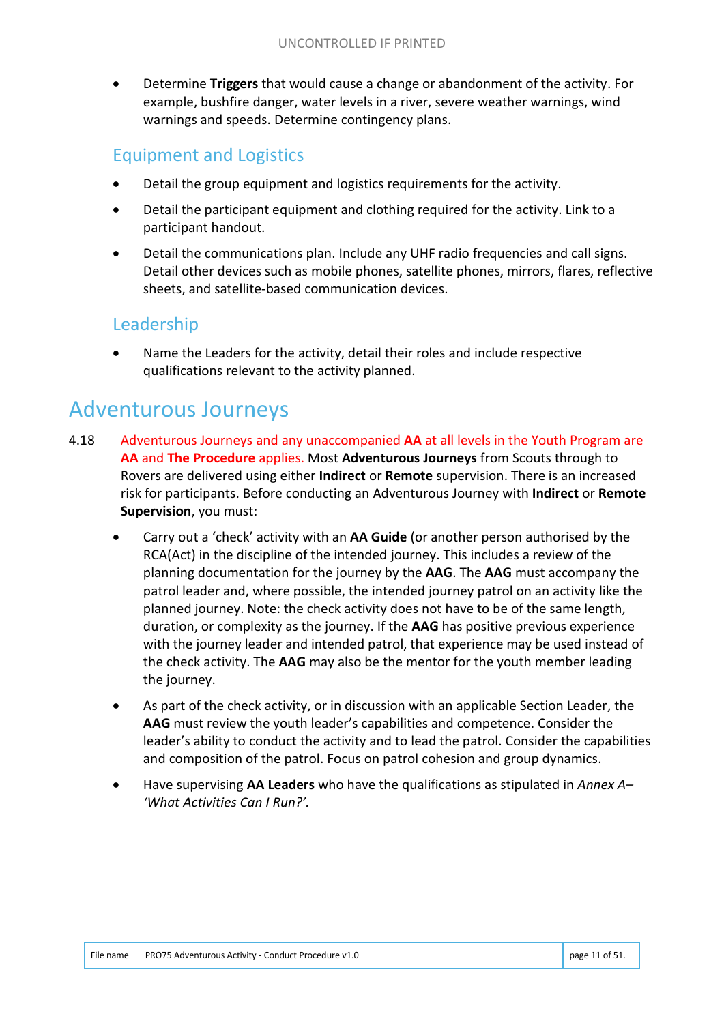Determine **Triggers** that would cause a change or abandonment of the activity. For example, bushfire danger, water levels in a river, severe weather warnings, wind warnings and speeds. Determine contingency plans.

#### Equipment and Logistics

- Detail the group equipment and logistics requirements for the activity.
- Detail the participant equipment and clothing required for the activity. Link to a participant handout.
- Detail the communications plan. Include any UHF radio frequencies and call signs. Detail other devices such as mobile phones, satellite phones, mirrors, flares, reflective sheets, and satellite-based communication devices.

#### Leadership

 Name the Leaders for the activity, detail their roles and include respective qualifications relevant to the activity planned.

## Adventurous Journeys

- 4.18 Adventurous Journeys and any unaccompanied **AA** at all levels in the Youth Program are **AA** and **The Procedure** applies. Most **Adventurous Journeys** from Scouts through to Rovers are delivered using either **Indirect** or **Remote** supervision. There is an increased risk for participants. Before conducting an Adventurous Journey with **Indirect** or **Remote Supervision**, you must:
	- Carry out a 'check' activity with an **AA Guide** (or another person authorised by the RCA(Act) in the discipline of the intended journey. This includes a review of the planning documentation for the journey by the **AAG**. The **AAG** must accompany the patrol leader and, where possible, the intended journey patrol on an activity like the planned journey. Note: the check activity does not have to be of the same length, duration, or complexity as the journey. If the **AAG** has positive previous experience with the journey leader and intended patrol, that experience may be used instead of the check activity. The **AAG** may also be the mentor for the youth member leading the journey.
	- As part of the check activity, or in discussion with an applicable Section Leader, the **AAG** must review the youth leader's capabilities and competence. Consider the leader's ability to conduct the activity and to lead the patrol. Consider the capabilities and composition of the patrol. Focus on patrol cohesion and group dynamics.
	- Have supervising **AA Leaders** who have the qualifications as stipulated in *Annex A– 'What Activities Can I Run?'.*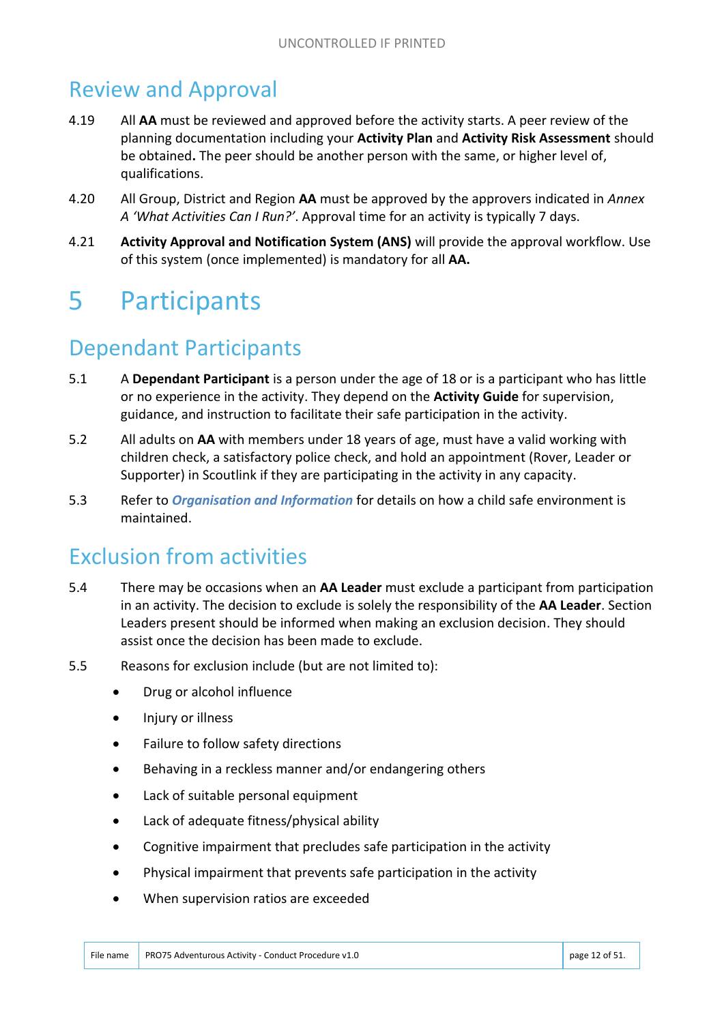# Review and Approval

- 4.19 All **AA** must be reviewed and approved before the activity starts. A peer review of the planning documentation including your **Activity Plan** and **Activity Risk Assessment** should be obtained**.** The peer should be another person with the same, or higher level of, qualifications.
- 4.20 All Group, District and Region **AA** must be approved by the approvers indicated in *Annex A 'What Activities Can I Run?'*. Approval time for an activity is typically 7 days.
- 4.21 **Activity Approval and Notification System (ANS)** will provide the approval workflow. Use of this system (once implemented) is mandatory for all **AA.**

# 5 Participants

# Dependant Participants

- 5.1 A **Dependant Participant** is a person under the age of 18 or is a participant who has little or no experience in the activity. They depend on the **Activity Guide** for supervision, guidance, and instruction to facilitate their safe participation in the activity.
- 5.2 All adults on **AA** with members under 18 years of age, must have a valid working with children check, a satisfactory police check, and hold an appointment (Rover, Leader or Supporter) in Scoutlink if they are participating in the activity in any capacity.
- 5.3 Refer to *Organisation and Information* for details on how a child safe environment is maintained.

#### Exclusion from activities

- 5.4 There may be occasions when an **AA Leader** must exclude a participant from participation in an activity. The decision to exclude is solely the responsibility of the **AA Leader**. Section Leaders present should be informed when making an exclusion decision. They should assist once the decision has been made to exclude.
- 5.5 Reasons for exclusion include (but are not limited to):
	- Drug or alcohol influence
	- Injury or illness
	- Failure to follow safety directions
	- Behaving in a reckless manner and/or endangering others
	- Lack of suitable personal equipment
	- Lack of adequate fitness/physical ability
	- Cognitive impairment that precludes safe participation in the activity
	- Physical impairment that prevents safe participation in the activity
	- When supervision ratios are exceeded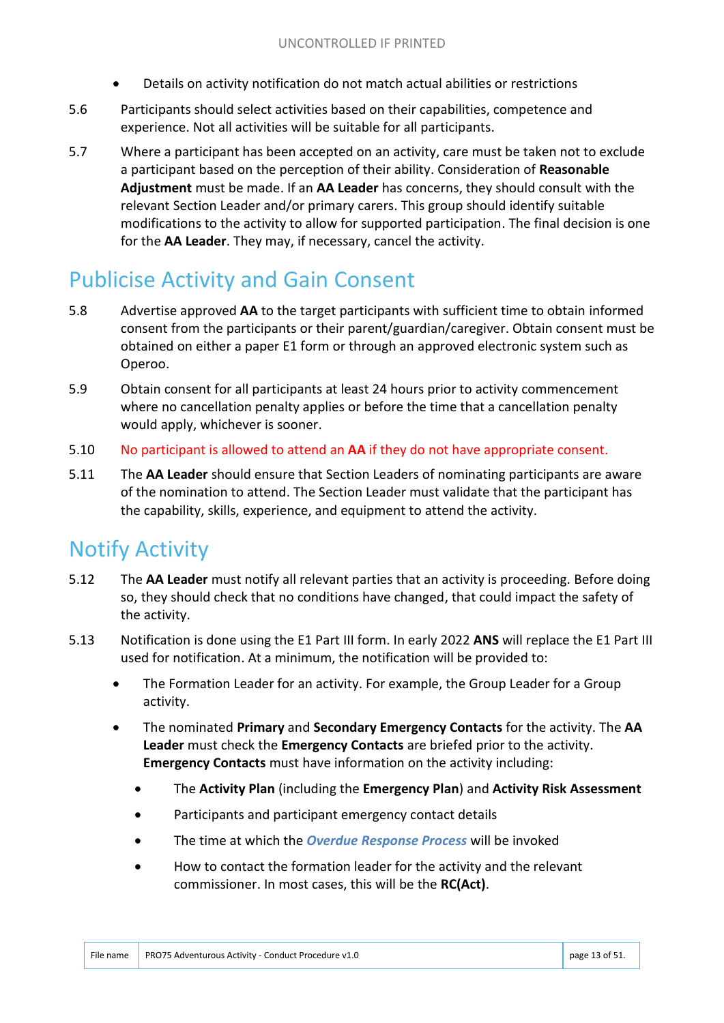- Details on activity notification do not match actual abilities or restrictions
- 5.6 Participants should select activities based on their capabilities, competence and experience. Not all activities will be suitable for all participants.
- 5.7 Where a participant has been accepted on an activity, care must be taken not to exclude a participant based on the perception of their ability. Consideration of **Reasonable Adjustment** must be made. If an **AA Leader** has concerns, they should consult with the relevant Section Leader and/or primary carers. This group should identify suitable modifications to the activity to allow for supported participation. The final decision is one for the **AA Leader**. They may, if necessary, cancel the activity.

## Publicise Activity and Gain Consent

- 5.8 Advertise approved **AA** to the target participants with sufficient time to obtain informed consent from the participants or their parent/guardian/caregiver. Obtain consent must be obtained on either a paper E1 form or through an approved electronic system such as Operoo.
- 5.9 Obtain consent for all participants at least 24 hours prior to activity commencement where no cancellation penalty applies or before the time that a cancellation penalty would apply, whichever is sooner.
- 5.10 No participant is allowed to attend an **AA** if they do not have appropriate consent.
- 5.11 The **AA Leader** should ensure that Section Leaders of nominating participants are aware of the nomination to attend. The Section Leader must validate that the participant has the capability, skills, experience, and equipment to attend the activity.

#### Notify Activity

- 5.12 The **AA Leader** must notify all relevant parties that an activity is proceeding. Before doing so, they should check that no conditions have changed, that could impact the safety of the activity.
- 5.13 Notification is done using the E1 Part III form. In early 2022 **ANS** will replace the E1 Part III used for notification. At a minimum, the notification will be provided to:
	- The Formation Leader for an activity. For example, the Group Leader for a Group activity.
	- The nominated **Primary** and **Secondary Emergency Contacts** for the activity. The **AA Leader** must check the **Emergency Contacts** are briefed prior to the activity. **Emergency Contacts** must have information on the activity including:
		- The **Activity Plan** (including the **Emergency Plan**) and **Activity Risk Assessment**
		- Participants and participant emergency contact details
		- The time at which the *Overdue Response Process* will be invoked
		- How to contact the formation leader for the activity and the relevant commissioner. In most cases, this will be the **RC(Act)**.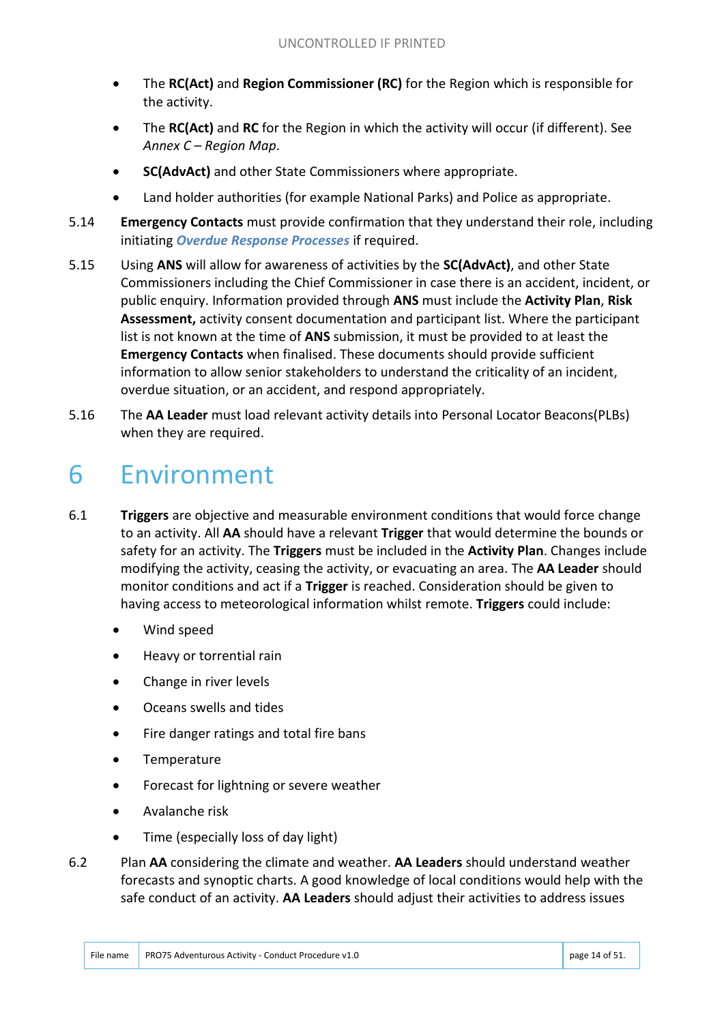- The **RC(Act)** and **Region Commissioner (RC)** for the Region which is responsible for the activity.
- The **RC(Act)** and **RC** for the Region in which the activity will occur (if different). See *Annex C – Region Map*.
- **SC(AdvAct)** and other State Commissioners where appropriate.
- Land holder authorities (for example National Parks) and Police as appropriate.
- 5.14 **Emergency Contacts** must provide confirmation that they understand their role, including initiating *Overdue Response Processes* if required.
- 5.15 Using **ANS** will allow for awareness of activities by the **SC(AdvAct)**, and other State Commissioners including the Chief Commissioner in case there is an accident, incident, or public enquiry. Information provided through **ANS** must include the **Activity Plan**, **Risk Assessment,** activity consent documentation and participant list. Where the participant list is not known at the time of **ANS** submission, it must be provided to at least the **Emergency Contacts** when finalised. These documents should provide sufficient information to allow senior stakeholders to understand the criticality of an incident, overdue situation, or an accident, and respond appropriately.
- 5.16 The **AA Leader** must load relevant activity details into Personal Locator Beacons(PLBs) when they are required.

# 6 Environment

- 6.1 **Triggers** are objective and measurable environment conditions that would force change to an activity. All **AA** should have a relevant **Trigger** that would determine the bounds or safety for an activity. The **Triggers** must be included in the **Activity Plan**. Changes include modifying the activity, ceasing the activity, or evacuating an area. The **AA Leader** should monitor conditions and act if a **Trigger** is reached. Consideration should be given to having access to meteorological information whilst remote. **Triggers** could include:
	- Wind speed
	- Heavy or torrential rain
	- Change in river levels
	- Oceans swells and tides
	- Fire danger ratings and total fire bans
	- Temperature
	- Forecast for lightning or severe weather
	- Avalanche risk
	- Time (especially loss of day light)
- 6.2 Plan **AA** considering the climate and weather. **AA Leaders** should understand weather forecasts and synoptic charts. A good knowledge of local conditions would help with the safe conduct of an activity. **AA Leaders** should adjust their activities to address issues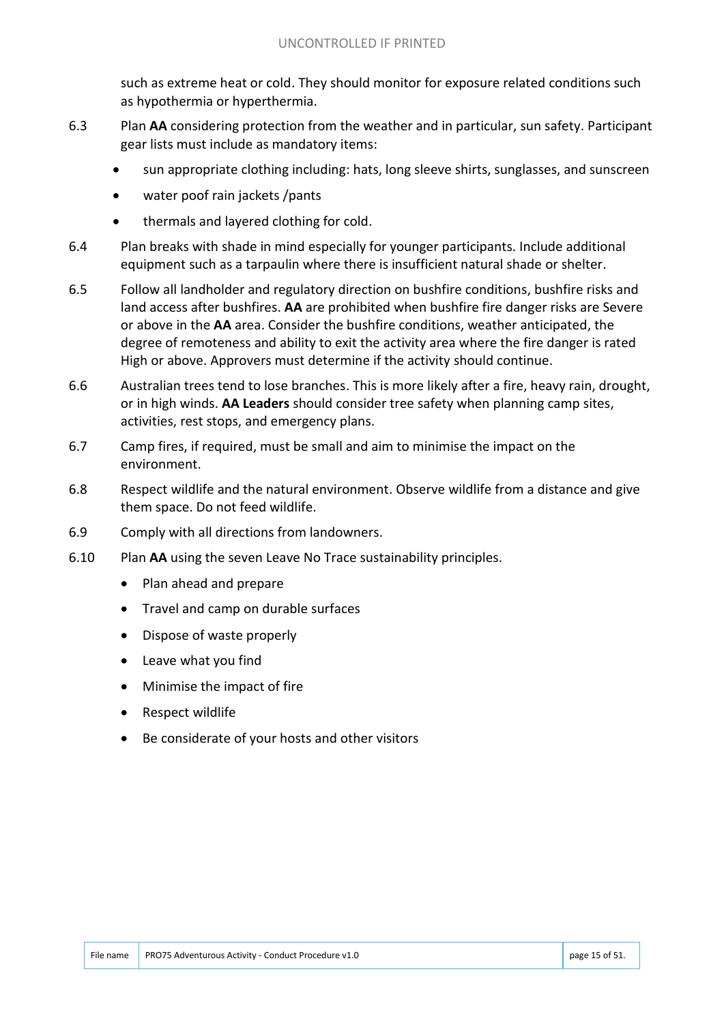such as extreme heat or cold. They should monitor for exposure related conditions such as hypothermia or hyperthermia.

- 6.3 Plan **AA** considering protection from the weather and in particular, sun safety. Participant gear lists must include as mandatory items:
	- sun appropriate clothing including: hats, long sleeve shirts, sunglasses, and sunscreen
	- water poof rain jackets /pants
	- thermals and layered clothing for cold.
- 6.4 Plan breaks with shade in mind especially for younger participants. Include additional equipment such as a tarpaulin where there is insufficient natural shade or shelter.
- 6.5 Follow all landholder and regulatory direction on bushfire conditions, bushfire risks and land access after bushfires. **AA** are prohibited when bushfire fire danger risks are Severe or above in the **AA** area. Consider the bushfire conditions, weather anticipated, the degree of remoteness and ability to exit the activity area where the fire danger is rated High or above. Approvers must determine if the activity should continue.
- 6.6 Australian trees tend to lose branches. This is more likely after a fire, heavy rain, drought, or in high winds. **AA Leaders** should consider tree safety when planning camp sites, activities, rest stops, and emergency plans.
- 6.7 Camp fires, if required, must be small and aim to minimise the impact on the environment.
- 6.8 Respect wildlife and the natural environment. Observe wildlife from a distance and give them space. Do not feed wildlife.
- 6.9 Comply with all directions from landowners.
- 6.10 Plan **AA** using the seven Leave No Trace sustainability principles.
	- Plan ahead and prepare
	- Travel and camp on durable surfaces
	- Dispose of waste properly
	- Leave what you find
	- Minimise the impact of fire
	- Respect wildlife
	- Be considerate of your hosts and other visitors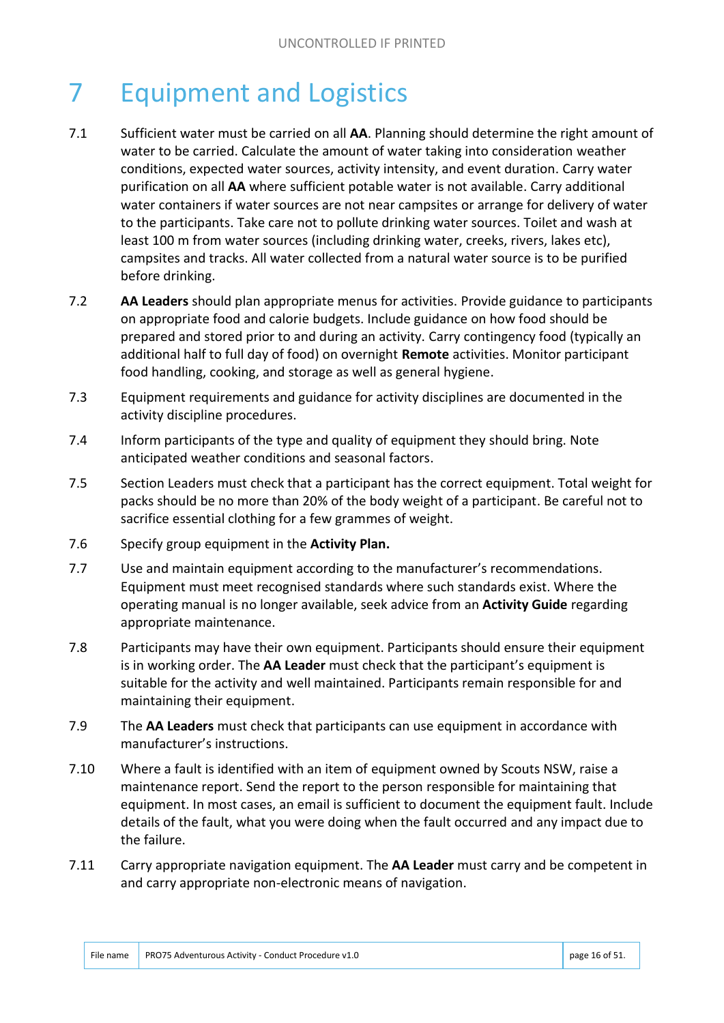# 7 Equipment and Logistics

- 7.1 Sufficient water must be carried on all **AA**. Planning should determine the right amount of water to be carried. Calculate the amount of water taking into consideration weather conditions, expected water sources, activity intensity, and event duration. Carry water purification on all **AA** where sufficient potable water is not available. Carry additional water containers if water sources are not near campsites or arrange for delivery of water to the participants. Take care not to pollute drinking water sources. Toilet and wash at least 100 m from water sources (including drinking water, creeks, rivers, lakes etc), campsites and tracks. All water collected from a natural water source is to be purified before drinking.
- 7.2 **AA Leaders** should plan appropriate menus for activities. Provide guidance to participants on appropriate food and calorie budgets. Include guidance on how food should be prepared and stored prior to and during an activity. Carry contingency food (typically an additional half to full day of food) on overnight **Remote** activities. Monitor participant food handling, cooking, and storage as well as general hygiene.
- 7.3 Equipment requirements and guidance for activity disciplines are documented in the activity discipline procedures.
- 7.4 Inform participants of the type and quality of equipment they should bring. Note anticipated weather conditions and seasonal factors.
- 7.5 Section Leaders must check that a participant has the correct equipment. Total weight for packs should be no more than 20% of the body weight of a participant. Be careful not to sacrifice essential clothing for a few grammes of weight.
- 7.6 Specify group equipment in the **Activity Plan.**
- 7.7 Use and maintain equipment according to the manufacturer's recommendations. Equipment must meet recognised standards where such standards exist. Where the operating manual is no longer available, seek advice from an **Activity Guide** regarding appropriate maintenance.
- 7.8 Participants may have their own equipment. Participants should ensure their equipment is in working order. The **AA Leader** must check that the participant's equipment is suitable for the activity and well maintained. Participants remain responsible for and maintaining their equipment.
- 7.9 The **AA Leaders** must check that participants can use equipment in accordance with manufacturer's instructions.
- 7.10 Where a fault is identified with an item of equipment owned by Scouts NSW, raise a maintenance report. Send the report to the person responsible for maintaining that equipment. In most cases, an email is sufficient to document the equipment fault. Include details of the fault, what you were doing when the fault occurred and any impact due to the failure.
- 7.11 Carry appropriate navigation equipment. The **AA Leader** must carry and be competent in and carry appropriate non-electronic means of navigation.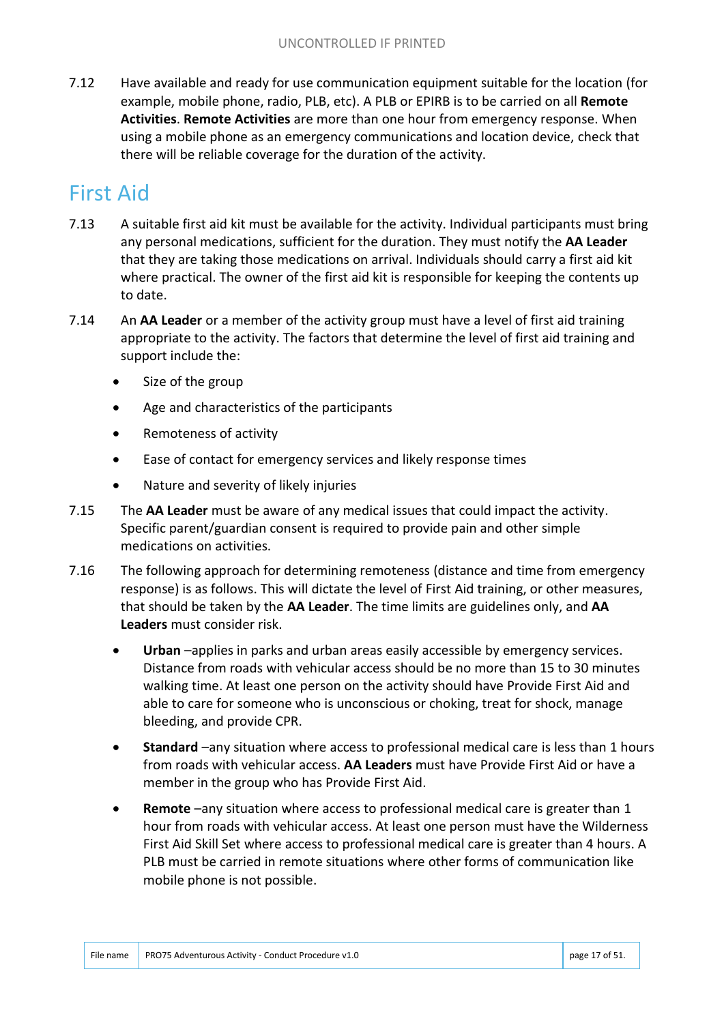7.12 Have available and ready for use communication equipment suitable for the location (for example, mobile phone, radio, PLB, etc). A PLB or EPIRB is to be carried on all **Remote Activities**. **Remote Activities** are more than one hour from emergency response. When using a mobile phone as an emergency communications and location device, check that there will be reliable coverage for the duration of the activity.

# First Aid

- 7.13 A suitable first aid kit must be available for the activity. Individual participants must bring any personal medications, sufficient for the duration. They must notify the **AA Leader** that they are taking those medications on arrival. Individuals should carry a first aid kit where practical. The owner of the first aid kit is responsible for keeping the contents up to date.
- 7.14 An **AA Leader** or a member of the activity group must have a level of first aid training appropriate to the activity. The factors that determine the level of first aid training and support include the:
	- Size of the group
	- Age and characteristics of the participants
	- Remoteness of activity
	- Ease of contact for emergency services and likely response times
	- Nature and severity of likely injuries
- 7.15 The **AA Leader** must be aware of any medical issues that could impact the activity. Specific parent/guardian consent is required to provide pain and other simple medications on activities.
- 7.16 The following approach for determining remoteness (distance and time from emergency response) is as follows. This will dictate the level of First Aid training, or other measures, that should be taken by the **AA Leader**. The time limits are guidelines only, and **AA Leaders** must consider risk.
	- **Urban** –applies in parks and urban areas easily accessible by emergency services. Distance from roads with vehicular access should be no more than 15 to 30 minutes walking time. At least one person on the activity should have Provide First Aid and able to care for someone who is unconscious or choking, treat for shock, manage bleeding, and provide CPR.
	- **Standard** –any situation where access to professional medical care is less than 1 hours from roads with vehicular access. **AA Leaders** must have Provide First Aid or have a member in the group who has Provide First Aid.
	- **Remote** –any situation where access to professional medical care is greater than 1 hour from roads with vehicular access. At least one person must have the Wilderness First Aid Skill Set where access to professional medical care is greater than 4 hours. A PLB must be carried in remote situations where other forms of communication like mobile phone is not possible.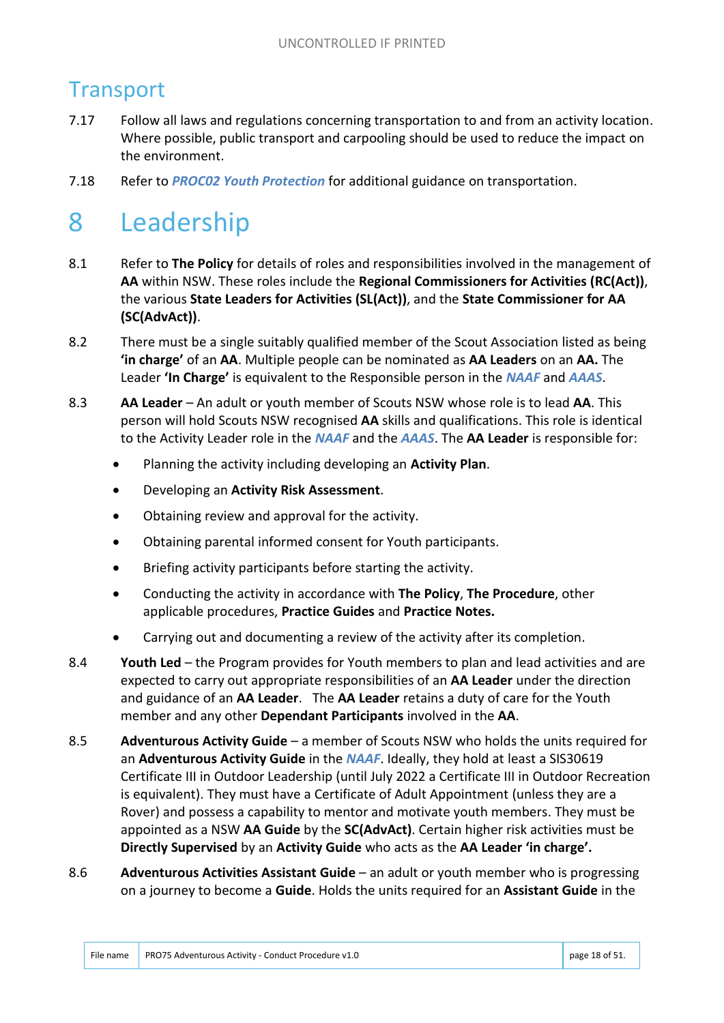# **Transport**

- 7.17 Follow all laws and regulations concerning transportation to and from an activity location. Where possible, public transport and carpooling should be used to reduce the impact on the environment.
- 7.18 Refer to *PROC02 Youth Protection* for additional guidance on transportation.

# 8 Leadership

- 8.1 Refer to **The Policy** for details of roles and responsibilities involved in the management of **AA** within NSW. These roles include the **Regional Commissioners for Activities (RC(Act))**, the various **State Leaders for Activities (SL(Act))**, and the **State Commissioner for AA (SC(AdvAct))**.
- 8.2 There must be a single suitably qualified member of the Scout Association listed as being **'in charge'** of an **AA**. Multiple people can be nominated as **AA Leaders** on an **AA.** The Leader **'In Charge'** is equivalent to the Responsible person in the *NAAF* and *AAAS*.
- 8.3 **AA Leader**  An adult or youth member of Scouts NSW whose role is to lead **AA**. This person will hold Scouts NSW recognised **AA** skills and qualifications. This role is identical to the Activity Leader role in the *NAAF* and the *AAAS*. The **AA Leader** is responsible for:
	- Planning the activity including developing an **Activity Plan**.
	- Developing an **Activity Risk Assessment**.
	- Obtaining review and approval for the activity.
	- Obtaining parental informed consent for Youth participants.
	- Briefing activity participants before starting the activity.
	- Conducting the activity in accordance with **The Policy**, **The Procedure**, other applicable procedures, **Practice Guides** and **Practice Notes.**
	- Carrying out and documenting a review of the activity after its completion.
- 8.4 **Youth Led** the Program provides for Youth members to plan and lead activities and are expected to carry out appropriate responsibilities of an **AA Leader** under the direction and guidance of an **AA Leader**. The **AA Leader** retains a duty of care for the Youth member and any other **Dependant Participants** involved in the **AA**.
- 8.5 **Adventurous Activity Guide**  a member of Scouts NSW who holds the units required for an **Adventurous Activity Guide** in the *NAAF*. Ideally, they hold at least a SIS30619 Certificate III in Outdoor Leadership (until July 2022 a Certificate III in Outdoor Recreation is equivalent). They must have a Certificate of Adult Appointment (unless they are a Rover) and possess a capability to mentor and motivate youth members. They must be appointed as a NSW **AA Guide** by the **SC(AdvAct)**. Certain higher risk activities must be **Directly Supervised** by an **Activity Guide** who acts as the **AA Leader 'in charge'.**
- 8.6 **Adventurous Activities Assistant Guide** an adult or youth member who is progressing on a journey to become a **Guide**. Holds the units required for an **Assistant Guide** in the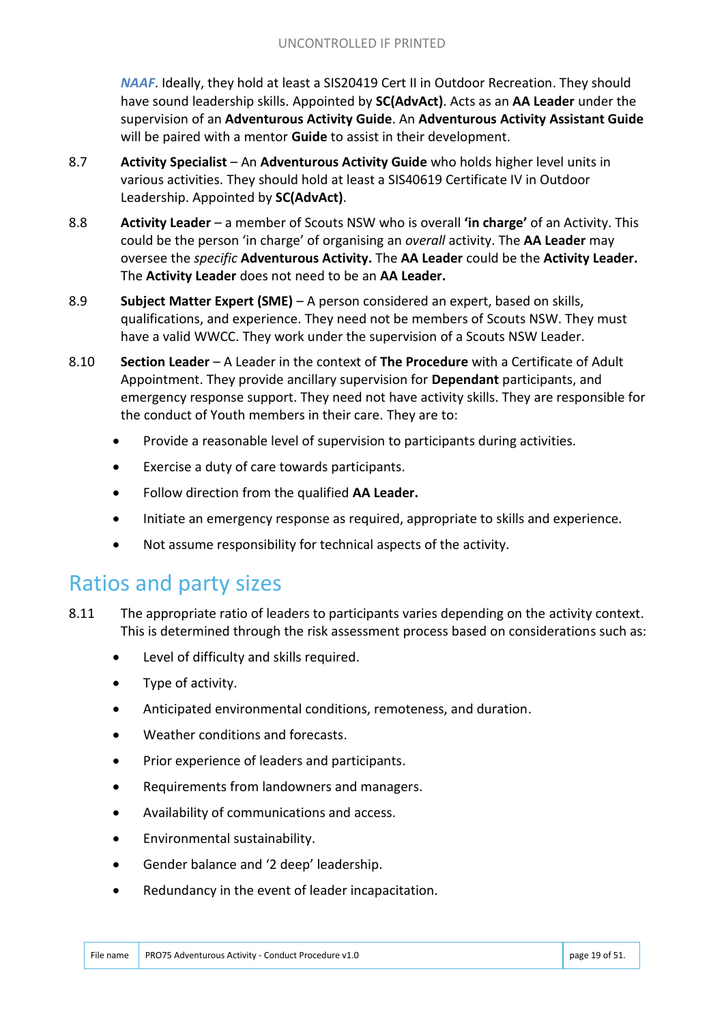*NAAF*. Ideally, they hold at least a SIS20419 Cert II in Outdoor Recreation. They should have sound leadership skills. Appointed by **SC(AdvAct)**. Acts as an **AA Leader** under the supervision of an **Adventurous Activity Guide**. An **Adventurous Activity Assistant Guide** will be paired with a mentor **Guide** to assist in their development.

- 8.7 **Activity Specialist**  An **Adventurous Activity Guide** who holds higher level units in various activities. They should hold at least a SIS40619 Certificate IV in Outdoor Leadership. Appointed by **SC(AdvAct)**.
- 8.8 **Activity Leader**  a member of Scouts NSW who is overall **'in charge'** of an Activity. This could be the person 'in charge' of organising an *overall* activity. The **AA Leader** may oversee the *specific* **Adventurous Activity.** The **AA Leader** could be the **Activity Leader.**  The **Activity Leader** does not need to be an **AA Leader.**
- 8.9 **Subject Matter Expert (SME)** A person considered an expert, based on skills, qualifications, and experience. They need not be members of Scouts NSW. They must have a valid WWCC. They work under the supervision of a Scouts NSW Leader.
- 8.10 **Section Leader**  A Leader in the context of **The Procedure** with a Certificate of Adult Appointment. They provide ancillary supervision for **Dependant** participants, and emergency response support. They need not have activity skills. They are responsible for the conduct of Youth members in their care. They are to:
	- Provide a reasonable level of supervision to participants during activities.
	- Exercise a duty of care towards participants.
	- Follow direction from the qualified **AA Leader.**
	- Initiate an emergency response as required, appropriate to skills and experience.
	- Not assume responsibility for technical aspects of the activity.

#### Ratios and party sizes

- 8.11 The appropriate ratio of leaders to participants varies depending on the activity context. This is determined through the risk assessment process based on considerations such as:
	- Level of difficulty and skills required.
	- Type of activity.
	- Anticipated environmental conditions, remoteness, and duration.
	- Weather conditions and forecasts.
	- Prior experience of leaders and participants.
	- Requirements from landowners and managers.
	- Availability of communications and access.
	- Environmental sustainability.
	- Gender balance and '2 deep' leadership.
	- Redundancy in the event of leader incapacitation.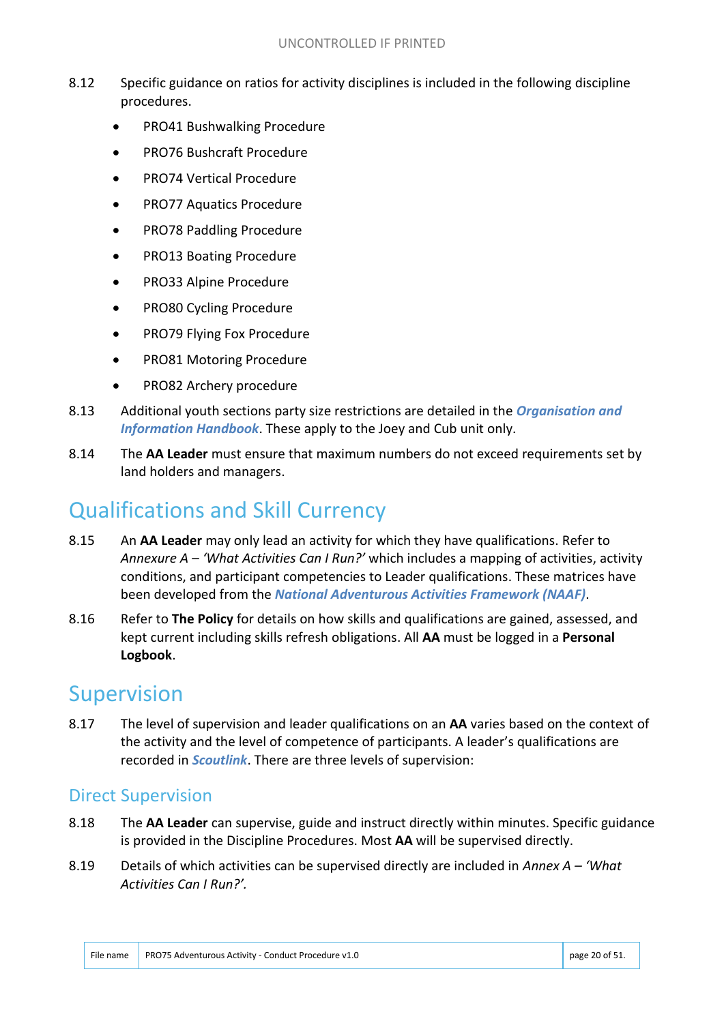- 8.12 Specific guidance on ratios for activity disciplines is included in the following discipline procedures.
	- PRO41 Bushwalking Procedure
	- PRO76 Bushcraft Procedure
	- PRO74 Vertical Procedure
	- PRO77 Aquatics Procedure
	- PRO78 Paddling Procedure
	- PRO13 Boating Procedure
	- PRO33 Alpine Procedure
	- PRO80 Cycling Procedure
	- PRO79 Flying Fox Procedure
	- PRO81 Motoring Procedure
	- PRO82 Archery procedure
- 8.13 Additional youth sections party size restrictions are detailed in the *Organisation and Information Handbook*. These apply to the Joey and Cub unit only.
- 8.14 The **AA Leader** must ensure that maximum numbers do not exceed requirements set by land holders and managers.

## Qualifications and Skill Currency

- 8.15 An **AA Leader** may only lead an activity for which they have qualifications. Refer to *Annexure A – 'What Activities Can I Run?'* which includes a mapping of activities, activity conditions, and participant competencies to Leader qualifications. These matrices have been developed from the *National Adventurous Activities Framework (NAAF)*.
- 8.16 Refer to **The Policy** for details on how skills and qualifications are gained, assessed, and kept current including skills refresh obligations. All **AA** must be logged in a **Personal Logbook**.

## Supervision

8.17 The level of supervision and leader qualifications on an **AA** varies based on the context of the activity and the level of competence of participants. A leader's qualifications are recorded in *Scoutlink*. There are three levels of supervision:

#### Direct Supervision

- 8.18 The **AA Leader** can supervise, guide and instruct directly within minutes. Specific guidance is provided in the Discipline Procedures. Most **AA** will be supervised directly.
- 8.19 Details of which activities can be supervised directly are included in *Annex A – 'What Activities Can I Run?'.*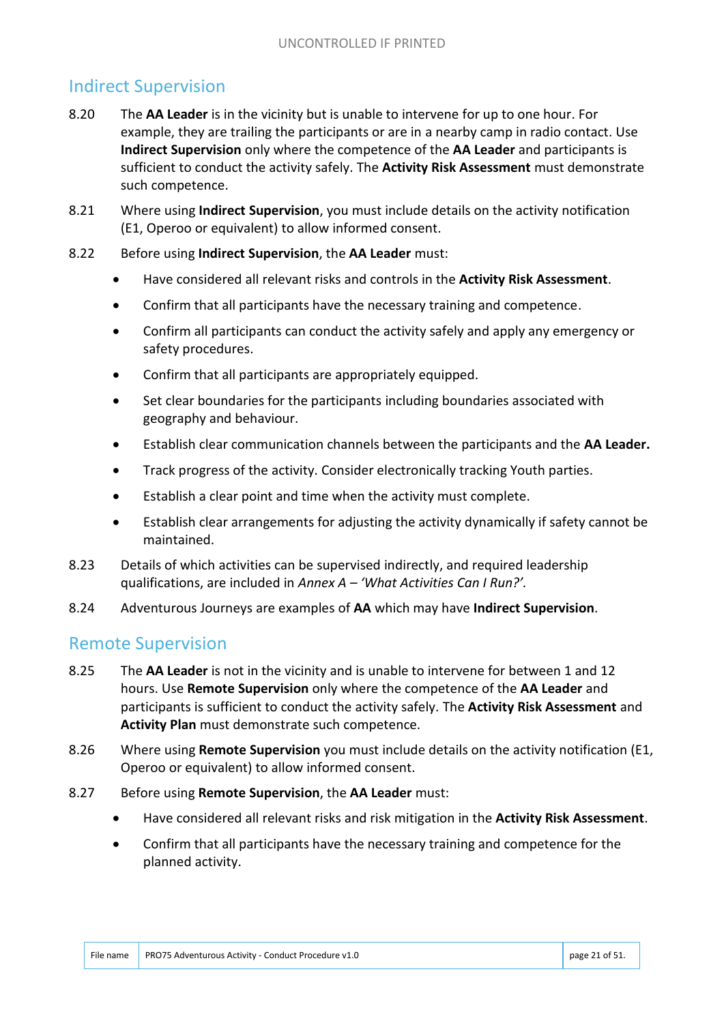#### Indirect Supervision

- 8.20 The **AA Leader** is in the vicinity but is unable to intervene for up to one hour. For example, they are trailing the participants or are in a nearby camp in radio contact. Use **Indirect Supervision** only where the competence of the **AA Leader** and participants is sufficient to conduct the activity safely. The **Activity Risk Assessment** must demonstrate such competence.
- 8.21 Where using **Indirect Supervision**, you must include details on the activity notification (E1, Operoo or equivalent) to allow informed consent.
- 8.22 Before using **Indirect Supervision**, the **AA Leader** must:
	- Have considered all relevant risks and controls in the **Activity Risk Assessment**.
	- Confirm that all participants have the necessary training and competence.
	- Confirm all participants can conduct the activity safely and apply any emergency or safety procedures.
	- Confirm that all participants are appropriately equipped.
	- Set clear boundaries for the participants including boundaries associated with geography and behaviour.
	- Establish clear communication channels between the participants and the **AA Leader.**
	- Track progress of the activity. Consider electronically tracking Youth parties.
	- Establish a clear point and time when the activity must complete.
	- Establish clear arrangements for adjusting the activity dynamically if safety cannot be maintained.
- 8.23 Details of which activities can be supervised indirectly, and required leadership qualifications, are included in *Annex A – 'What Activities Can I Run?'.*
- 8.24 Adventurous Journeys are examples of **AA** which may have **Indirect Supervision**.

#### Remote Supervision

- 8.25 The **AA Leader** is not in the vicinity and is unable to intervene for between 1 and 12 hours. Use **Remote Supervision** only where the competence of the **AA Leader** and participants is sufficient to conduct the activity safely. The **Activity Risk Assessment** and **Activity Plan** must demonstrate such competence.
- 8.26 Where using **Remote Supervision** you must include details on the activity notification (E1, Operoo or equivalent) to allow informed consent.
- 8.27 Before using **Remote Supervision**, the **AA Leader** must:
	- Have considered all relevant risks and risk mitigation in the **Activity Risk Assessment**.
	- Confirm that all participants have the necessary training and competence for the planned activity.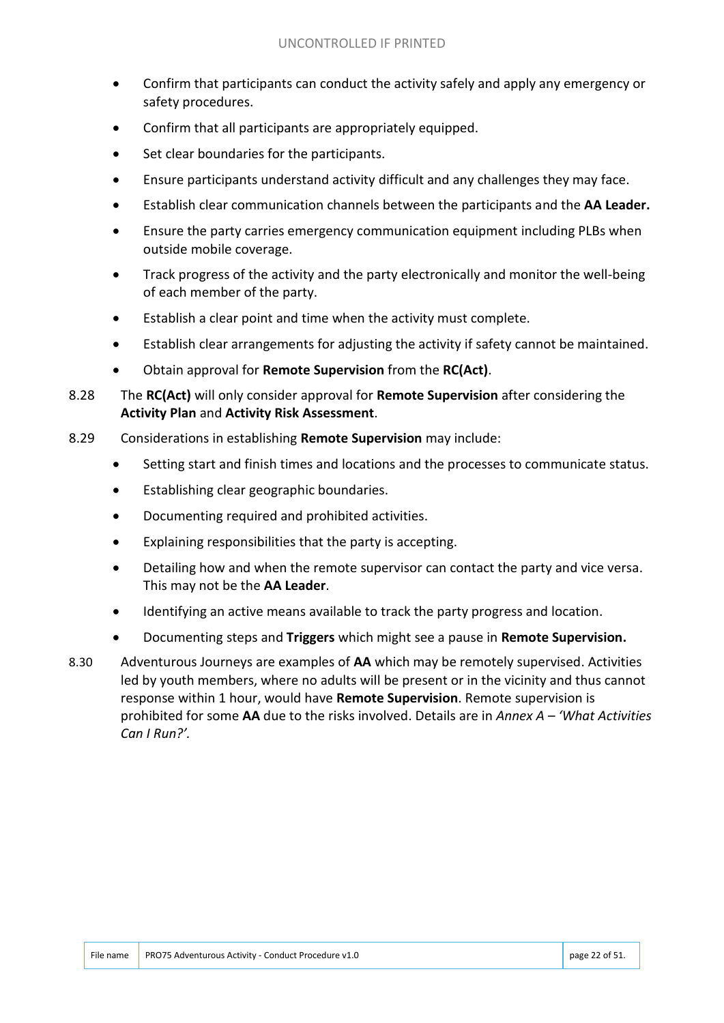- Confirm that participants can conduct the activity safely and apply any emergency or safety procedures.
- Confirm that all participants are appropriately equipped.
- Set clear boundaries for the participants.
- Ensure participants understand activity difficult and any challenges they may face.
- Establish clear communication channels between the participants and the **AA Leader.**
- Ensure the party carries emergency communication equipment including PLBs when outside mobile coverage.
- Track progress of the activity and the party electronically and monitor the well-being of each member of the party.
- Establish a clear point and time when the activity must complete.
- Establish clear arrangements for adjusting the activity if safety cannot be maintained.
- Obtain approval for **Remote Supervision** from the **RC(Act)**.
- 8.28 The **RC(Act)** will only consider approval for **Remote Supervision** after considering the **Activity Plan** and **Activity Risk Assessment**.
- 8.29 Considerations in establishing **Remote Supervision** may include:
	- Setting start and finish times and locations and the processes to communicate status.
	- Establishing clear geographic boundaries.
	- Documenting required and prohibited activities.
	- Explaining responsibilities that the party is accepting.
	- Detailing how and when the remote supervisor can contact the party and vice versa. This may not be the **AA Leader**.
	- Identifying an active means available to track the party progress and location.
	- Documenting steps and **Triggers** which might see a pause in **Remote Supervision.**
- 8.30 Adventurous Journeys are examples of **AA** which may be remotely supervised. Activities led by youth members, where no adults will be present or in the vicinity and thus cannot response within 1 hour, would have **Remote Supervision**. Remote supervision is prohibited for some **AA** due to the risks involved. Details are in *Annex A – 'What Activities Can I Run?'.*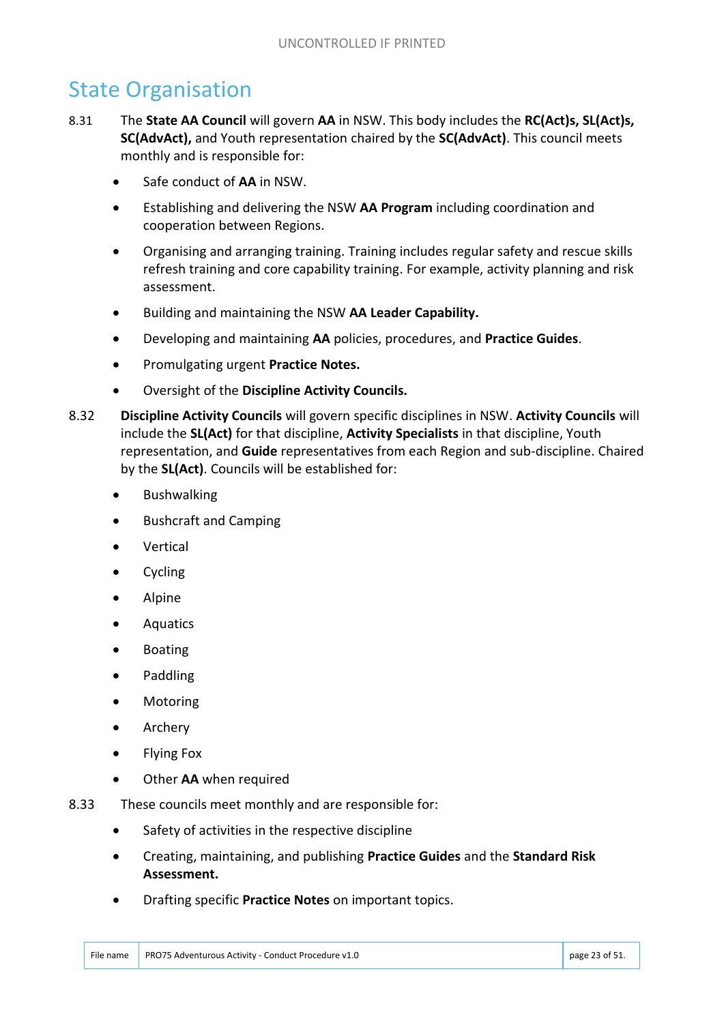## State Organisation

- 8.31 The **State AA Council** will govern **AA** in NSW. This body includes the **RC(Act)s, SL(Act)s, SC(AdvAct),** and Youth representation chaired by the **SC(AdvAct)**. This council meets monthly and is responsible for:
	- Safe conduct of **AA** in NSW.
	- Establishing and delivering the NSW **AA Program** including coordination and cooperation between Regions.
	- Organising and arranging training. Training includes regular safety and rescue skills refresh training and core capability training. For example, activity planning and risk assessment.
	- Building and maintaining the NSW **AA Leader Capability.**
	- Developing and maintaining **AA** policies, procedures, and **Practice Guides**.
	- Promulgating urgent **Practice Notes.**
	- Oversight of the **Discipline Activity Councils.**
- 8.32 **Discipline Activity Councils** will govern specific disciplines in NSW. **Activity Councils** will include the **SL(Act)** for that discipline, **Activity Specialists** in that discipline, Youth representation, and **Guide** representatives from each Region and sub-discipline. Chaired by the **SL(Act)**. Councils will be established for:
	- Bushwalking
	- Bushcraft and Camping
	- Vertical
	- Cycling
	- Alpine
	- Aquatics
	- Boating
	- Paddling
	- Motoring
	- Archery
	- Flying Fox
	- Other **AA** when required
- 8.33 These councils meet monthly and are responsible for:
	- Safety of activities in the respective discipline
	- Creating, maintaining, and publishing **Practice Guides** and the **Standard Risk Assessment.**
	- Drafting specific **Practice Notes** on important topics.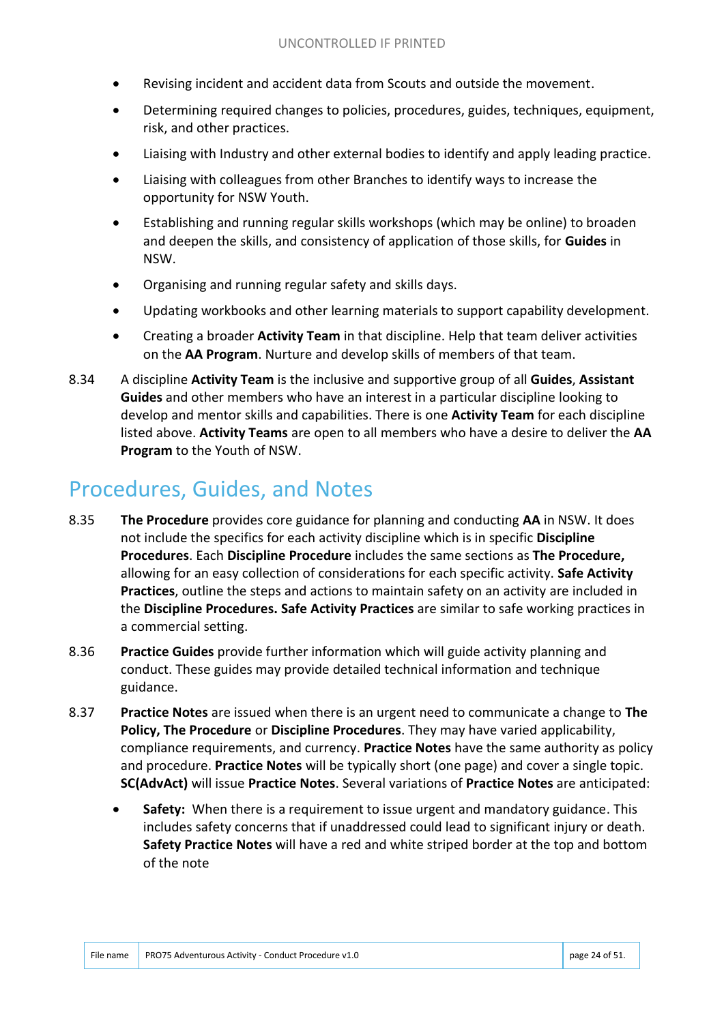- Revising incident and accident data from Scouts and outside the movement.
- Determining required changes to policies, procedures, guides, techniques, equipment, risk, and other practices.
- Liaising with Industry and other external bodies to identify and apply leading practice.
- Liaising with colleagues from other Branches to identify ways to increase the opportunity for NSW Youth.
- Establishing and running regular skills workshops (which may be online) to broaden and deepen the skills, and consistency of application of those skills, for **Guides** in NSW.
- Organising and running regular safety and skills days.
- Updating workbooks and other learning materials to support capability development.
- Creating a broader **Activity Team** in that discipline. Help that team deliver activities on the **AA Program**. Nurture and develop skills of members of that team.
- 8.34 A discipline **Activity Team** is the inclusive and supportive group of all **Guides**, **Assistant Guides** and other members who have an interest in a particular discipline looking to develop and mentor skills and capabilities. There is one **Activity Team** for each discipline listed above. **Activity Teams** are open to all members who have a desire to deliver the **AA Program** to the Youth of NSW.

## Procedures, Guides, and Notes

- 8.35 **The Procedure** provides core guidance for planning and conducting **AA** in NSW. It does not include the specifics for each activity discipline which is in specific **Discipline Procedures**. Each **Discipline Procedure** includes the same sections as **The Procedure,** allowing for an easy collection of considerations for each specific activity. **Safe Activity Practices**, outline the steps and actions to maintain safety on an activity are included in the **Discipline Procedures. Safe Activity Practices** are similar to safe working practices in a commercial setting.
- 8.36 **Practice Guides** provide further information which will guide activity planning and conduct. These guides may provide detailed technical information and technique guidance.
- 8.37 **Practice Notes** are issued when there is an urgent need to communicate a change to **The Policy, The Procedure** or **Discipline Procedures**. They may have varied applicability, compliance requirements, and currency. **Practice Notes** have the same authority as policy and procedure. **Practice Notes** will be typically short (one page) and cover a single topic. **SC(AdvAct)** will issue **Practice Notes**. Several variations of **Practice Notes** are anticipated:
	- **Safety:** When there is a requirement to issue urgent and mandatory guidance. This includes safety concerns that if unaddressed could lead to significant injury or death. **Safety Practice Notes** will have a red and white striped border at the top and bottom of the note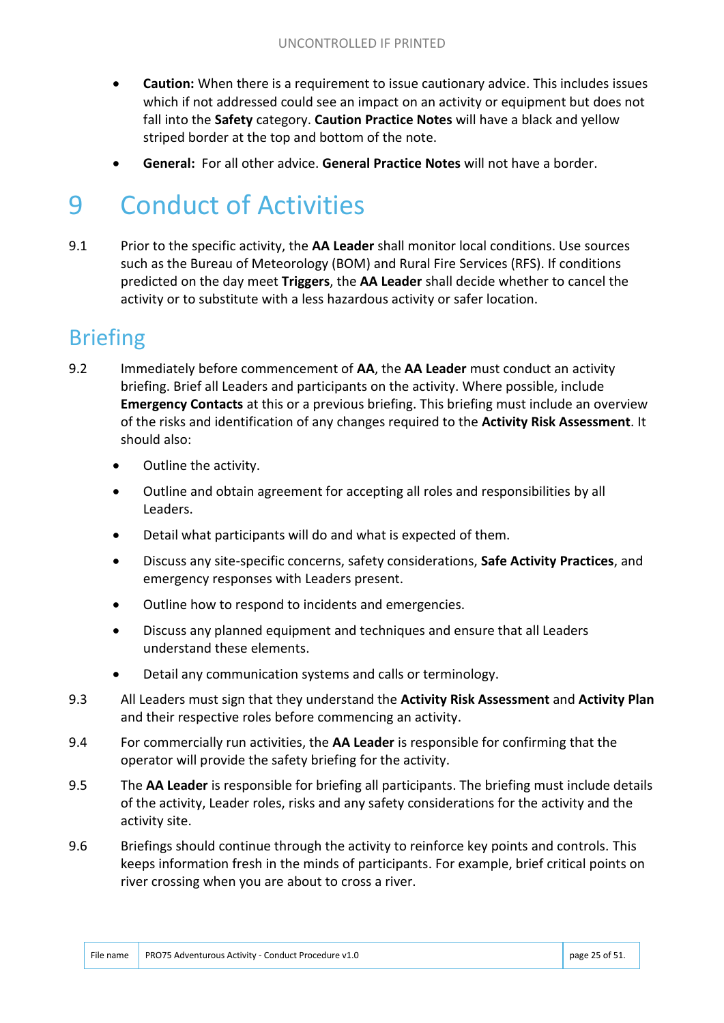- **Caution:** When there is a requirement to issue cautionary advice. This includes issues which if not addressed could see an impact on an activity or equipment but does not fall into the **Safety** category. **Caution Practice Notes** will have a black and yellow striped border at the top and bottom of the note.
- **General:** For all other advice. **General Practice Notes** will not have a border.

# 9 Conduct of Activities

9.1 Prior to the specific activity, the **AA Leader** shall monitor local conditions. Use sources such as the Bureau of Meteorology (BOM) and Rural Fire Services (RFS). If conditions predicted on the day meet **Triggers**, the **AA Leader** shall decide whether to cancel the activity or to substitute with a less hazardous activity or safer location.

## Briefing

- 9.2 Immediately before commencement of **AA**, the **AA Leader** must conduct an activity briefing. Brief all Leaders and participants on the activity. Where possible, include **Emergency Contacts** at this or a previous briefing. This briefing must include an overview of the risks and identification of any changes required to the **Activity Risk Assessment**. It should also:
	- Outline the activity.
	- Outline and obtain agreement for accepting all roles and responsibilities by all Leaders.
	- Detail what participants will do and what is expected of them.
	- Discuss any site-specific concerns, safety considerations, **Safe Activity Practices**, and emergency responses with Leaders present.
	- Outline how to respond to incidents and emergencies.
	- Discuss any planned equipment and techniques and ensure that all Leaders understand these elements.
	- Detail any communication systems and calls or terminology.
- 9.3 All Leaders must sign that they understand the **Activity Risk Assessment** and **Activity Plan** and their respective roles before commencing an activity.
- 9.4 For commercially run activities, the **AA Leader** is responsible for confirming that the operator will provide the safety briefing for the activity.
- 9.5 The **AA Leader** is responsible for briefing all participants. The briefing must include details of the activity, Leader roles, risks and any safety considerations for the activity and the activity site.
- 9.6 Briefings should continue through the activity to reinforce key points and controls. This keeps information fresh in the minds of participants. For example, brief critical points on river crossing when you are about to cross a river.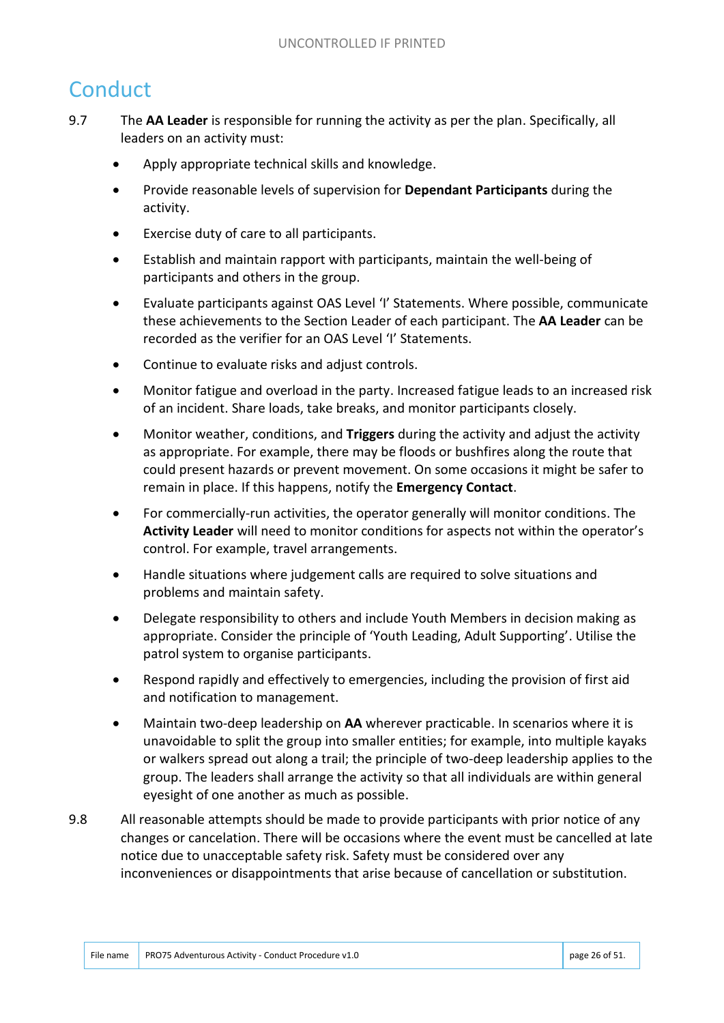# **Conduct**

- 9.7 The **AA Leader** is responsible for running the activity as per the plan. Specifically, all leaders on an activity must:
	- Apply appropriate technical skills and knowledge.
	- Provide reasonable levels of supervision for **Dependant Participants** during the activity.
	- Exercise duty of care to all participants.
	- Establish and maintain rapport with participants, maintain the well-being of participants and others in the group.
	- Evaluate participants against OAS Level 'I' Statements. Where possible, communicate these achievements to the Section Leader of each participant. The **AA Leader** can be recorded as the verifier for an OAS Level 'I' Statements.
	- Continue to evaluate risks and adjust controls.
	- Monitor fatigue and overload in the party. Increased fatigue leads to an increased risk of an incident. Share loads, take breaks, and monitor participants closely.
	- Monitor weather, conditions, and **Triggers** during the activity and adjust the activity as appropriate. For example, there may be floods or bushfires along the route that could present hazards or prevent movement. On some occasions it might be safer to remain in place. If this happens, notify the **Emergency Contact**.
	- For commercially-run activities, the operator generally will monitor conditions. The **Activity Leader** will need to monitor conditions for aspects not within the operator's control. For example, travel arrangements.
	- Handle situations where judgement calls are required to solve situations and problems and maintain safety.
	- Delegate responsibility to others and include Youth Members in decision making as appropriate. Consider the principle of 'Youth Leading, Adult Supporting'. Utilise the patrol system to organise participants.
	- Respond rapidly and effectively to emergencies, including the provision of first aid and notification to management.
	- Maintain two-deep leadership on **AA** wherever practicable. In scenarios where it is unavoidable to split the group into smaller entities; for example, into multiple kayaks or walkers spread out along a trail; the principle of two-deep leadership applies to the group. The leaders shall arrange the activity so that all individuals are within general eyesight of one another as much as possible.
- 9.8 All reasonable attempts should be made to provide participants with prior notice of any changes or cancelation. There will be occasions where the event must be cancelled at late notice due to unacceptable safety risk. Safety must be considered over any inconveniences or disappointments that arise because of cancellation or substitution.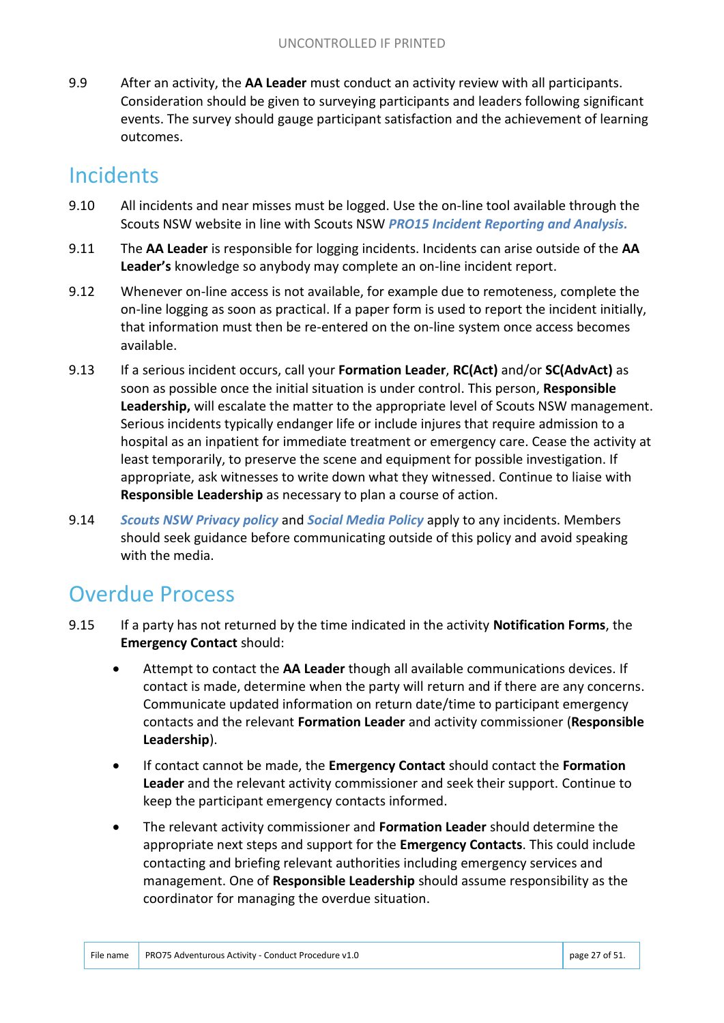9.9 After an activity, the **AA Leader** must conduct an activity review with all participants. Consideration should be given to surveying participants and leaders following significant events. The survey should gauge participant satisfaction and the achievement of learning outcomes.

# **Incidents**

- 9.10 All incidents and near misses must be logged. Use the on-line tool available through the Scouts NSW website in line with Scouts NSW *PRO15 Incident Reporting and Analysis.*
- 9.11 The **AA Leader** is responsible for logging incidents. Incidents can arise outside of the **AA Leader's** knowledge so anybody may complete an on-line incident report.
- 9.12 Whenever on-line access is not available, for example due to remoteness, complete the on-line logging as soon as practical. If a paper form is used to report the incident initially, that information must then be re-entered on the on-line system once access becomes available.
- 9.13 If a serious incident occurs, call your **Formation Leader**, **RC(Act)** and/or **SC(AdvAct)** as soon as possible once the initial situation is under control. This person, **Responsible Leadership,** will escalate the matter to the appropriate level of Scouts NSW management. Serious incidents typically endanger life or include injures that require admission to a hospital as an inpatient for immediate treatment or emergency care. Cease the activity at least temporarily, to preserve the scene and equipment for possible investigation. If appropriate, ask witnesses to write down what they witnessed. Continue to liaise with **Responsible Leadership** as necessary to plan a course of action.
- 9.14 *Scouts NSW Privacy policy* and *Social Media Policy* apply to any incidents. Members should seek guidance before communicating outside of this policy and avoid speaking with the media.

# Overdue Process

- 9.15 If a party has not returned by the time indicated in the activity **Notification Forms**, the **Emergency Contact** should:
	- Attempt to contact the **AA Leader** though all available communications devices. If contact is made, determine when the party will return and if there are any concerns. Communicate updated information on return date/time to participant emergency contacts and the relevant **Formation Leader** and activity commissioner (**Responsible Leadership**).
	- If contact cannot be made, the **Emergency Contact** should contact the **Formation Leader** and the relevant activity commissioner and seek their support. Continue to keep the participant emergency contacts informed.
	- The relevant activity commissioner and **Formation Leader** should determine the appropriate next steps and support for the **Emergency Contacts**. This could include contacting and briefing relevant authorities including emergency services and management. One of **Responsible Leadership** should assume responsibility as the coordinator for managing the overdue situation.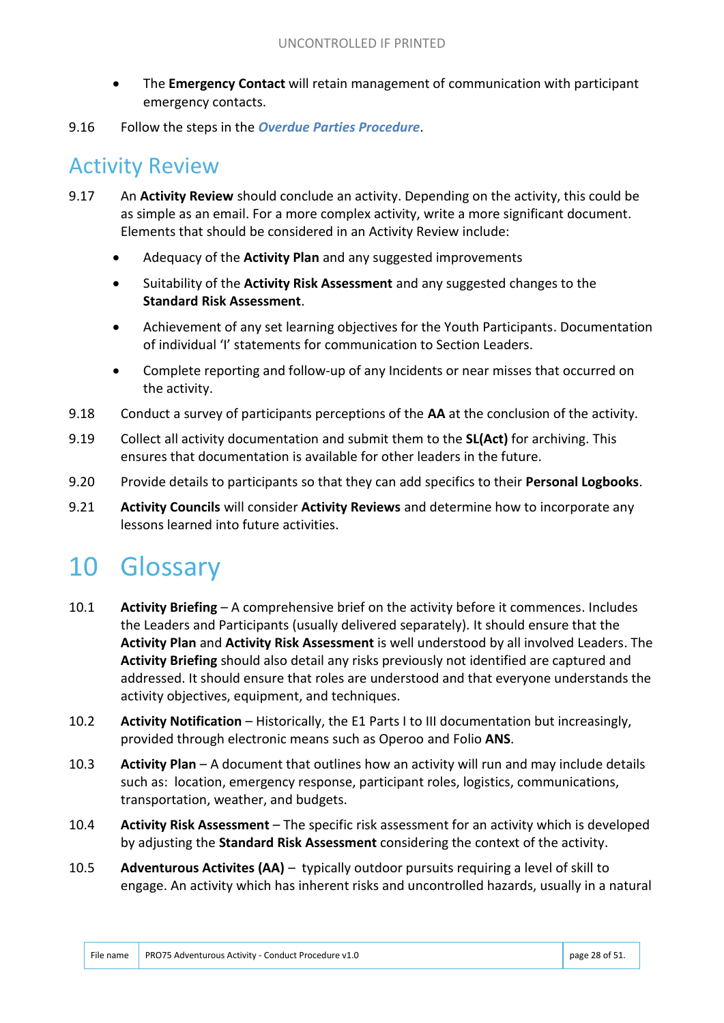- The **Emergency Contact** will retain management of communication with participant emergency contacts.
- 9.16 Follow the steps in the *Overdue Parties Procedure*.

## Activity Review

- 9.17 An **Activity Review** should conclude an activity. Depending on the activity, this could be as simple as an email. For a more complex activity, write a more significant document. Elements that should be considered in an Activity Review include:
	- Adequacy of the **Activity Plan** and any suggested improvements
	- Suitability of the **Activity Risk Assessment** and any suggested changes to the **Standard Risk Assessment**.
	- Achievement of any set learning objectives for the Youth Participants. Documentation of individual 'I' statements for communication to Section Leaders.
	- Complete reporting and follow-up of any Incidents or near misses that occurred on the activity.
- 9.18 Conduct a survey of participants perceptions of the **AA** at the conclusion of the activity.
- 9.19 Collect all activity documentation and submit them to the **SL(Act)** for archiving. This ensures that documentation is available for other leaders in the future.
- 9.20 Provide details to participants so that they can add specifics to their **Personal Logbooks**.
- 9.21 **Activity Councils** will consider **Activity Reviews** and determine how to incorporate any lessons learned into future activities.

# 10 Glossary

- 10.1 **Activity Briefing** A comprehensive brief on the activity before it commences. Includes the Leaders and Participants (usually delivered separately). It should ensure that the **Activity Plan** and **Activity Risk Assessment** is well understood by all involved Leaders. The **Activity Briefing** should also detail any risks previously not identified are captured and addressed. It should ensure that roles are understood and that everyone understands the activity objectives, equipment, and techniques.
- 10.2 **Activity Notification** Historically, the E1 Parts I to III documentation but increasingly, provided through electronic means such as Operoo and Folio **ANS**.
- 10.3 **Activity Plan** A document that outlines how an activity will run and may include details such as: location, emergency response, participant roles, logistics, communications, transportation, weather, and budgets.
- 10.4 **Activity Risk Assessment** The specific risk assessment for an activity which is developed by adjusting the **Standard Risk Assessment** considering the context of the activity.
- 10.5 **Adventurous Activites (AA)**  typically outdoor pursuits requiring a level of skill to engage. An activity which has inherent risks and uncontrolled hazards, usually in a natural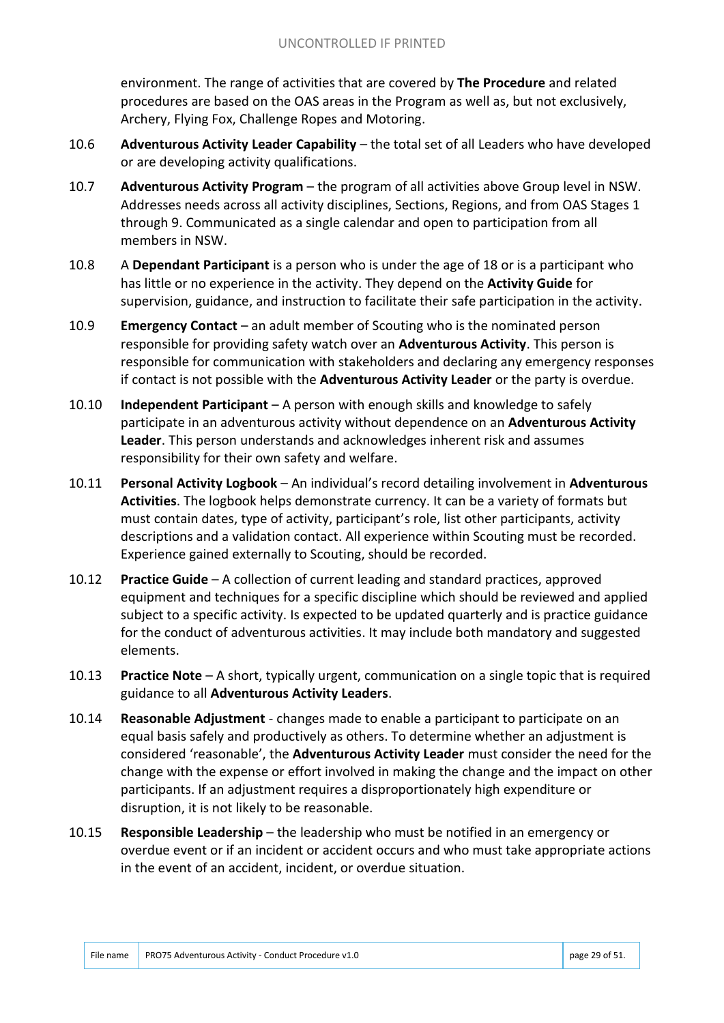environment. The range of activities that are covered by **The Procedure** and related procedures are based on the OAS areas in the Program as well as, but not exclusively, Archery, Flying Fox, Challenge Ropes and Motoring.

- 10.6 **Adventurous Activity Leader Capability**  the total set of all Leaders who have developed or are developing activity qualifications.
- 10.7 **Adventurous Activity Program**  the program of all activities above Group level in NSW. Addresses needs across all activity disciplines, Sections, Regions, and from OAS Stages 1 through 9. Communicated as a single calendar and open to participation from all members in NSW.
- 10.8 A **Dependant Participant** is a person who is under the age of 18 or is a participant who has little or no experience in the activity. They depend on the **Activity Guide** for supervision, guidance, and instruction to facilitate their safe participation in the activity.
- 10.9 **Emergency Contact**  an adult member of Scouting who is the nominated person responsible for providing safety watch over an **Adventurous Activity**. This person is responsible for communication with stakeholders and declaring any emergency responses if contact is not possible with the **Adventurous Activity Leader** or the party is overdue.
- 10.10 **Independent Participant**  A person with enough skills and knowledge to safely participate in an adventurous activity without dependence on an **Adventurous Activity Leader**. This person understands and acknowledges inherent risk and assumes responsibility for their own safety and welfare.
- 10.11 **Personal Activity Logbook**  An individual's record detailing involvement in **Adventurous Activities**. The logbook helps demonstrate currency. It can be a variety of formats but must contain dates, type of activity, participant's role, list other participants, activity descriptions and a validation contact. All experience within Scouting must be recorded. Experience gained externally to Scouting, should be recorded.
- 10.12 **Practice Guide**  A collection of current leading and standard practices, approved equipment and techniques for a specific discipline which should be reviewed and applied subject to a specific activity. Is expected to be updated quarterly and is practice guidance for the conduct of adventurous activities. It may include both mandatory and suggested elements.
- 10.13 **Practice Note**  A short, typically urgent, communication on a single topic that is required guidance to all **Adventurous Activity Leaders**.
- 10.14 **Reasonable Adjustment**  changes made to enable a participant to participate on an equal basis safely and productively as others. To determine whether an adjustment is considered 'reasonable', the **Adventurous Activity Leader** must consider the need for the change with the expense or effort involved in making the change and the impact on other participants. If an adjustment requires a disproportionately high expenditure or disruption, it is not likely to be reasonable.
- 10.15 **Responsible Leadership**  the leadership who must be notified in an emergency or overdue event or if an incident or accident occurs and who must take appropriate actions in the event of an accident, incident, or overdue situation.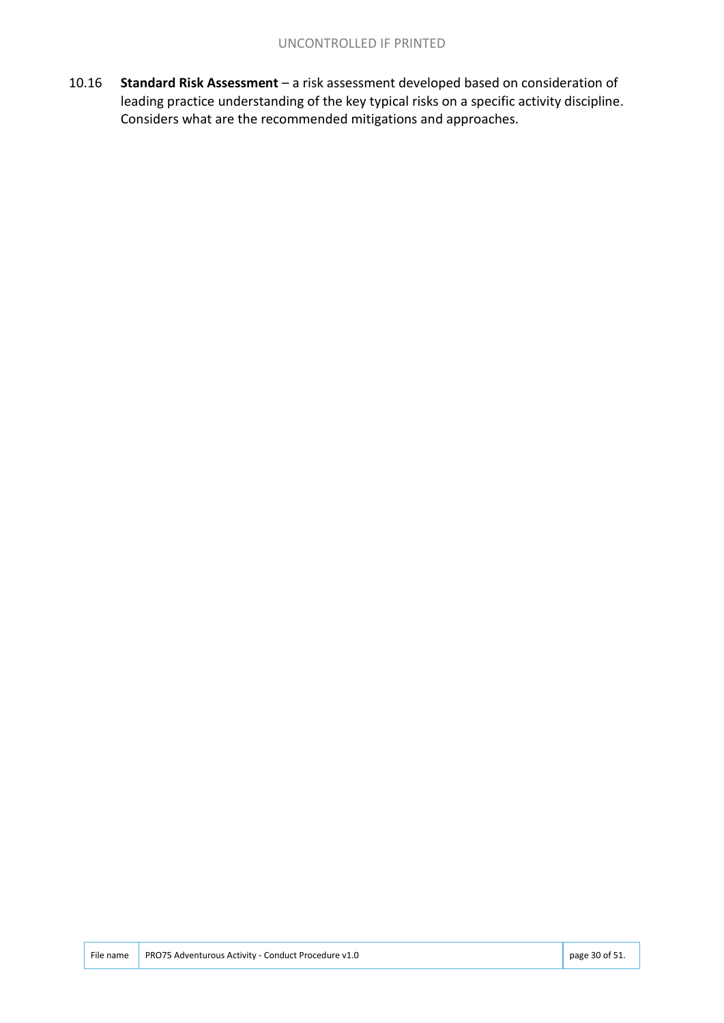10.16 **Standard Risk Assessment** – a risk assessment developed based on consideration of leading practice understanding of the key typical risks on a specific activity discipline. Considers what are the recommended mitigations and approaches.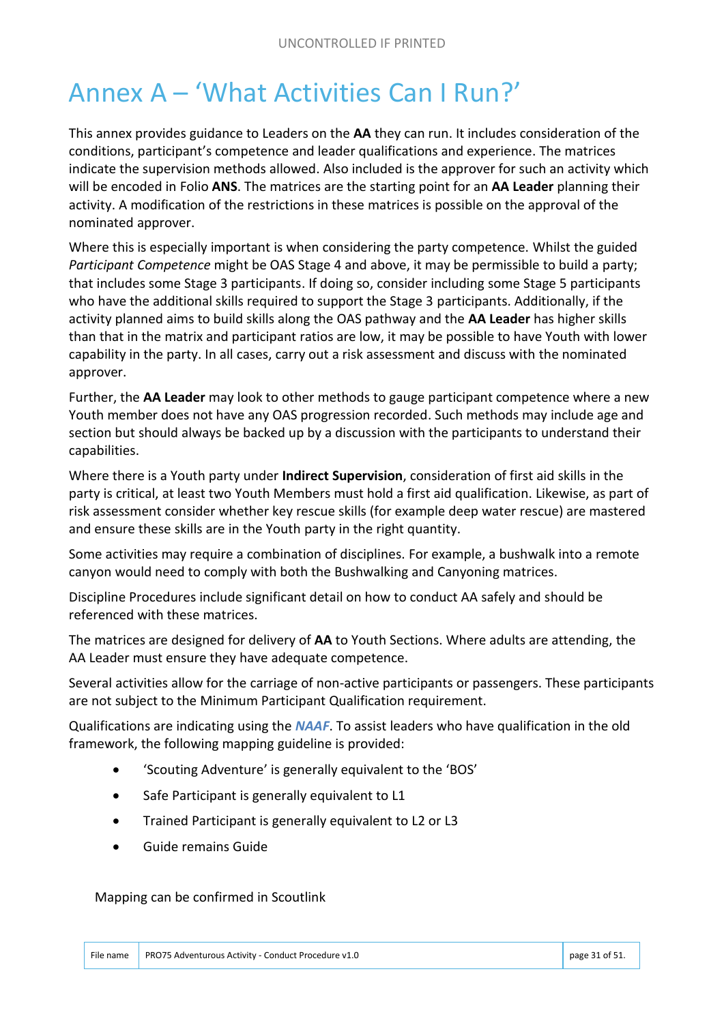# Annex A – 'What Activities Can I Run?'

This annex provides guidance to Leaders on the **AA** they can run. It includes consideration of the conditions, participant's competence and leader qualifications and experience. The matrices indicate the supervision methods allowed. Also included is the approver for such an activity which will be encoded in Folio **ANS**. The matrices are the starting point for an **AA Leader** planning their activity. A modification of the restrictions in these matrices is possible on the approval of the nominated approver.

Where this is especially important is when considering the party competence. Whilst the guided *Participant Competence* might be OAS Stage 4 and above, it may be permissible to build a party; that includes some Stage 3 participants. If doing so, consider including some Stage 5 participants who have the additional skills required to support the Stage 3 participants. Additionally, if the activity planned aims to build skills along the OAS pathway and the **AA Leader** has higher skills than that in the matrix and participant ratios are low, it may be possible to have Youth with lower capability in the party. In all cases, carry out a risk assessment and discuss with the nominated approver.

Further, the **AA Leader** may look to other methods to gauge participant competence where a new Youth member does not have any OAS progression recorded. Such methods may include age and section but should always be backed up by a discussion with the participants to understand their capabilities.

Where there is a Youth party under **Indirect Supervision**, consideration of first aid skills in the party is critical, at least two Youth Members must hold a first aid qualification. Likewise, as part of risk assessment consider whether key rescue skills (for example deep water rescue) are mastered and ensure these skills are in the Youth party in the right quantity.

Some activities may require a combination of disciplines. For example, a bushwalk into a remote canyon would need to comply with both the Bushwalking and Canyoning matrices.

Discipline Procedures include significant detail on how to conduct AA safely and should be referenced with these matrices.

The matrices are designed for delivery of **AA** to Youth Sections. Where adults are attending, the AA Leader must ensure they have adequate competence.

Several activities allow for the carriage of non-active participants or passengers. These participants are not subject to the Minimum Participant Qualification requirement.

Qualifications are indicating using the *NAAF*. To assist leaders who have qualification in the old framework, the following mapping guideline is provided:

- 'Scouting Adventure' is generally equivalent to the 'BOS'
- Safe Participant is generally equivalent to L1
- Trained Participant is generally equivalent to L2 or L3
- Guide remains Guide

#### Mapping can be confirmed in Scoutlink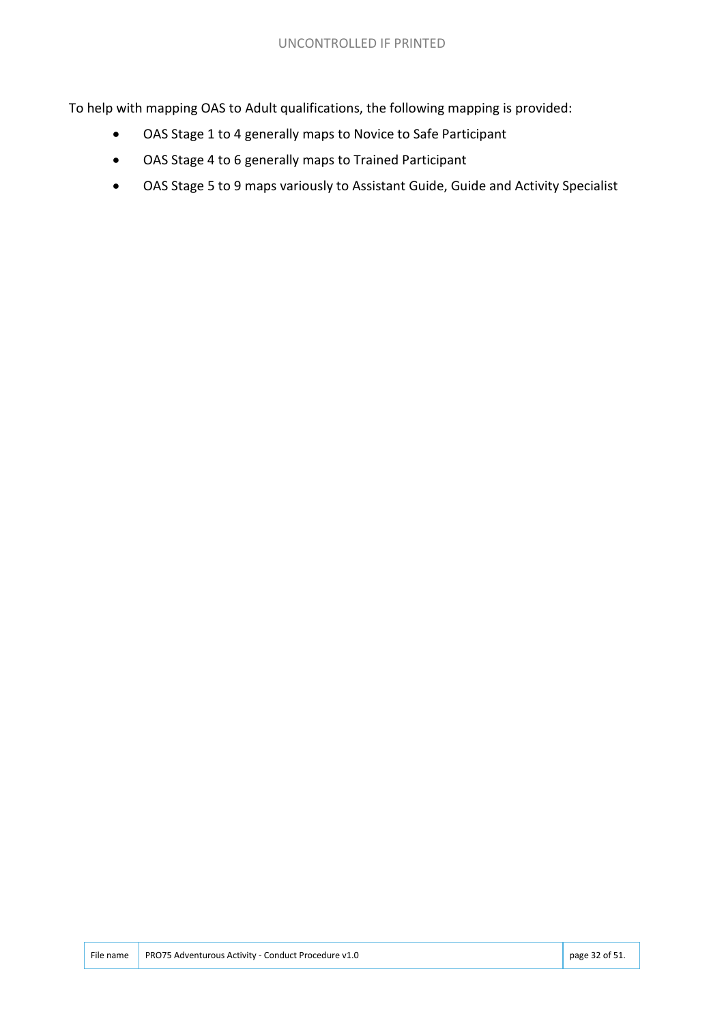To help with mapping OAS to Adult qualifications, the following mapping is provided:

- OAS Stage 1 to 4 generally maps to Novice to Safe Participant
- OAS Stage 4 to 6 generally maps to Trained Participant
- OAS Stage 5 to 9 maps variously to Assistant Guide, Guide and Activity Specialist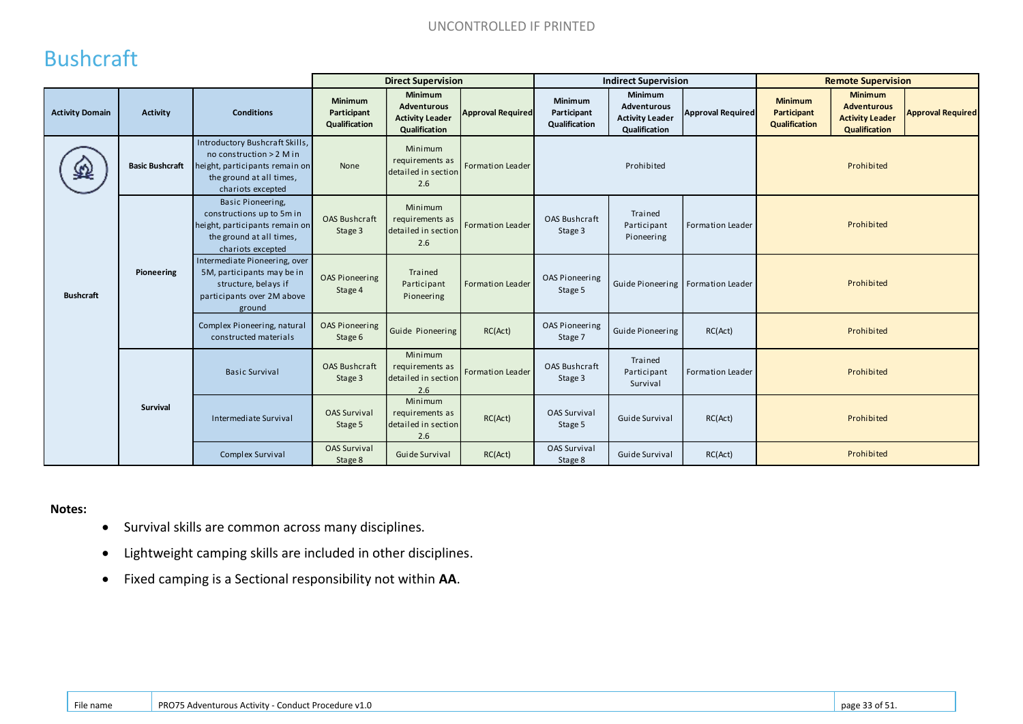# Bushcraft

|                        |                        |                                                                                                                                               | <b>Direct Supervision</b>               |                                                                                 |                          |                                         | <b>Indirect Supervision</b>                                                     |                                     | <b>Remote Supervision</b>                      |                                                                                 |                          |
|------------------------|------------------------|-----------------------------------------------------------------------------------------------------------------------------------------------|-----------------------------------------|---------------------------------------------------------------------------------|--------------------------|-----------------------------------------|---------------------------------------------------------------------------------|-------------------------------------|------------------------------------------------|---------------------------------------------------------------------------------|--------------------------|
| <b>Activity Domain</b> | <b>Activity</b>        | <b>Conditions</b>                                                                                                                             | Minimum<br>Participant<br>Qualification | <b>Minimum</b><br><b>Adventurous</b><br><b>Activity Leader</b><br>Qualification | <b>Approval Required</b> | Minimum<br>Participant<br>Qualification | <b>Minimum</b><br><b>Adventurous</b><br><b>Activity Leader</b><br>Qualification | <b>Approval Required</b>            | <b>Minimum</b><br>Participant<br>Qualification | <b>Minimum</b><br><b>Adventurous</b><br><b>Activity Leader</b><br>Qualification | <b>Approval Required</b> |
| ð                      | <b>Basic Bushcraft</b> | Introductory Bushcraft Skills,<br>no construction > 2 M in<br>height, participants remain on<br>the ground at all times,<br>chariots excepted | None                                    | Minimum<br>requirements as<br>detailed in section<br>2.6                        | <b>Formation Leader</b>  |                                         | Prohibited                                                                      |                                     |                                                | Prohibited                                                                      |                          |
|                        |                        | Basic Pioneering,<br>constructions up to 5m in<br>height, participants remain on<br>the ground at all times,<br>chariots excepted             | <b>OAS Bushcraft</b><br>Stage 3         | Minimum<br>requirements as<br>detailed in section<br>2.6                        | <b>Formation Leader</b>  | <b>OAS Bushcraft</b><br>Stage 3         | Trained<br>Participant<br>Pioneering                                            | Formation Leader                    |                                                | Prohibited                                                                      |                          |
| <b>Bushcraft</b>       | Pioneering             | Intermediate Pioneering, over<br>5M, participants may be in<br>structure, belays if<br>participants over 2M above<br>ground                   | <b>OAS Pioneering</b><br>Stage 4        | Trained<br>Participant<br>Pioneering                                            | <b>Formation Leader</b>  | <b>OAS Pioneering</b><br>Stage 5        |                                                                                 | Guide Pioneering   Formation Leader |                                                | Prohibited                                                                      |                          |
|                        |                        | Complex Pioneering, natural<br>constructed materials                                                                                          | <b>OAS Pioneering</b><br>Stage 6        | Guide Pioneering                                                                | RC(Act)                  | OAS Pioneering<br>Stage 7               | Guide Pioneering                                                                | RC(Act)                             |                                                | Prohibited                                                                      |                          |
|                        |                        | <b>Basic Survival</b>                                                                                                                         | <b>OAS Bushcraft</b><br>Stage 3         | Minimum<br>requirements as<br>detailed in section<br>2.6                        | <b>Formation Leader</b>  | <b>OAS Bushcraft</b><br>Stage 3         | Trained<br>Participant<br>Survival                                              | Formation Leader                    |                                                | Prohibited                                                                      |                          |
|                        | <b>Survival</b>        | Intermediate Survival                                                                                                                         | <b>OAS Survival</b><br>Stage 5          | Minimum<br>requirements as<br>detailed in section<br>2.6                        | RC(Act)                  | <b>OAS Survival</b><br>Stage 5          | Guide Survival                                                                  | RC(Act)                             |                                                | Prohibited                                                                      |                          |
|                        |                        | Complex Survival                                                                                                                              | <b>OAS Survival</b><br>Stage 8          | Guide Survival                                                                  | RC(Act)                  | <b>OAS Survival</b><br>Stage 8          | Guide Survival                                                                  | RC(Act)                             |                                                | Prohibited                                                                      |                          |

#### **Notes:**

- Survival skills are common across many disciplines.
- Lightweight camping skills are included in other disciplines.
- Fixed camping is a Sectional responsibility not within **AA**.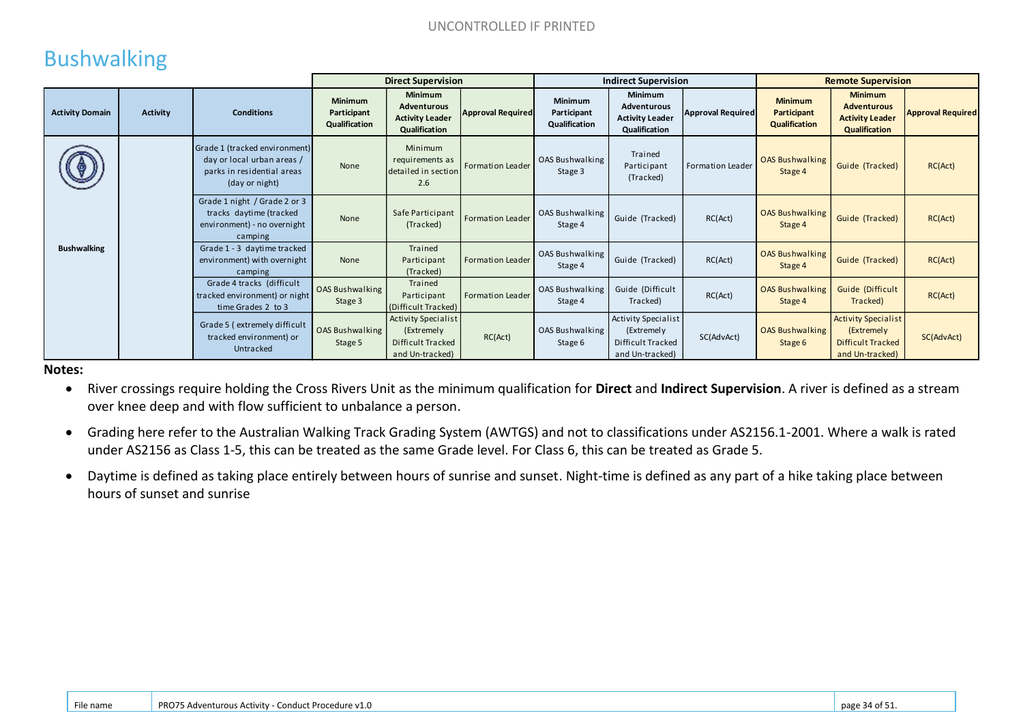# Bushwalking

|                        |                 |                                                                                                             | <b>Direct Supervision</b>                      |                                                                                  |                          | <b>Indirect Supervision</b>                    |                                                                                  |                          | <b>Remote Supervision</b>                      |                                                                                  |                          |
|------------------------|-----------------|-------------------------------------------------------------------------------------------------------------|------------------------------------------------|----------------------------------------------------------------------------------|--------------------------|------------------------------------------------|----------------------------------------------------------------------------------|--------------------------|------------------------------------------------|----------------------------------------------------------------------------------|--------------------------|
| <b>Activity Domain</b> | <b>Activity</b> | <b>Conditions</b>                                                                                           | <b>Minimum</b><br>Participant<br>Qualification | <b>Minimum</b><br><b>Adventurous</b><br><b>Activity Leader</b><br>Qualification  | <b>Approval Required</b> | <b>Minimum</b><br>Participant<br>Qualification | <b>Minimum</b><br><b>Adventurous</b><br><b>Activity Leader</b><br>Qualification  | <b>Approval Required</b> | <b>Minimum</b><br>Participant<br>Qualification | <b>Minimum</b><br><b>Adventurous</b><br><b>Activity Leader</b><br>Qualification  | <b>Approval Required</b> |
|                        |                 | Grade 1 (tracked environment)<br>day or local urban areas /<br>parks in residential areas<br>(day or night) | None                                           | Minimum<br>requirements as<br>detailed in section<br>2.6                         | <b>Formation Leader</b>  | OAS Bushwalking<br>Stage 3                     | Trained<br>Participant<br>(Tracked)                                              | Formation Leader         | <b>OAS Bushwalking</b><br>Stage 4              | Guide (Tracked)                                                                  | RC(Act)                  |
|                        |                 | Grade 1 night / Grade 2 or 3<br>tracks daytime (tracked<br>environment) - no overnight<br>camping           | None                                           | Safe Participant<br>(Tracked)                                                    | Formation Leader         | OAS Bushwalking<br>Stage 4                     | Guide (Tracked)                                                                  | RC(Act)                  | <b>OAS Bushwalking</b><br>Stage 4              | Guide (Tracked)                                                                  | RC(Act)                  |
| <b>Bushwalking</b>     |                 | Grade 1 - 3 daytime tracked<br>environment) with overnight<br>camping                                       | None                                           | Trained<br>Participant<br>(Tracked)                                              | <b>Formation Leader</b>  | <b>OAS Bushwalking</b><br>Stage 4              | Guide (Tracked)                                                                  | RC(Act)                  | <b>OAS Bushwalking</b><br>Stage 4              | Guide (Tracked)                                                                  | RC(Act)                  |
|                        |                 | Grade 4 tracks (difficult<br>tracked environment) or night<br>time Grades 2 to 3                            | OAS Bushwalking<br>Stage 3                     | Trained<br>Participant<br>(Difficult Tracked)                                    | <b>Formation Leader</b>  | OAS Bushwalking<br>Stage 4                     | Guide (Difficult<br>Tracked)                                                     | RC(Act)                  | <b>OAS Bushwalking</b><br>Stage 4              | Guide (Difficult<br>Tracked)                                                     | RC(Act)                  |
|                        |                 | Grade 5 (extremely difficult<br>tracked environment) or<br>Untracked                                        | OAS Bushwalking<br>Stage 5                     | <b>Activity Specialist</b><br>(Extremely<br>Difficult Tracked<br>and Un-tracked) | RC(Act)                  | OAS Bushwalking<br>Stage 6                     | <b>Activity Specialist</b><br>(Extremely<br>Difficult Tracked<br>and Un-tracked) | SC(AdvAct)               | <b>OAS Bushwalking</b><br>Stage 6              | <b>Activity Specialist</b><br>(Extremely<br>Difficult Tracked<br>and Un-tracked) | SC(AdvAct)               |

**Notes:**

- River crossings require holding the Cross Rivers Unit as the minimum qualification for **Direct** and **Indirect Supervision**. A river is defined as a stream over knee deep and with flow sufficient to unbalance a person.
- Grading here refer to the Australian Walking Track Grading System (AWTGS) and not to classifications under AS2156.1-2001. Where a walk is rated under AS2156 as Class 1-5, this can be treated as the same Grade level. For Class 6, this can be treated as Grade 5.
- Daytime is defined as taking place entirely between hours of sunrise and sunset. Night-time is defined as any part of a hike taking place between hours of sunset and sunrise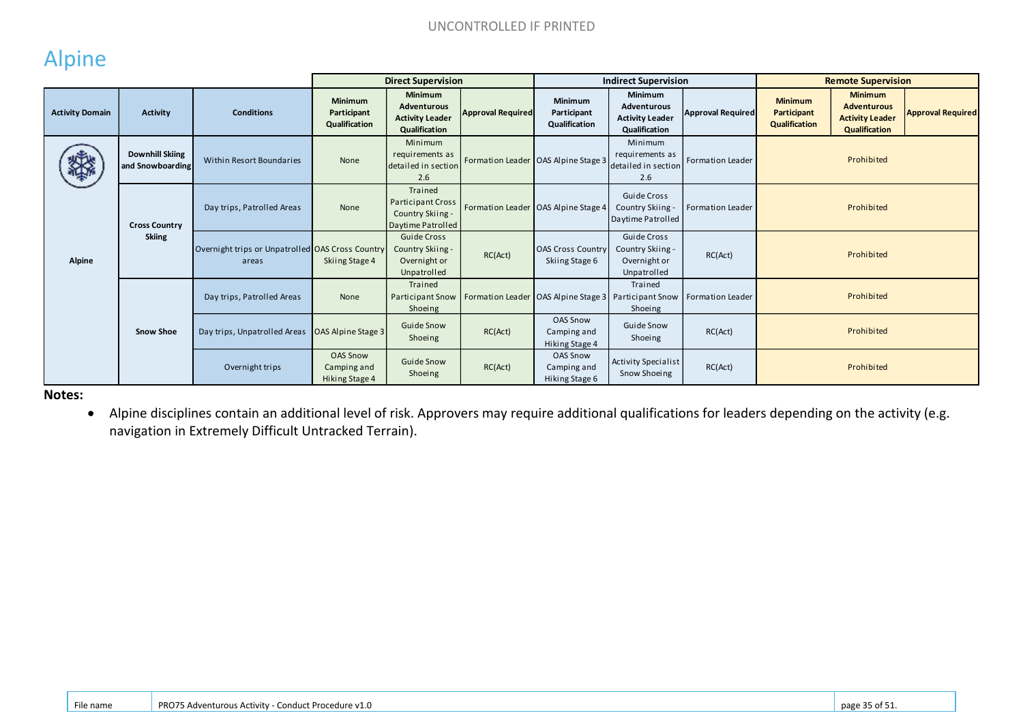## Alpine

|                        |                                            |                                                           | <b>Direct Supervision</b>                        |                                                                                 |                          | <b>Indirect Supervision</b>                      |                                                                   |                                                                         | <b>Remote Supervision</b>                      |                                                                                 |                          |
|------------------------|--------------------------------------------|-----------------------------------------------------------|--------------------------------------------------|---------------------------------------------------------------------------------|--------------------------|--------------------------------------------------|-------------------------------------------------------------------|-------------------------------------------------------------------------|------------------------------------------------|---------------------------------------------------------------------------------|--------------------------|
| <b>Activity Domain</b> | <b>Activity</b>                            | <b>Conditions</b>                                         | <b>Minimum</b><br>Participant<br>Qualification   | <b>Minimum</b><br><b>Adventurous</b><br><b>Activity Leader</b><br>Qualification | <b>Approval Required</b> | Minimum<br>Participant<br>Qualification          | Minimum<br>Adventurous<br><b>Activity Leader</b><br>Qualification | <b>Approval Required</b>                                                | <b>Minimum</b><br>Participant<br>Qualification | <b>Minimum</b><br><b>Adventurous</b><br><b>Activity Leader</b><br>Qualification | <b>Approval Required</b> |
| 缕                      | <b>Downhill Skiing</b><br>and Snowboarding | Within Resort Boundaries                                  | None                                             | Minimum<br>requirements as<br>detailed in section<br>2.6                        |                          | Formation Leader OAS Alpine Stage 3              | Minimum<br>requirements as<br>detailed in section<br>2.6          | Formation Leader                                                        |                                                | Prohibited                                                                      |                          |
|                        | <b>Cross Country</b>                       | Day trips, Patrolled Areas                                | None                                             | Trained<br>Participant Cross<br>Country Skiing -<br>Daytime Patrolled           |                          | Formation Leader OAS Alpine Stage 4              | <b>Guide Cross</b><br>Country Skiing -<br>Daytime Patrolled       | Formation Leader                                                        |                                                | Prohibited                                                                      |                          |
| <b>Alpine</b>          | <b>Skiing</b>                              | Overnight trips or Unpatrolled OAS Cross Country<br>areas | Skiing Stage 4                                   | Guide Cross<br>Country Skiing -<br>Overnight or<br>Unpatrolled                  | RC(Act)                  | <b>OAS Cross Country</b><br>Skiing Stage 6       | Guide Cross<br>Country Skiing -<br>Overnight or<br>Unpatrolled    | RC(Act)                                                                 |                                                | Prohibited                                                                      |                          |
|                        |                                            | Day trips, Patrolled Areas                                | None                                             | Trained<br><b>Participant Snow</b><br>Shoeing                                   |                          |                                                  | Trained<br>Shoeing                                                | Formation Leader OAS Alpine Stage 3 Participant Snow   Formation Leader |                                                | Prohibited                                                                      |                          |
|                        | <b>Snow Shoe</b>                           | Day trips, Unpatrolled Areas   OAS Alpine Stage 3         |                                                  | <b>Guide Snow</b><br>Shoeing                                                    | RC(Act)                  | <b>OAS Snow</b><br>Camping and<br>Hiking Stage 4 | <b>Guide Snow</b><br>Shoeing                                      | RC(Act)                                                                 |                                                | Prohibited                                                                      |                          |
|                        |                                            | Overnight trips                                           | <b>OAS Snow</b><br>Camping and<br>Hiking Stage 4 | <b>Guide Snow</b><br>Shoeing                                                    | RC(Act)                  | <b>OAS Snow</b><br>Camping and<br>Hiking Stage 6 | Activity Specialist<br>Snow Shoeing                               | RC(Act)                                                                 |                                                | Prohibited                                                                      |                          |

**Notes:** 

 Alpine disciplines contain an additional level of risk. Approvers may require additional qualifications for leaders depending on the activity (e.g. navigation in Extremely Difficult Untracked Terrain).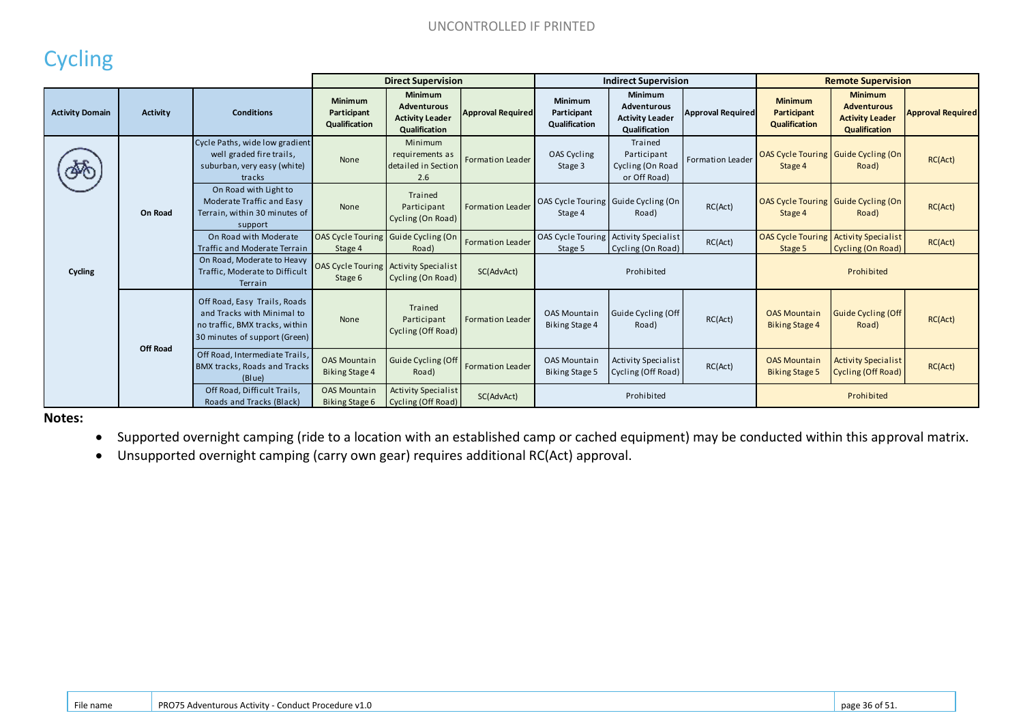# **Cycling**

|                        |                 |                                                                                                                               | <b>Direct Supervision</b>                    |                                                                                        |                          | <b>Indirect Supervision</b>                  |                                                                          |                          | <b>Remote Supervision</b>                        |                                                                                 |                          |
|------------------------|-----------------|-------------------------------------------------------------------------------------------------------------------------------|----------------------------------------------|----------------------------------------------------------------------------------------|--------------------------|----------------------------------------------|--------------------------------------------------------------------------|--------------------------|--------------------------------------------------|---------------------------------------------------------------------------------|--------------------------|
| <b>Activity Domain</b> | <b>Activity</b> | <b>Conditions</b>                                                                                                             | Minimum<br>Participant<br>Qualification      | <b>Minimum</b><br><b>Adventurous</b><br><b>Activity Leader</b><br><b>Qualification</b> | <b>Approval Required</b> | Minimum<br>Participant<br>Qualification      | <b>Minimum</b><br>Adventurous<br><b>Activity Leader</b><br>Qualification | <b>Approval Required</b> | <b>Minimum</b><br>Participant<br>Qualification   | <b>Minimum</b><br><b>Adventurous</b><br><b>Activity Leader</b><br>Qualification | <b>Approval Required</b> |
|                        |                 | Cycle Paths, wide low gradient<br>well graded fire trails,<br>suburban, very easy (white)<br>tracks                           | None                                         | Minimum<br>requirements as<br>detailed in Section<br>2.6                               | Formation Leader         | OAS Cycling<br>Stage 3                       | Trained<br>Participant<br>Cycling (On Road<br>or Off Road)               | Formation Leader         | Stage 4                                          | OAS Cycle Touring   Guide Cycling (On<br>Road)                                  | RC(Act)                  |
|                        | On Road         | On Road with Light to<br>Moderate Traffic and Easy<br>Terrain, within 30 minutes of<br>support                                | None                                         | Trained<br>Participant<br>Cycling (On Road)                                            | <b>Formation Leader</b>  | Stage 4                                      | OAS Cycle Touring Guide Cycling (On<br>Road)                             | RC(Act)                  | OAS Cycle Touring   Guide Cycling (On<br>Stage 4 | Road)                                                                           | RC(Act)                  |
|                        |                 | On Road with Moderate<br>Traffic and Moderate Terrain                                                                         | <b>OAS Cycle Touring</b><br>Stage 4          | Guide Cycling (On<br>Road)                                                             | <b>Formation Leader</b>  | <b>OAS Cycle Touring</b><br>Stage 5          | Activity Specialist<br>Cycling (On Road)                                 | RC(Act)                  | <b>OAS Cycle Touring</b><br>Stage 5              | <b>Activity Specialist</b><br>Cycling (On Road)                                 | RC(Act)                  |
| Cycling                |                 | On Road, Moderate to Heavy<br>Traffic. Moderate to Difficult<br>Terrain                                                       | <b>OAS Cycle Touring</b><br>Stage 6          | <b>Activity Specialist</b><br>Cycling (On Road)                                        | SC(AdvAct)               |                                              | Prohibited                                                               |                          |                                                  | Prohibited                                                                      |                          |
|                        | <b>Off Road</b> | Off Road, Easy Trails, Roads<br>and Tracks with Minimal to<br>no traffic, BMX tracks, within<br>30 minutes of support (Green) | None                                         | Trained<br>Participant<br>Cycling (Off Road)                                           | <b>Formation Leader</b>  | <b>OAS Mountain</b><br><b>Biking Stage 4</b> | Guide Cycling (Off<br>Road)                                              | RC(Act)                  | <b>OAS Mountain</b><br><b>Biking Stage 4</b>     | Guide Cycling (Off<br>Road)                                                     | RC(Act)                  |
|                        |                 | Off Road, Intermediate Trails,<br><b>BMX tracks, Roads and Tracks</b><br>(Blue)                                               | <b>OAS Mountain</b><br><b>Biking Stage 4</b> | <b>Guide Cycling (Off</b><br>Road)                                                     | <b>Formation Leader</b>  | <b>OAS Mountain</b><br>Biking Stage 5        | <b>Activity Specialist</b><br>Cycling (Off Road)                         | RC(Act)                  | <b>OAS Mountain</b><br><b>Biking Stage 5</b>     | <b>Activity Specialist</b><br>Cycling (Off Road)                                | RC(Act)                  |
|                        |                 | Off Road, Difficult Trails,<br>Roads and Tracks (Black)                                                                       | <b>OAS Mountain</b><br>Biking Stage 6        | <b>Activity Specialist</b><br>Cycling (Off Road)                                       | SC(AdvAct)               |                                              | Prohibited                                                               |                          |                                                  | Prohibited                                                                      |                          |

**Notes:** 

- Supported overnight camping (ride to a location with an established camp or cached equipment) may be conducted within this approval matrix.
- Unsupported overnight camping (carry own gear) requires additional RC(Act) approval.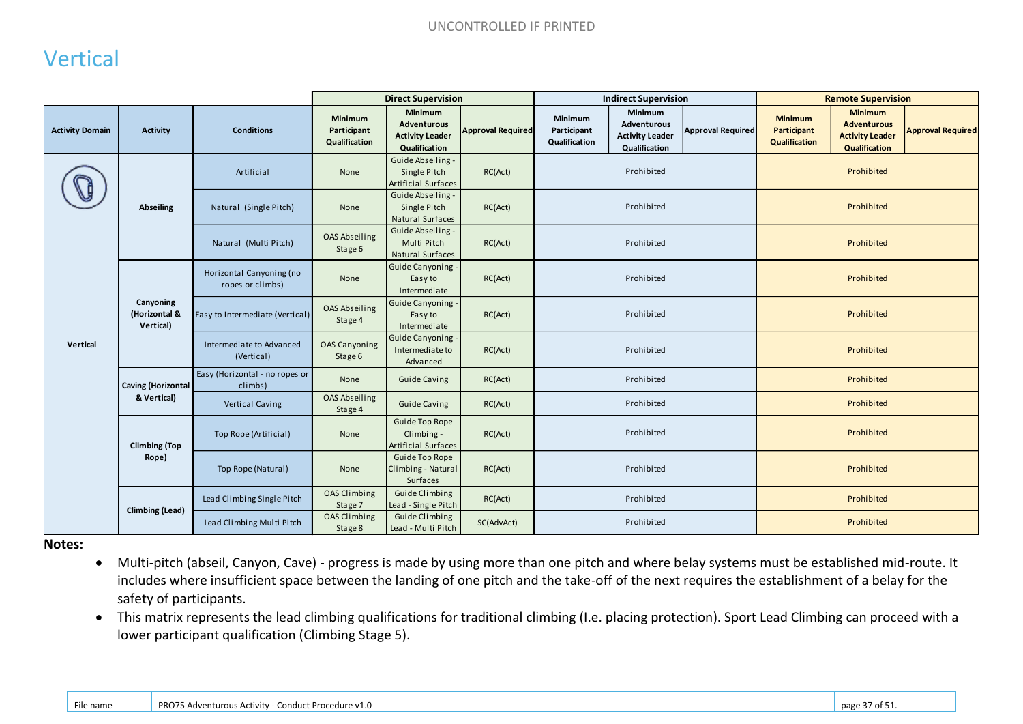## Vertical

|                        |                                         |                                              | <b>Direct Supervision</b>                      |                                                                                 |                          | <b>Indirect Supervision</b>                    |                                                                   |                          | <b>Remote Supervision</b>                             |                                                                                 |                          |
|------------------------|-----------------------------------------|----------------------------------------------|------------------------------------------------|---------------------------------------------------------------------------------|--------------------------|------------------------------------------------|-------------------------------------------------------------------|--------------------------|-------------------------------------------------------|---------------------------------------------------------------------------------|--------------------------|
| <b>Activity Domain</b> | Activity                                | <b>Conditions</b>                            | <b>Minimum</b><br>Participant<br>Qualification | <b>Minimum</b><br><b>Adventurous</b><br><b>Activity Leader</b><br>Qualification | <b>Approval Required</b> | <b>Minimum</b><br>Participant<br>Qualification | Minimum<br>Adventurous<br><b>Activity Leader</b><br>Qualification | <b>Approval Required</b> | <b>Minimum</b><br>Participant<br><b>Qualification</b> | <b>Minimum</b><br><b>Adventurous</b><br><b>Activity Leader</b><br>Qualification | <b>Approval Required</b> |
|                        |                                         | Artificial                                   | None                                           | Guide Abseiling -<br>Single Pitch<br><b>Artificial Surfaces</b>                 | RC(Act)                  |                                                | Prohibited                                                        |                          |                                                       | Prohibited                                                                      |                          |
|                        | <b>Abseiling</b>                        | Natural (Single Pitch)                       | None                                           | Guide Abseiling -<br>Single Pitch<br>Natural Surfaces                           | RC(Act)                  |                                                | Prohibited                                                        |                          |                                                       | Prohibited                                                                      |                          |
|                        |                                         | Natural (Multi Pitch)                        | OAS Abseiling<br>Stage 6                       | Guide Abseiling -<br>Multi Pitch<br>Natural Surfaces                            | RC(Act)                  |                                                | Prohibited                                                        | Prohibited               |                                                       |                                                                                 |                          |
|                        |                                         | Horizontal Canyoning (no<br>ropes or climbs) | None                                           | Guide Canyoning<br>Easy to<br>Intermediate                                      | RC(Act)                  |                                                | Prohibited                                                        |                          |                                                       | Prohibited                                                                      |                          |
|                        | Canyoning<br>(Horizontal &<br>Vertical) | Easy to Intermediate (Vertical)              | OAS Abseiling<br>Stage 4                       | Guide Canyoning<br>Easy to<br>Intermediate                                      | RC(Act)                  |                                                | Prohibited                                                        |                          |                                                       | Prohibited                                                                      |                          |
| Vertical               |                                         | Intermediate to Advanced<br>(Vertical)       | <b>OAS Canyoning</b><br>Stage 6                | Guide Canyoning<br>Intermediate to<br>Advanced                                  | RC(Act)                  |                                                | Prohibited                                                        |                          |                                                       | Prohibited                                                                      |                          |
|                        | <b>Caving (Horizontal</b>               | Easy (Horizontal - no ropes or<br>climbs)    | None                                           | <b>Guide Caving</b>                                                             | RC(Act)                  |                                                | Prohibited                                                        |                          |                                                       | Prohibited                                                                      |                          |
|                        | & Vertical)                             | Vertical Caving                              | OAS Abseiling<br>Stage 4                       | <b>Guide Caving</b>                                                             | RC(Act)                  |                                                | Prohibited                                                        |                          |                                                       | Prohibited                                                                      |                          |
|                        | <b>Climbing (Top</b>                    | Top Rope (Artificial)                        | None                                           | <b>Guide Top Rope</b><br>Climbing -<br><b>Artificial Surfaces</b>               | RC(Act)                  |                                                | Prohibited                                                        |                          |                                                       | Prohibited                                                                      |                          |
|                        | Rope)                                   | Top Rope (Natural)                           | None                                           | Guide Top Rope<br>Climbing - Natural<br>Surfaces                                | RC(Act)                  |                                                | Prohibited                                                        |                          |                                                       | Prohibited                                                                      |                          |
|                        |                                         | Lead Climbing Single Pitch                   | <b>OAS Climbing</b><br>Stage 7                 | <b>Guide Climbing</b><br>Lead - Single Pitch                                    | RC(Act)                  |                                                | Prohibited                                                        |                          |                                                       | Prohibited                                                                      |                          |
|                        | <b>Climbing (Lead)</b>                  | Lead Climbing Multi Pitch                    | OAS Climbing<br>Stage 8                        | Guide Climbing<br>Lead - Multi Pitch                                            | SC(AdvAct)               |                                                | Prohibited                                                        |                          |                                                       | Prohibited                                                                      |                          |

**Notes:** 

- Multi-pitch (abseil, Canyon, Cave) progress is made by using more than one pitch and where belay systems must be established mid-route. It includes where insufficient space between the landing of one pitch and the take-off of the next requires the establishment of a belay for the safety of participants.
- This matrix represents the lead climbing qualifications for traditional climbing (I.e. placing protection). Sport Lead Climbing can proceed with a lower participant qualification (Climbing Stage 5).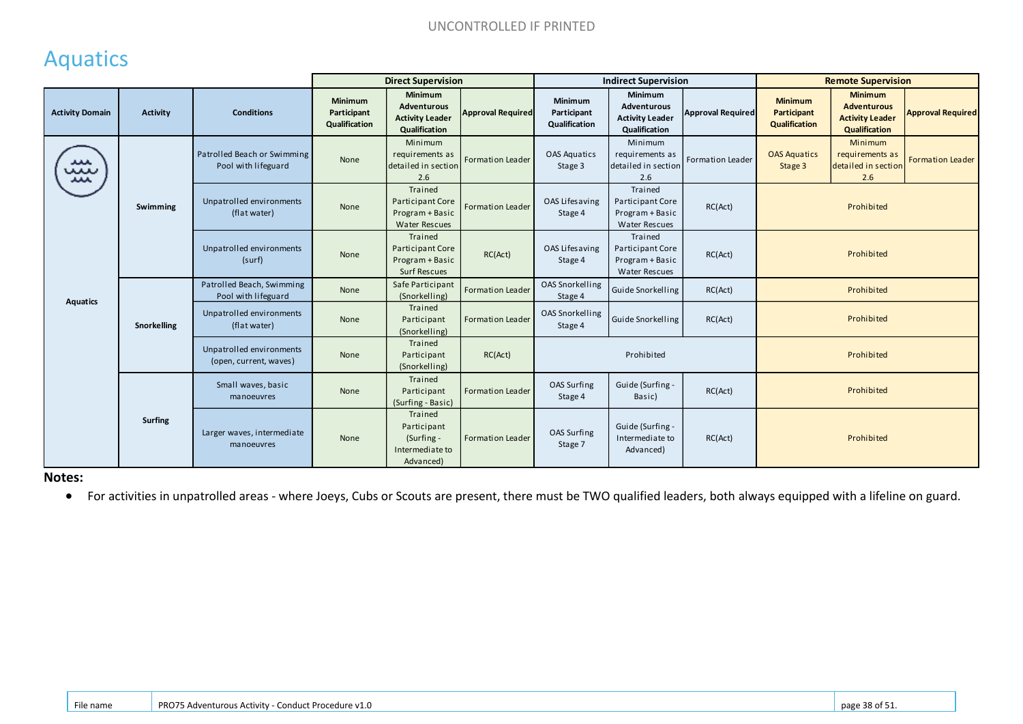# Aquatics

|                        |                 |                                                    | <b>Direct Supervision</b>               |                                                                        |                          | <b>Indirect Supervision</b>             |                                                                        |                          | <b>Remote Supervision</b>                      |                                                                                 |                          |  |
|------------------------|-----------------|----------------------------------------------------|-----------------------------------------|------------------------------------------------------------------------|--------------------------|-----------------------------------------|------------------------------------------------------------------------|--------------------------|------------------------------------------------|---------------------------------------------------------------------------------|--------------------------|--|
| <b>Activity Domain</b> | <b>Activity</b> | <b>Conditions</b>                                  | Minimum<br>Participant<br>Qualification | Minimum<br>Adventurous<br><b>Activity Leader</b><br>Qualification      | <b>Approval Required</b> | Minimum<br>Participant<br>Qualification | Minimum<br>Adventurous<br><b>Activity Leader</b><br>Qualification      | <b>Approval Required</b> | <b>Minimum</b><br>Participant<br>Qualification | <b>Minimum</b><br><b>Adventurous</b><br><b>Activity Leader</b><br>Qualification | <b>Approval Required</b> |  |
| ᅭ<br>بيب<br>ᄮ          |                 | Patrolled Beach or Swimming<br>Pool with lifeguard | None                                    | Minimum<br>requirements as<br>detailed in section<br>2.6               | Formation Leader         | <b>OAS Aquatics</b><br>Stage 3          | Minimum<br>requirements as<br>detailed in section<br>2.6               | Formation Leader         | <b>OAS Aquatics</b><br>Stage 3                 | Minimum<br>requirements as<br>detailed in section<br>2.6                        | Formation Leader         |  |
|                        | Swimming        | Unpatrolled environments<br>(flat water)           | None                                    | Trained<br>Participant Core<br>Program + Basic<br><b>Water Rescues</b> | Formation Leader         | OAS Lifesaving<br>Stage 4               | Trained<br>Participant Core<br>Program + Basic<br><b>Water Rescues</b> | RC(Act)                  |                                                | Prohibited                                                                      |                          |  |
|                        |                 | Unpatrolled environments<br>(surf)                 | None                                    | Trained<br>Participant Core<br>Program + Basic<br><b>Surf Rescues</b>  | RC(Act)                  | OAS Lifesaving<br>Stage 4               | Trained<br>Participant Core<br>Program + Basic<br><b>Water Rescues</b> | RC(Act)                  |                                                | Prohibited                                                                      |                          |  |
|                        |                 | Patrolled Beach, Swimming<br>Pool with lifeguard   | None                                    | Safe Participant<br>(Snorkelling)                                      | <b>Formation Leader</b>  | OAS Snorkelling<br>Stage 4              | Guide Snorkelling                                                      | RC(Act)                  |                                                | Prohibited                                                                      |                          |  |
| <b>Aquatics</b>        | Snorkelling     | Unpatrolled environments<br>(flat water)           | None                                    | Trained<br>Participant<br>(Snorkelling)                                | Formation Leader         | <b>OAS Snorkelling</b><br>Stage 4       | Guide Snorkelling                                                      | RC(Act)                  |                                                | Prohibited                                                                      |                          |  |
|                        |                 | Unpatrolled environments<br>(open, current, waves) | None                                    | Trained<br>Participant<br>(Snorkelling)                                | RC(Act)                  |                                         | Prohibited                                                             |                          |                                                | Prohibited                                                                      |                          |  |
|                        |                 | Small waves, basic<br>manoeuvres                   | None                                    | Trained<br>Participant<br>(Surfing - Basic)                            | <b>Formation Leader</b>  | OAS Surfing<br>Stage 4                  | Guide (Surfing -<br>Basic)                                             | RC(Act)                  |                                                | Prohibited                                                                      |                          |  |
|                        | <b>Surfing</b>  | Larger waves, intermediate<br>manoeuvres           | None                                    | Trained<br>Participant<br>(Surfing -<br>Intermediate to<br>Advanced)   | <b>Formation Leader</b>  | OAS Surfing<br>Stage 7                  | Guide (Surfing -<br>Intermediate to<br>Advanced)                       | RC(Act)                  |                                                | Prohibited                                                                      |                          |  |

#### **Notes:**

For activities in unpatrolled areas - where Joeys, Cubs or Scouts are present, there must be TWO qualified leaders, both always equipped with a lifeline on guard.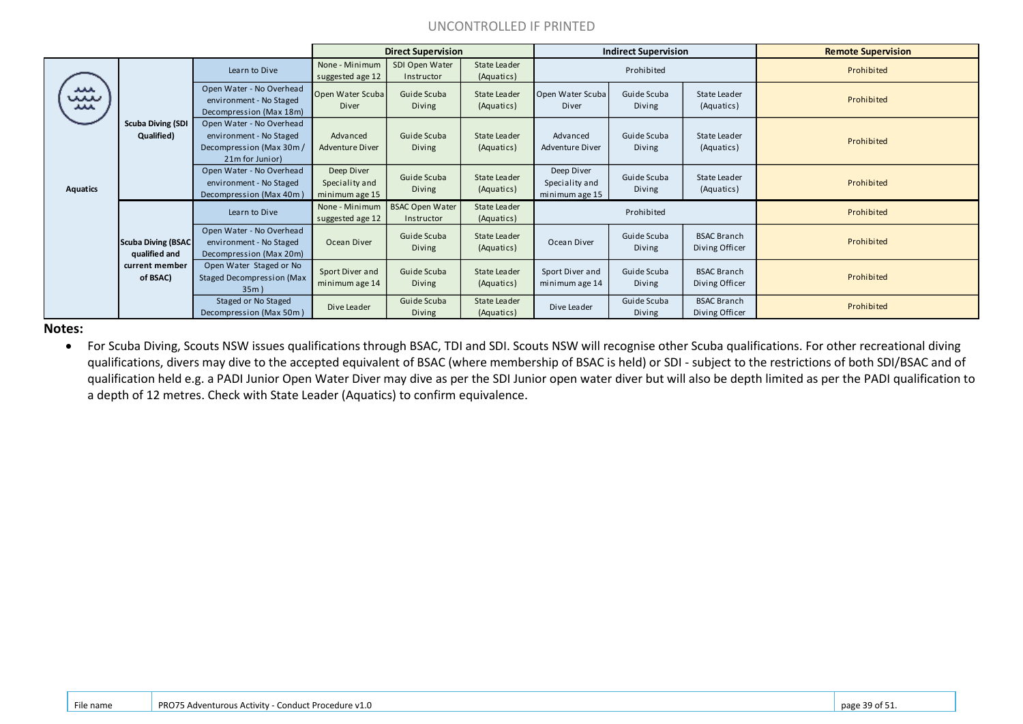#### UNCONTROLLED IF PRINTED

|                 |                                            |                                                                                                   |                                                | <b>Direct Supervision</b>            |                            |                                                | <b>Indirect Supervision</b> |                                      | <b>Remote Supervision</b> |
|-----------------|--------------------------------------------|---------------------------------------------------------------------------------------------------|------------------------------------------------|--------------------------------------|----------------------------|------------------------------------------------|-----------------------------|--------------------------------------|---------------------------|
|                 |                                            | Learn to Dive                                                                                     | None - Minimum<br>suggested age 12             | SDI Open Water<br>Instructor         | State Leader<br>(Aquatics) |                                                | Prohibited                  |                                      | Prohibited                |
| معد<br>m<br>ᄮ   |                                            | Open Water - No Overhead<br>environment - No Staged<br>Decompression (Max 18m)                    | Open Water Scuba<br>Diver                      | Guide Scuba<br>Diving                | State Leader<br>(Aquatics) | Open Water Scuba<br>Diver                      | Guide Scuba<br>Diving       | State Leader<br>(Aquatics)           | Prohibited                |
|                 | <b>Scuba Diving (SDI</b><br>Qualified)     | Open Water - No Overhead<br>environment - No Staged<br>Decompression (Max 30m/<br>21m for Junior) | Advanced<br>Adventure Diver                    | Guide Scuba<br>Diving                | State Leader<br>(Aquatics) | Advanced<br><b>Adventure Diver</b>             | Guide Scuba<br>Diving       | State Leader<br>(Aquatics)           | Prohibited                |
| <b>Aquatics</b> |                                            | Open Water - No Overhead<br>environment - No Staged<br>Decompression (Max 40m)                    | Deep Diver<br>Speciality and<br>minimum age 15 | Guide Scuba<br>Diving                | State Leader<br>(Aquatics) | Deep Diver<br>Speciality and<br>minimum age 15 | Guide Scuba<br>Diving       | State Leader<br>(Aquatics)           | Prohibited                |
|                 |                                            | Learn to Dive                                                                                     | None - Minimum<br>suggested age 12             | <b>BSAC Open Water</b><br>Instructor | State Leader<br>(Aquatics) |                                                | Prohibited                  |                                      | Prohibited                |
|                 | <b>Scuba Diving (BSAC</b><br>qualified and | Open Water - No Overhead<br>environment - No Staged<br>Decompression (Max 20m)                    | Ocean Diver                                    | Guide Scuba<br>Diving                | State Leader<br>(Aquatics) | Ocean Diver                                    | Guide Scuba<br>Diving       | <b>BSAC Branch</b><br>Diving Officer | Prohibited                |
|                 | current member<br>of BSAC)                 | Open Water Staged or No<br><b>Staged Decompression (Max</b><br>35m)                               | Sport Diver and<br>minimum age 14              | Guide Scuba<br>Diving                | State Leader<br>(Aquatics) | Sport Diver and<br>minimum age 14              | Guide Scuba<br>Diving       | <b>BSAC Branch</b><br>Diving Officer | Prohibited                |
|                 |                                            | Staged or No Staged<br>Decompression (Max 50m)                                                    | Dive Leader                                    | Guide Scuba<br>Diving                | State Leader<br>(Aquatics) | Dive Leader                                    | Guide Scuba<br>Diving       | <b>BSAC Branch</b><br>Diving Officer | Prohibited                |

**Notes:** 

 For Scuba Diving, Scouts NSW issues qualifications through BSAC, TDI and SDI. Scouts NSW will recognise other Scuba qualifications. For other recreational diving qualifications, divers may dive to the accepted equivalent of BSAC (where membership of BSAC is held) or SDI - subject to the restrictions of both SDI/BSAC and of qualification held e.g. a PADI Junior Open Water Diver may dive as per the SDI Junior open water diver but will also be depth limited as per the PADI qualification to a depth of 12 metres. Check with State Leader (Aquatics) to confirm equivalence.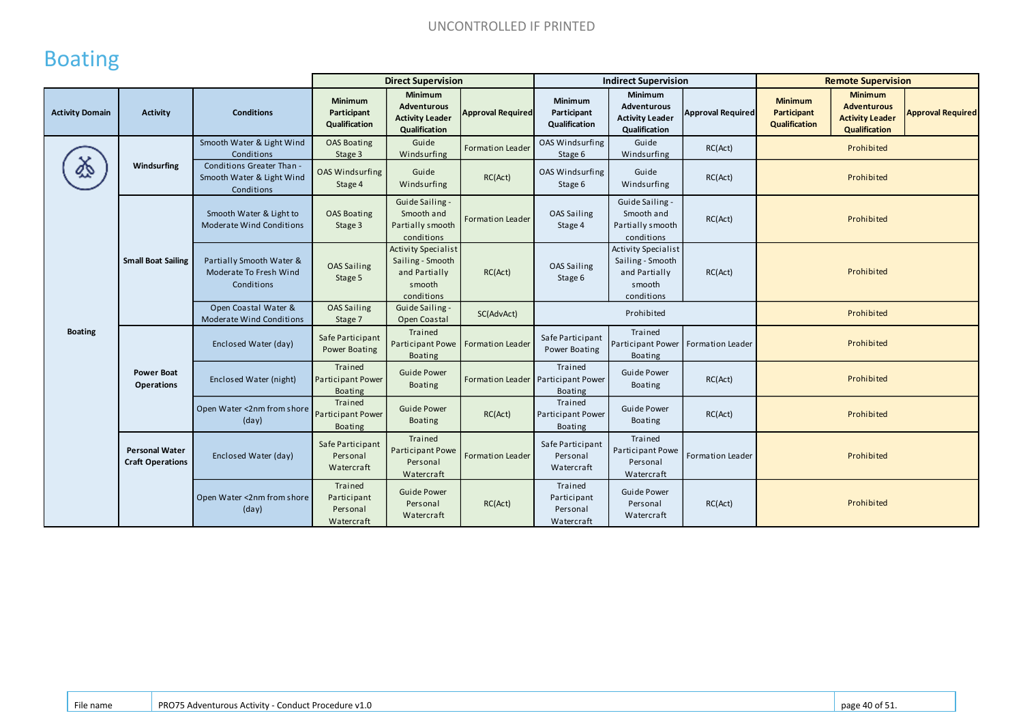# Boating

|                        |                                                  |                                                                      |                                                       | <b>Direct Supervision</b>                                                               |                          | <b>Indirect Supervision</b>                                     |                                                                                         |                          | <b>Remote Supervision</b>                      |                                                                                        |                          |
|------------------------|--------------------------------------------------|----------------------------------------------------------------------|-------------------------------------------------------|-----------------------------------------------------------------------------------------|--------------------------|-----------------------------------------------------------------|-----------------------------------------------------------------------------------------|--------------------------|------------------------------------------------|----------------------------------------------------------------------------------------|--------------------------|
| <b>Activity Domain</b> | <b>Activity</b>                                  | <b>Conditions</b>                                                    | <b>Minimum</b><br>Participant<br>Qualification        | Minimum<br>Adventurous<br><b>Activity Leader</b><br>Qualification                       | <b>Approval Required</b> | Minimum<br>Participant<br>Qualification                         | Minimum<br>Adventurous<br><b>Activity Leader</b><br>Qualification                       | <b>Approval Required</b> | <b>Minimum</b><br>Participant<br>Qualification | <b>Minimum</b><br><b>Adventurous</b><br><b>Activity Leader</b><br><b>Qualification</b> | <b>Approval Required</b> |
|                        |                                                  | Smooth Water & Light Wind<br>Conditions                              | <b>OAS Boating</b><br>Stage 3                         | Guide<br>Windsurfing                                                                    | <b>Formation Leader</b>  | OAS Windsurfing<br>Stage 6                                      | Guide<br>Windsurfing                                                                    | RC(Act)                  |                                                | Prohibited                                                                             |                          |
|                        | Windsurfing                                      | Conditions Greater Than -<br>Smooth Water & Light Wind<br>Conditions | <b>OAS Windsurfing</b><br>Stage 4                     | Guide<br>Windsurfing                                                                    | RC(Act)                  | <b>OAS Windsurfing</b><br>Stage 6                               | Guide<br>Windsurfing                                                                    | RC(Act)                  |                                                | Prohibited                                                                             |                          |
|                        |                                                  | Smooth Water & Light to<br>Moderate Wind Conditions                  | <b>OAS Boating</b><br>Stage 3                         | Guide Sailing -<br>Smooth and<br>Partially smooth<br>conditions                         | Formation Leader         | OAS Sailing<br>Stage 4                                          | Guide Sailing -<br>Smooth and<br>Partially smooth<br>conditions                         | RC(Act)                  |                                                | Prohibited                                                                             |                          |
|                        | <b>Small Boat Sailing</b>                        | Partially Smooth Water &<br>Moderate To Fresh Wind<br>Conditions     | <b>OAS Sailing</b><br>Stage 5                         | <b>Activity Specialist</b><br>Sailing - Smooth<br>and Partially<br>smooth<br>conditions | RC(Act)                  | OAS Sailing<br>Stage 6                                          | <b>Activity Specialist</b><br>Sailing - Smooth<br>and Partially<br>smooth<br>conditions | RC(Act)                  |                                                | Prohibited                                                                             |                          |
|                        |                                                  | Open Coastal Water &<br>Moderate Wind Conditions                     | <b>OAS Sailing</b><br>Stage 7                         | Guide Sailing -<br>Open Coastal                                                         | SC(AdvAct)               |                                                                 | Prohibited                                                                              |                          |                                                | Prohibited                                                                             |                          |
| <b>Boating</b>         |                                                  | Enclosed Water (day)                                                 | Safe Participant<br>Power Boating                     | Trained<br>Participant Powe<br><b>Boating</b>                                           | <b>Formation Leader</b>  | Safe Participant<br>Power Boating                               | Trained<br>Participant Power<br><b>Boating</b>                                          | Formation Leader         |                                                | Prohibited                                                                             |                          |
|                        | <b>Power Boat</b><br><b>Operations</b>           | Enclosed Water (night)                                               | Trained<br><b>Participant Power</b><br><b>Boating</b> | <b>Guide Power</b><br>Boating                                                           |                          | Trained<br>Formation Leader Participant Power<br><b>Boating</b> | <b>Guide Power</b><br>Boating                                                           | RC(Act)                  |                                                | Prohibited                                                                             |                          |
|                        |                                                  | Open Water <2nm from shore<br>(day)                                  | Trained<br>Participant Power<br><b>Boating</b>        | <b>Guide Power</b><br>Boating                                                           | RC(Act)                  | Trained<br>Participant Power<br>Boating                         | <b>Guide Power</b><br>Boating                                                           | RC(Act)                  |                                                | Prohibited                                                                             |                          |
|                        | <b>Personal Water</b><br><b>Craft Operations</b> | Enclosed Water (day)                                                 | Safe Participant<br>Personal<br>Watercraft            | Trained<br><b>Participant Powe</b><br>Personal<br>Watercraft                            | Formation Leader         | Safe Participant<br>Personal<br>Watercraft                      | Trained<br>Participant Powe<br>Personal<br>Watercraft                                   | Formation Leader         |                                                | Prohibited                                                                             |                          |
|                        |                                                  | Open Water <2nm from shore<br>(day)                                  | Trained<br>Participant<br>Personal<br>Watercraft      | <b>Guide Power</b><br>Personal<br>Watercraft                                            | RC(Act)                  | Trained<br>Participant<br>Personal<br>Watercraft                | <b>Guide Power</b><br>Personal<br>Watercraft                                            | RC(Act)                  |                                                | Prohibited                                                                             |                          |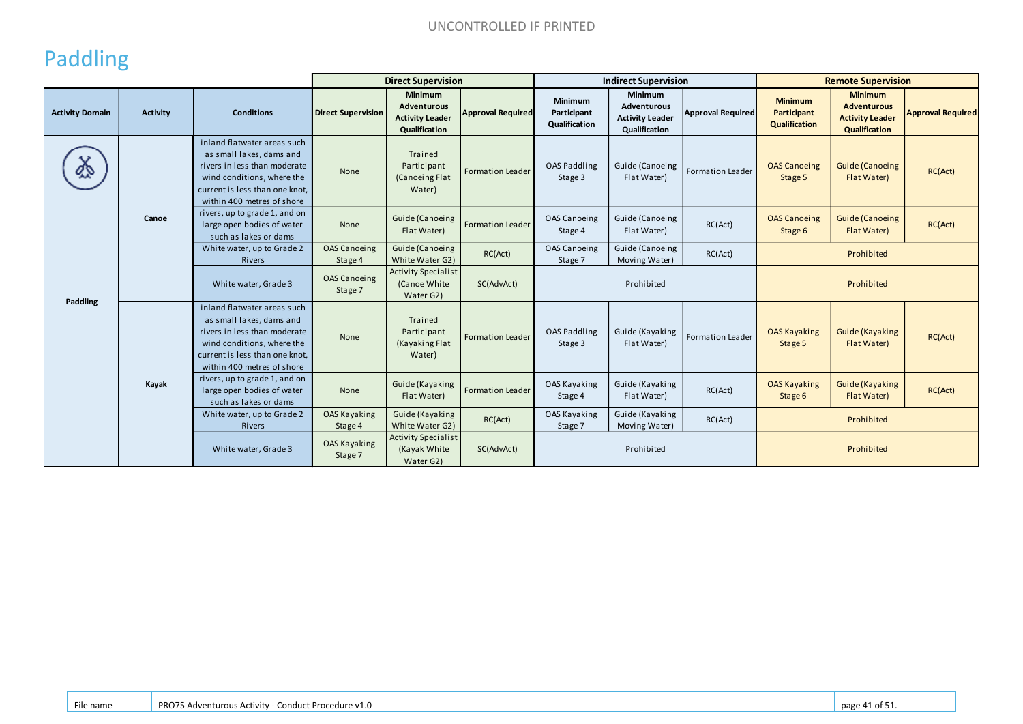# Paddling

|                        |                 |                                                                                                                                                                                       | <b>Direct Supervision</b>      |                                                                                 |                          | <b>Indirect Supervision</b>                    |                                                                          |                          | <b>Remote Supervision</b>                      |                                                                                 |                          |
|------------------------|-----------------|---------------------------------------------------------------------------------------------------------------------------------------------------------------------------------------|--------------------------------|---------------------------------------------------------------------------------|--------------------------|------------------------------------------------|--------------------------------------------------------------------------|--------------------------|------------------------------------------------|---------------------------------------------------------------------------------|--------------------------|
| <b>Activity Domain</b> | <b>Activity</b> | <b>Conditions</b>                                                                                                                                                                     | <b>Direct Supervision</b>      | <b>Minimum</b><br>Adventurous<br><b>Activity Leader</b><br><b>Qualification</b> | <b>Approval Required</b> | <b>Minimum</b><br>Participant<br>Qualification | <b>Minimum</b><br>Adventurous<br><b>Activity Leader</b><br>Qualification | <b>Approval Required</b> | <b>Minimum</b><br>Participant<br>Qualification | <b>Minimum</b><br><b>Adventurous</b><br><b>Activity Leader</b><br>Qualification | <b>Approval Required</b> |
|                        |                 | inland flatwater areas such<br>as small lakes, dams and<br>rivers in less than moderate<br>wind conditions, where the<br>current is less than one knot,<br>within 400 metres of shore | None                           | Trained<br>Participant<br>(Canoeing Flat<br>Water)                              | <b>Formation Leader</b>  | OAS Paddling<br>Stage 3                        | Guide (Canoeing<br>Flat Water)                                           | Formation Leader         | <b>OAS Canoeing</b><br>Stage 5                 | <b>Guide (Canoeing</b><br>Flat Water)                                           | RC(Act)                  |
|                        | Canoe           | rivers, up to grade 1, and on<br>large open bodies of water<br>such as lakes or dams                                                                                                  | None                           | <b>Guide (Canoeing</b><br>Flat Water)                                           | Formation Leader         | <b>OAS Canoeing</b><br>Stage 4                 | Guide (Canoeing<br>Flat Water)                                           | RC(Act)                  | <b>OAS Canoeing</b><br>Stage 6                 | <b>Guide (Canoeing</b><br>Flat Water)                                           | RC(Act)                  |
|                        |                 | White water, up to Grade 2<br>Rivers                                                                                                                                                  | <b>OAS Canoeing</b><br>Stage 4 | Guide (Canoeing<br>White Water G2)                                              | RC(Act)                  | OAS Canoeing<br>Stage 7                        | Guide (Canoeing<br>Moving Water)                                         | RC(Act)                  | Prohibited                                     |                                                                                 |                          |
|                        |                 | White water, Grade 3                                                                                                                                                                  | <b>OAS Canoeing</b><br>Stage 7 | <b>Activity Specialist</b><br>(Canoe White)<br>Water G2)                        | SC(AdvAct)               |                                                | Prohibited                                                               |                          |                                                | Prohibited                                                                      |                          |
| Paddling               |                 | inland flatwater areas such<br>as small lakes, dams and<br>rivers in less than moderate<br>wind conditions, where the<br>current is less than one knot,<br>within 400 metres of shore | None                           | Trained<br>Participant<br>(Kayaking Flat<br>Water)                              | <b>Formation Leader</b>  | OAS Paddling<br>Stage 3                        | Guide (Kayaking<br>Flat Water)                                           | Formation Leader         | <b>OAS Kayaking</b><br>Stage 5                 | Guide (Kayaking<br>Flat Water)                                                  | RC(Act)                  |
|                        | Kayak           | rivers, up to grade 1, and on<br>large open bodies of water<br>such as lakes or dams                                                                                                  | None                           | Guide (Kayaking<br>Flat Water)                                                  | Formation Leader         | OAS Kayaking<br>Stage 4                        | Guide (Kayaking<br>Flat Water)                                           | RC(Act)                  | <b>OAS Kayaking</b><br>Stage 6                 | Guide (Kayaking<br>Flat Water)                                                  | RC(Act)                  |
|                        |                 | White water, up to Grade 2<br><b>Rivers</b>                                                                                                                                           | OAS Kayaking<br>Stage 4        | Guide (Kayaking<br>White Water G2)                                              | RC(Act)                  | OAS Kayaking<br>Stage 7                        | Guide (Kayaking<br>Moving Water)                                         | RC(Act)                  |                                                | Prohibited                                                                      |                          |
|                        |                 | White water, Grade 3                                                                                                                                                                  | OAS Kayaking<br>Stage 7        | <b>Activity Specialist</b><br>(Kayak White<br>Water G2)                         | SC(AdvAct)               |                                                | Prohibited                                                               |                          |                                                | Prohibited                                                                      |                          |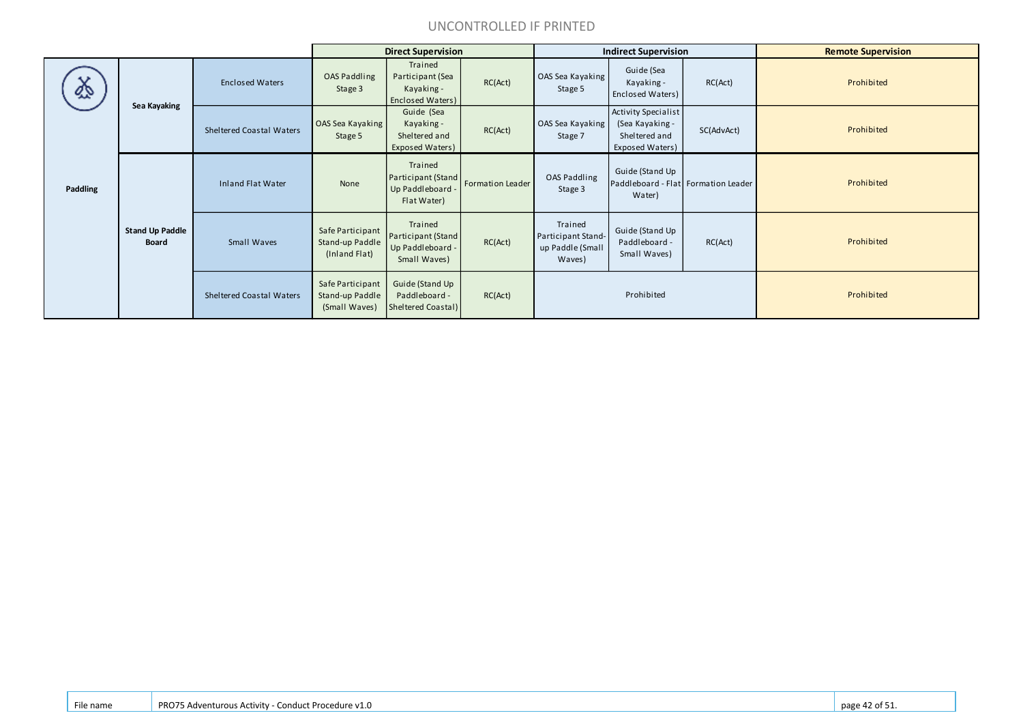#### UNCONTROLLED IF PRINTED

|          |                                        |                                 |                                                      | <b>Direct Supervision</b>                                         |                  |                                                             | <b>Indirect Supervision</b>                                                       |            | <b>Remote Supervision</b> |
|----------|----------------------------------------|---------------------------------|------------------------------------------------------|-------------------------------------------------------------------|------------------|-------------------------------------------------------------|-----------------------------------------------------------------------------------|------------|---------------------------|
| 处        | Sea Kayaking                           | <b>Enclosed Waters</b>          | OAS Paddling<br>Stage 3                              | Trained<br>Participant (Sea<br>Kayaking -<br>Enclosed Waters)     | RC(Act)          | OAS Sea Kayaking<br>Stage 5                                 | Guide (Sea<br>Kayaking -<br>Enclosed Waters)                                      | RC(Act)    | Prohibited                |
|          |                                        | Sheltered Coastal Waters        | OAS Sea Kayaking<br>Stage 5                          | Guide (Sea<br>Kayaking -<br>Sheltered and<br>Exposed Waters)      | RC(Act)          | OAS Sea Kayaking<br>Stage 7                                 | <b>Activity Specialist</b><br>(Sea Kayaking -<br>Sheltered and<br>Exposed Waters) | SC(AdvAct) | Prohibited                |
| Paddling |                                        | <b>Inland Flat Water</b>        | None                                                 | Trained<br>Participant (Stand<br>Up Paddleboard -<br>Flat Water)  | Formation Leader | OAS Paddling<br>Stage 3                                     | Guide (Stand Up<br>Paddleboard - Flat Formation Leader<br>Water)                  |            | Prohibited                |
|          | <b>Stand Up Paddle</b><br><b>Board</b> | Small Waves                     | Safe Participant<br>Stand-up Paddle<br>(Inland Flat) | Trained<br>Participant (Stand<br>Up Paddleboard -<br>Small Waves) | RC(Act)          | Trained<br>Participant Stand-<br>up Paddle (Small<br>Waves) | Guide (Stand Up<br>Paddleboard -<br>Small Waves)                                  | RC(Act)    | Prohibited                |
|          |                                        | <b>Sheltered Coastal Waters</b> | Safe Participant<br>Stand-up Paddle<br>(Small Waves) | Guide (Stand Up<br>Paddleboard -<br>Sheltered Coastal)            | RC(Act)          |                                                             | Prohibited                                                                        |            | Prohibited                |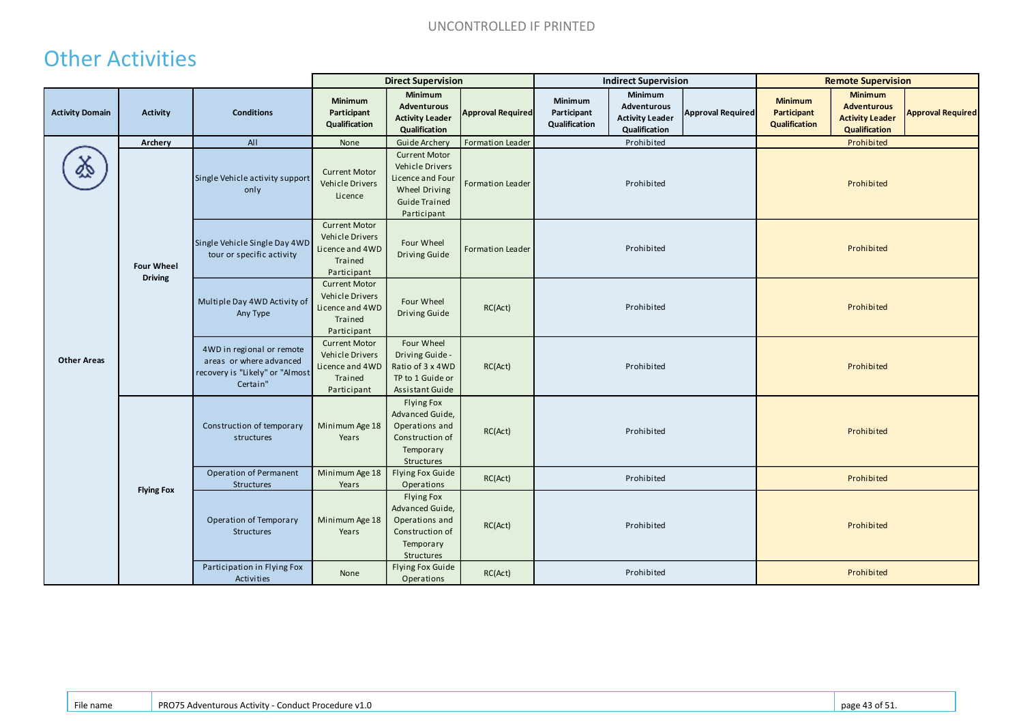## Other Activities

|                        |                                     |                                                                                                     | <b>Direct Supervision</b>                                                            |                                                                                                                            |                          | <b>Indirect Supervision</b>             |                                                                   |                          | <b>Remote Supervision</b>                      |                                                                                 |                          |
|------------------------|-------------------------------------|-----------------------------------------------------------------------------------------------------|--------------------------------------------------------------------------------------|----------------------------------------------------------------------------------------------------------------------------|--------------------------|-----------------------------------------|-------------------------------------------------------------------|--------------------------|------------------------------------------------|---------------------------------------------------------------------------------|--------------------------|
| <b>Activity Domain</b> | <b>Activity</b>                     | <b>Conditions</b>                                                                                   | Minimum<br>Participant<br>Qualification                                              | Minimum<br><b>Adventurous</b><br><b>Activity Leader</b><br>Qualification                                                   | <b>Approval Required</b> | Minimum<br>Participant<br>Qualification | Minimum<br>Adventurous<br><b>Activity Leader</b><br>Qualification | <b>Approval Required</b> | <b>Minimum</b><br>Participant<br>Qualification | <b>Minimum</b><br><b>Adventurous</b><br><b>Activity Leader</b><br>Qualification | <b>Approval Required</b> |
|                        | Archery                             | All                                                                                                 | None                                                                                 | Guide Archery                                                                                                              | Formation Leader         |                                         | Prohibited                                                        |                          |                                                | Prohibited                                                                      |                          |
|                        | <b>Four Wheel</b><br><b>Driving</b> | Single Vehicle activity support<br>only                                                             | <b>Current Motor</b><br>Vehicle Drivers<br>Licence                                   | <b>Current Motor</b><br>Vehicle Drivers<br>Licence and Four<br><b>Wheel Driving</b><br><b>Guide Trained</b><br>Participant | <b>Formation Leader</b>  |                                         | Prohibited                                                        |                          |                                                | Prohibited                                                                      |                          |
| <b>Other Areas</b>     |                                     | Single Vehicle Single Day 4WD<br>tour or specific activity                                          | <b>Current Motor</b><br>Vehicle Drivers<br>Licence and 4WD<br>Trained<br>Participant | Four Wheel<br>Driving Guide                                                                                                | <b>Formation Leader</b>  | Prohibited                              |                                                                   |                          | Prohibited                                     |                                                                                 |                          |
|                        |                                     | Multiple Day 4WD Activity of<br>Any Type                                                            | <b>Current Motor</b><br>Vehicle Drivers<br>Licence and 4WD<br>Trained<br>Participant | Four Wheel<br><b>Driving Guide</b>                                                                                         | RC(Act)                  | Prohibited                              |                                                                   | Prohibited               |                                                |                                                                                 |                          |
|                        |                                     | 4WD in regional or remote<br>areas or where advanced<br>recovery is "Likely" or "Almost<br>Certain" | <b>Current Motor</b><br>Vehicle Drivers<br>Licence and 4WD<br>Trained<br>Participant | Four Wheel<br>Driving Guide -<br>Ratio of 3 x 4WD<br>TP to 1 Guide or<br>Assistant Guide                                   | RC(Act)                  |                                         | Prohibited                                                        |                          |                                                | Prohibited                                                                      |                          |
|                        | <b>Flying Fox</b>                   | Construction of temporary<br>structures                                                             | Minimum Age 18<br>Years                                                              | Flying Fox<br>Advanced Guide,<br>Operations and<br>Construction of<br>Temporary<br>Structures                              | RC(Act)                  |                                         | Prohibited                                                        |                          |                                                | Prohibited                                                                      |                          |
|                        |                                     | Operation of Permanent<br>Structures                                                                | Minimum Age 18<br>Years                                                              | Flying Fox Guide<br>Operations                                                                                             | RC(Act)                  | Prohibited<br>Prohibited                |                                                                   |                          |                                                |                                                                                 |                          |
|                        |                                     | Operation of Temporary<br><b>Structures</b>                                                         | Minimum Age 18<br>Years                                                              | <b>Flying Fox</b><br>Advanced Guide,<br>Operations and<br>Construction of<br>Temporary<br>Structures                       | RC(Act)                  |                                         | Prohibited                                                        |                          | Prohibited                                     |                                                                                 |                          |
|                        |                                     | Participation in Flying Fox<br>Activities                                                           | None                                                                                 | Flying Fox Guide<br>Operations                                                                                             | RC(Act)                  |                                         | Prohibited                                                        |                          |                                                | Prohibited                                                                      |                          |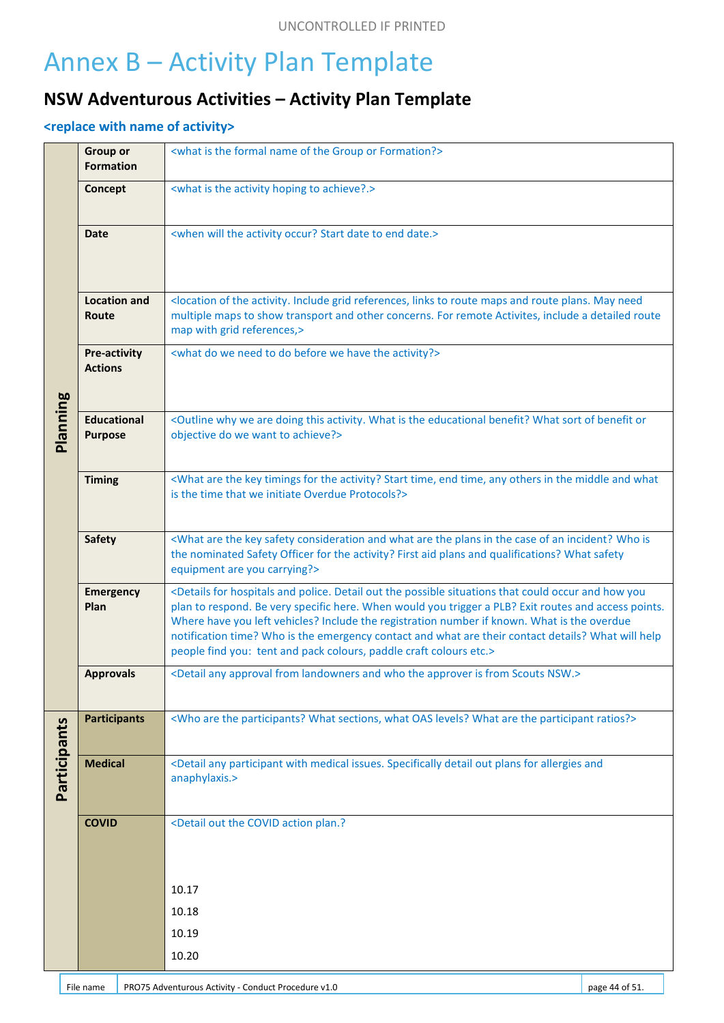# Annex B – Activity Plan Template

#### **NSW Adventurous Activities – Activity Plan Template**

#### **<replace with name of activity>**

|              | <b>Group or</b><br><b>Formation</b>  | <what formal="" formation?="" group="" is="" name="" of="" or="" the=""></what>                                                                                                                                                                                                                                                                                                                                                                                                                                                             |  |  |  |
|--------------|--------------------------------------|---------------------------------------------------------------------------------------------------------------------------------------------------------------------------------------------------------------------------------------------------------------------------------------------------------------------------------------------------------------------------------------------------------------------------------------------------------------------------------------------------------------------------------------------|--|--|--|
|              | Concept                              | <what achieve?.="" activity="" hoping="" is="" the="" to=""></what>                                                                                                                                                                                                                                                                                                                                                                                                                                                                         |  |  |  |
| Planning     | <b>Date</b>                          | <when activity="" date="" date.="" end="" occur?="" start="" the="" to="" will=""></when>                                                                                                                                                                                                                                                                                                                                                                                                                                                   |  |  |  |
|              | <b>Location and</b><br>Route         | <location activity.="" and="" grid="" include="" links="" maps="" may="" need<br="" of="" plans.="" references,="" route="" the="" to="">multiple maps to show transport and other concerns. For remote Activites, include a detailed route<br/>map with grid references,&gt;</location>                                                                                                                                                                                                                                                    |  |  |  |
|              | Pre-activity<br><b>Actions</b>       | <what activity?="" before="" do="" have="" need="" the="" to="" we=""></what>                                                                                                                                                                                                                                                                                                                                                                                                                                                               |  |  |  |
|              | <b>Educational</b><br><b>Purpose</b> | <outline activity.="" are="" benefit="" benefit?="" doing="" educational="" is="" of="" or<br="" sort="" the="" this="" we="" what="" why="">objective do we want to achieve?&gt;</outline>                                                                                                                                                                                                                                                                                                                                                 |  |  |  |
|              | <b>Timing</b>                        | <what activity?="" and="" any="" are="" end="" for="" in="" key="" middle="" others="" start="" the="" time,="" timings="" what<br="">is the time that we initiate Overdue Protocols?&gt;</what>                                                                                                                                                                                                                                                                                                                                            |  |  |  |
|              | <b>Safety</b>                        | <what an="" and="" are="" case="" consideration="" in="" incident?="" is<br="" key="" of="" plans="" safety="" the="" what="" who="">the nominated Safety Officer for the activity? First aid plans and qualifications? What safety<br/>equipment are you carrying?&gt;</what>                                                                                                                                                                                                                                                              |  |  |  |
|              | <b>Emergency</b><br>Plan             | <details and="" could="" detail="" for="" hospitals="" how="" occur="" out="" police.="" possible="" situations="" that="" the="" you<br="">plan to respond. Be very specific here. When would you trigger a PLB? Exit routes and access points.<br/>Where have you left vehicles? Include the registration number if known. What is the overdue<br/>notification time? Who is the emergency contact and what are their contact details? What will help<br/>people find you: tent and pack colours, paddle craft colours etc.&gt;</details> |  |  |  |
|              | <b>Approvals</b>                     | <detail and="" any="" approval="" approver="" from="" is="" landowners="" nsw.="" scouts="" the="" who=""></detail>                                                                                                                                                                                                                                                                                                                                                                                                                         |  |  |  |
|              | <b>Participants</b>                  | <who are="" levels?="" oas="" participant="" participants?="" ratios?="" sections,="" the="" what=""></who>                                                                                                                                                                                                                                                                                                                                                                                                                                 |  |  |  |
| Participants | <b>Medical</b>                       | <detail allergies="" and<br="" any="" detail="" for="" issues.="" medical="" out="" participant="" plans="" specifically="" with="">anaphylaxis.&gt;</detail>                                                                                                                                                                                                                                                                                                                                                                               |  |  |  |
|              | <b>COVID</b>                         | <detail action="" covid="" out="" plan.?<="" th="" the=""></detail>                                                                                                                                                                                                                                                                                                                                                                                                                                                                         |  |  |  |
|              |                                      | 10.17                                                                                                                                                                                                                                                                                                                                                                                                                                                                                                                                       |  |  |  |
|              |                                      | 10.18                                                                                                                                                                                                                                                                                                                                                                                                                                                                                                                                       |  |  |  |
|              |                                      | 10.19                                                                                                                                                                                                                                                                                                                                                                                                                                                                                                                                       |  |  |  |
|              |                                      | 10.20                                                                                                                                                                                                                                                                                                                                                                                                                                                                                                                                       |  |  |  |
|              |                                      |                                                                                                                                                                                                                                                                                                                                                                                                                                                                                                                                             |  |  |  |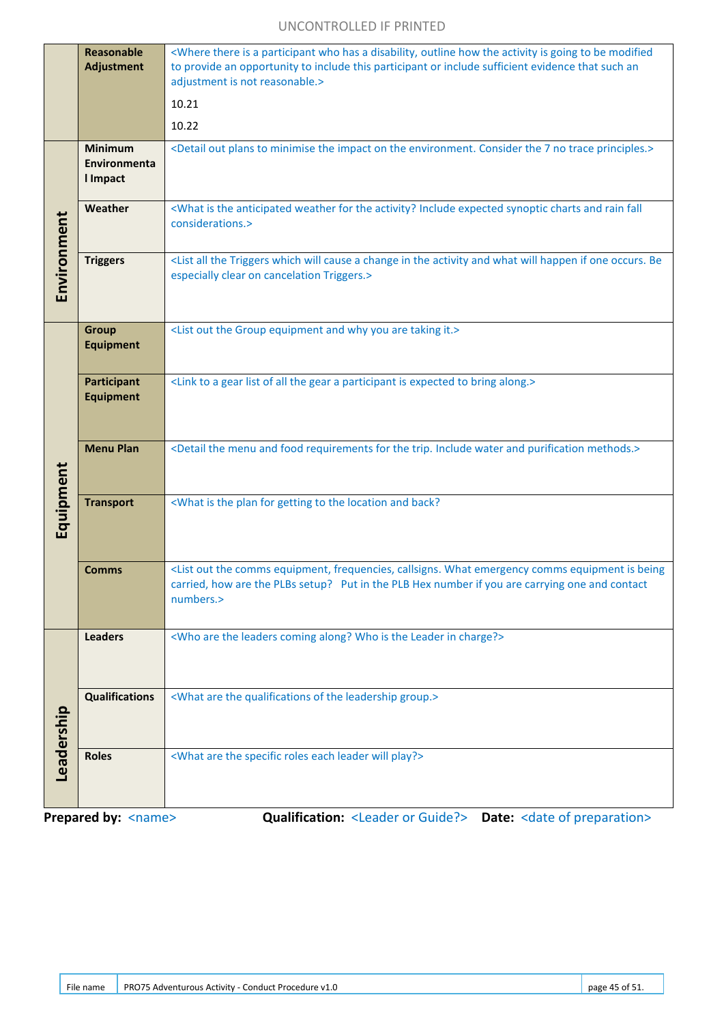#### UNCONTROLLED IF PRINTED

|             | <b>Reasonable</b><br><b>Adjustment</b>     | <where a="" activity="" be="" disability,="" going="" has="" how="" is="" modified<br="" outline="" participant="" the="" there="" to="" who="">to provide an opportunity to include this participant or include sufficient evidence that such an<br/>adjustment is not reasonable.&gt;</where> |  |  |  |  |  |
|-------------|--------------------------------------------|-------------------------------------------------------------------------------------------------------------------------------------------------------------------------------------------------------------------------------------------------------------------------------------------------|--|--|--|--|--|
|             |                                            | 10.21<br>10.22                                                                                                                                                                                                                                                                                  |  |  |  |  |  |
|             | <b>Minimum</b><br>Environmenta<br>I Impact | <detail 7="" consider="" environment.="" impact="" minimise="" no="" on="" out="" plans="" principles.="" the="" to="" trace=""></detail>                                                                                                                                                       |  |  |  |  |  |
|             | Weather                                    | <what activity?="" and="" anticipated="" charts="" expected="" fall<br="" for="" include="" is="" rain="" synoptic="" the="" weather="">considerations.&gt;</what>                                                                                                                              |  |  |  |  |  |
| Environment | <b>Triggers</b>                            | <list a="" activity="" all="" and="" be<br="" cause="" change="" happen="" if="" in="" occurs.="" one="" the="" triggers="" what="" which="" will="">especially clear on cancelation Triggers.&gt;</list>                                                                                       |  |  |  |  |  |
| Equipment   | <b>Group</b><br><b>Equipment</b>           | <list and="" are="" equipment="" group="" it.="" out="" taking="" the="" why="" you=""></list>                                                                                                                                                                                                  |  |  |  |  |  |
|             | <b>Participant</b><br><b>Equipment</b>     | <link a="" all="" along.="" bring="" expected="" gear="" is="" list="" of="" participant="" the="" to=""/>                                                                                                                                                                                      |  |  |  |  |  |
|             | <b>Menu Plan</b>                           | <detail and="" food="" for="" include="" menu="" methods.="" purification="" requirements="" the="" trip.="" water=""></detail>                                                                                                                                                                 |  |  |  |  |  |
|             | <b>Transport</b>                           | <what and="" back?<="" for="" getting="" is="" location="" plan="" th="" the="" to=""></what>                                                                                                                                                                                                   |  |  |  |  |  |
|             | <b>Comms</b>                               | <list being<br="" callsigns.="" comms="" emergency="" equipment="" equipment,="" frequencies,="" is="" out="" the="" what="">carried, how are the PLBs setup? Put in the PLB Hex number if you are carrying one and contact<br/>numbers.&gt;</list>                                             |  |  |  |  |  |
|             | <b>Leaders</b>                             | <who along?="" are="" charge?="" coming="" in="" is="" leader="" leaders="" the="" who=""></who>                                                                                                                                                                                                |  |  |  |  |  |
| Leadership  | <b>Qualifications</b>                      | <what are="" group.="" leadership="" of="" qualifications="" the=""></what>                                                                                                                                                                                                                     |  |  |  |  |  |
|             | <b>Roles</b>                               | <what are="" each="" leader="" play?="" roles="" specific="" the="" will=""></what>                                                                                                                                                                                                             |  |  |  |  |  |

**Prepared by:** <name> **Qualification:** <Leader or Guide?> Date: <date of preparation>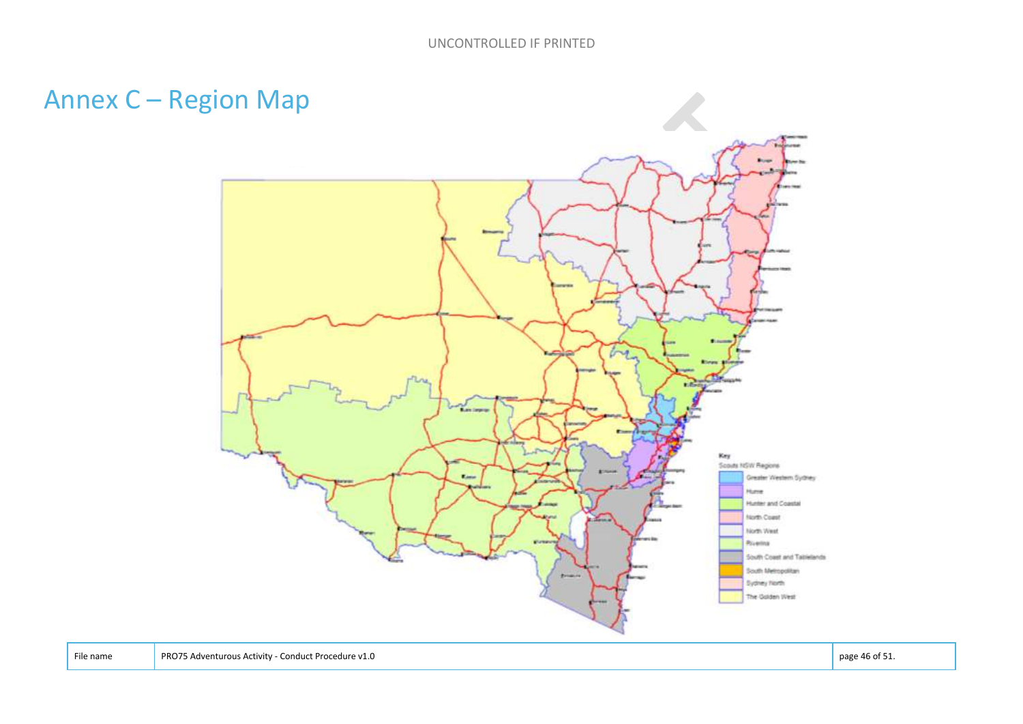# Annex C – Region Map

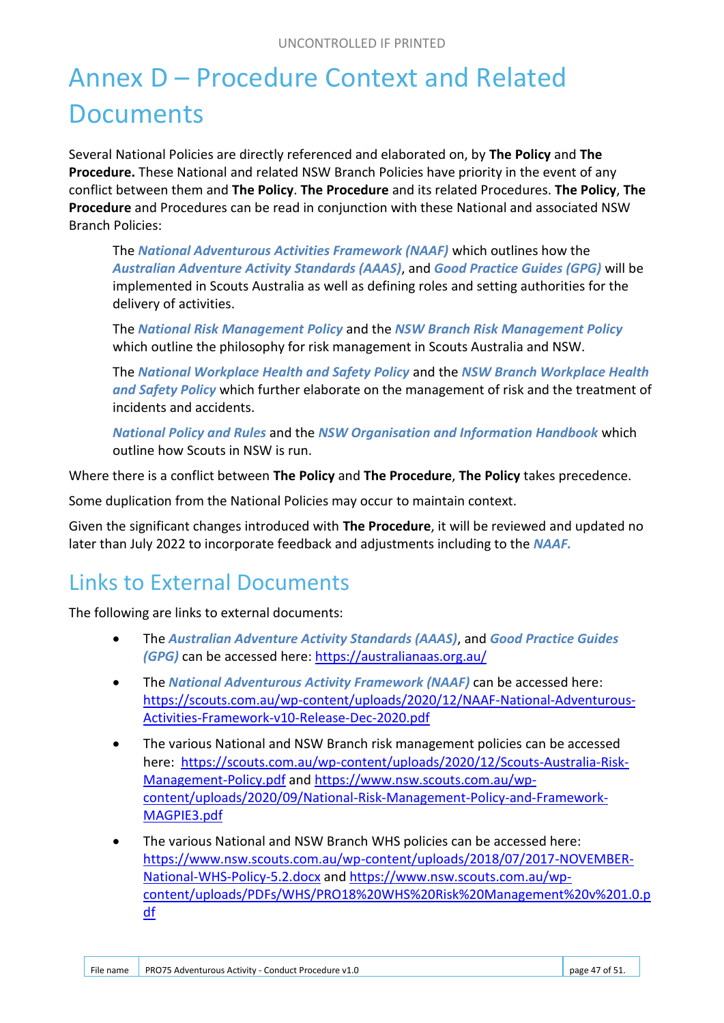# Annex D – Procedure Context and Related **Documents**

Several National Policies are directly referenced and elaborated on, by **The Policy** and **The Procedure.** These National and related NSW Branch Policies have priority in the event of any conflict between them and **The Policy**. **The Procedure** and its related Procedures. **The Policy**, **The Procedure** and Procedures can be read in conjunction with these National and associated NSW Branch Policies:

The *National Adventurous Activities Framework (NAAF)* which outlines how the *Australian Adventure Activity Standards (AAAS)*, and *Good Practice Guides (GPG)* will be implemented in Scouts Australia as well as defining roles and setting authorities for the delivery of activities.

The *National Risk Management Policy* and the *NSW Branch Risk Management Policy* which outline the philosophy for risk management in Scouts Australia and NSW.

The *National Workplace Health and Safety Policy* and the *NSW Branch Workplace Health and Safety Policy* which further elaborate on the management of risk and the treatment of incidents and accidents.

*National Policy and Rules* and the *NSW Organisation and Information Handbook* which outline how Scouts in NSW is run.

Where there is a conflict between **The Policy** and **The Procedure**, **The Policy** takes precedence.

Some duplication from the National Policies may occur to maintain context.

Given the significant changes introduced with **The Procedure**, it will be reviewed and updated no later than July 2022 to incorporate feedback and adjustments including to the *NAAF.*

## Links to External Documents

The following are links to external documents:

- The *Australian Adventure Activity Standards (AAAS)*, and *Good Practice Guides (GPG)* can be accessed here: https://australianaas.org.au/
- The *National Adventurous Activity Framework (NAAF)* can be accessed here: https://scouts.com.au/wp-content/uploads/2020/12/NAAF-National-Adventurous-Activities-Framework-v10-Release-Dec-2020.pdf
- The various National and NSW Branch risk management policies can be accessed here: https://scouts.com.au/wp-content/uploads/2020/12/Scouts-Australia-Risk-Management-Policy.pdf and https://www.nsw.scouts.com.au/wpcontent/uploads/2020/09/National-Risk-Management-Policy-and-Framework-MAGPIE3.pdf
- The various National and NSW Branch WHS policies can be accessed here: https://www.nsw.scouts.com.au/wp-content/uploads/2018/07/2017-NOVEMBER-National-WHS-Policy-5.2.docx and https://www.nsw.scouts.com.au/wpcontent/uploads/PDFs/WHS/PRO18%20WHS%20Risk%20Management%20v%201.0.p df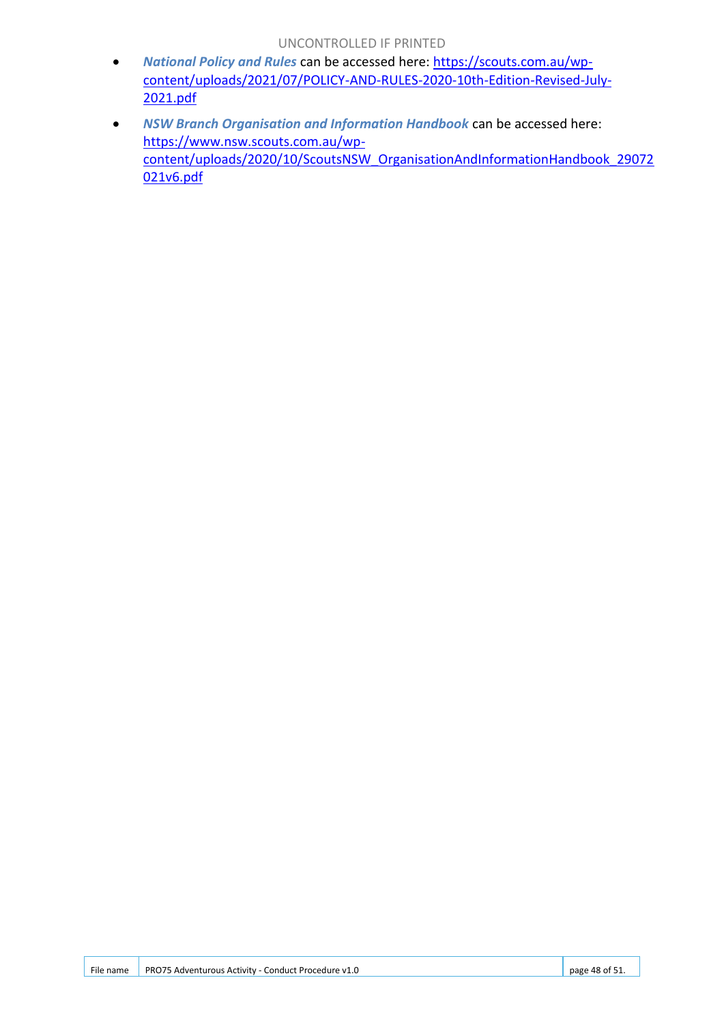- *National Policy and Rules* can be accessed here: https://scouts.com.au/wpcontent/uploads/2021/07/POLICY-AND-RULES-2020-10th-Edition-Revised-July-2021.pdf
- *NSW Branch Organisation and Information Handbook* can be accessed here: https://www.nsw.scouts.com.au/wpcontent/uploads/2020/10/ScoutsNSW\_OrganisationAndInformationHandbook\_29072 021v6.pdf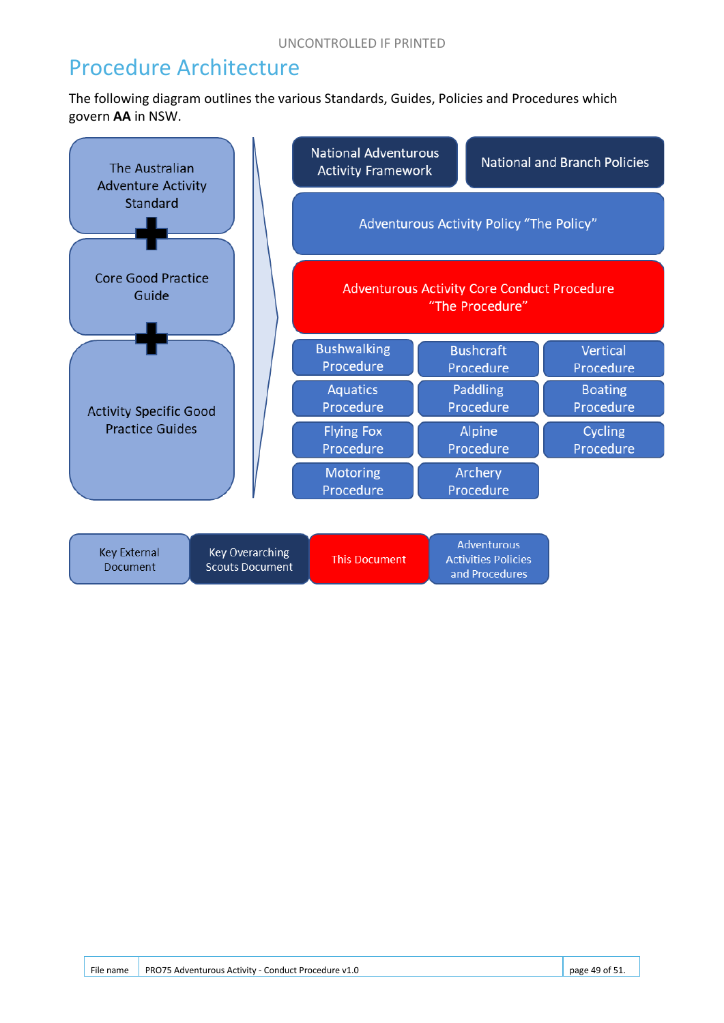#### Procedure Architecture

The following diagram outlines the various Standards, Guides, Policies and Procedures which govern **AA** in NSW.

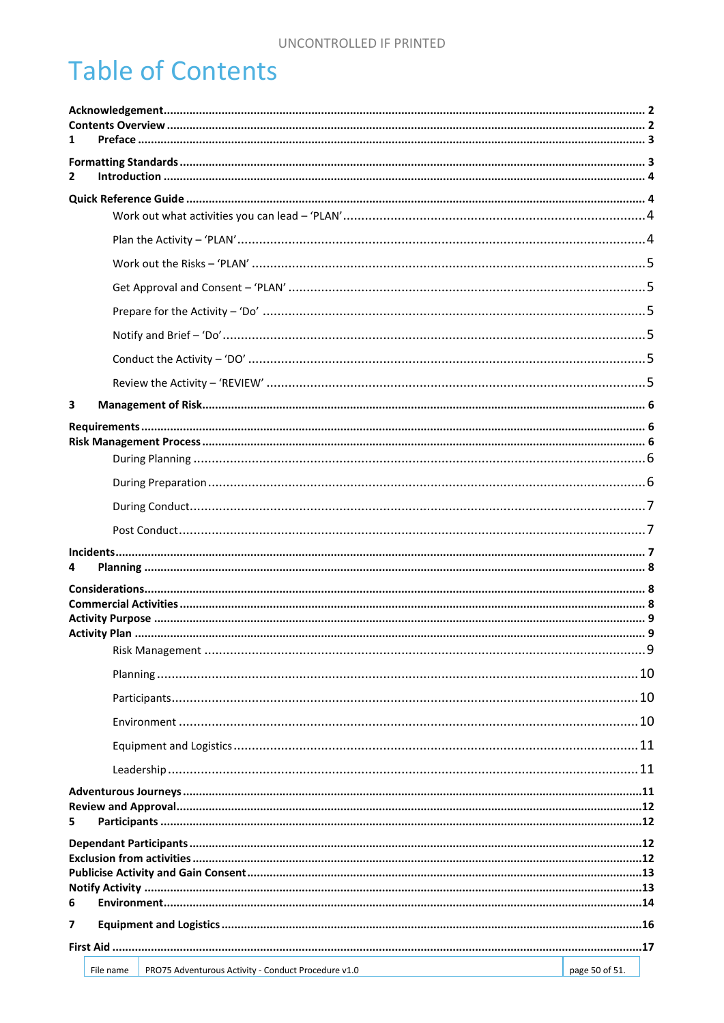# **Table of Contents**

| 1                                                                |                |  |  |  |
|------------------------------------------------------------------|----------------|--|--|--|
| 2                                                                |                |  |  |  |
|                                                                  |                |  |  |  |
|                                                                  |                |  |  |  |
|                                                                  |                |  |  |  |
|                                                                  |                |  |  |  |
|                                                                  |                |  |  |  |
|                                                                  |                |  |  |  |
|                                                                  |                |  |  |  |
|                                                                  |                |  |  |  |
| 3                                                                |                |  |  |  |
|                                                                  |                |  |  |  |
|                                                                  |                |  |  |  |
|                                                                  |                |  |  |  |
|                                                                  |                |  |  |  |
|                                                                  |                |  |  |  |
|                                                                  |                |  |  |  |
| 4                                                                |                |  |  |  |
|                                                                  |                |  |  |  |
|                                                                  |                |  |  |  |
|                                                                  |                |  |  |  |
|                                                                  |                |  |  |  |
|                                                                  |                |  |  |  |
|                                                                  |                |  |  |  |
|                                                                  |                |  |  |  |
|                                                                  |                |  |  |  |
|                                                                  |                |  |  |  |
|                                                                  |                |  |  |  |
| 5.                                                               |                |  |  |  |
|                                                                  |                |  |  |  |
|                                                                  |                |  |  |  |
| 6                                                                |                |  |  |  |
| 7                                                                |                |  |  |  |
|                                                                  |                |  |  |  |
| PRO75 Adventurous Activity - Conduct Procedure v1.0<br>File name | page 50 of 51. |  |  |  |